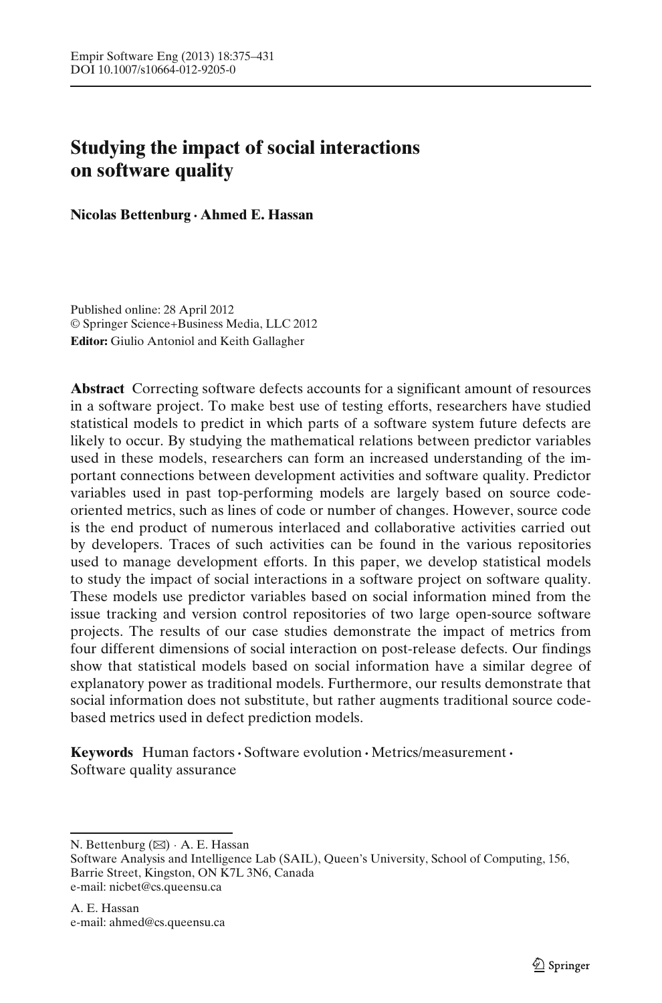# **Studying the impact of social interactions on software quality**

**Nicolas Bettenburg · Ahmed E. Hassan**

Published online: 28 April 2012 © Springer Science+Business Media, LLC 2012 **Editor:** Giulio Antoniol and Keith Gallagher

**Abstract** Correcting software defects accounts for a significant amount of resources in a software project. To make best use of testing efforts, researchers have studied statistical models to predict in which parts of a software system future defects are likely to occur. By studying the mathematical relations between predictor variables used in these models, researchers can form an increased understanding of the important connections between development activities and software quality. Predictor variables used in past top-performing models are largely based on source codeoriented metrics, such as lines of code or number of changes. However, source code is the end product of numerous interlaced and collaborative activities carried out by developers. Traces of such activities can be found in the various repositories used to manage development efforts. In this paper, we develop statistical models to study the impact of social interactions in a software project on software quality. These models use predictor variables based on social information mined from the issue tracking and version control repositories of two large open-source software projects. The results of our case studies demonstrate the impact of metrics from four different dimensions of social interaction on post-release defects. Our findings show that statistical models based on social information have a similar degree of explanatory power as traditional models. Furthermore, our results demonstrate that social information does not substitute, but rather augments traditional source codebased metrics used in defect prediction models.

**Keywords** Human factors**·** Software evolution **·** Metrics/measurement**·** Software quality assurance

N. Bettenburg  $(\boxtimes)$   $\cdot$  A. E. Hassan

Software Analysis and Intelligence Lab (SAIL), Queen's University, School of Computing, 156, Barrie Street, Kingston, ON K7L 3N6, Canada e-mail: nicbet@cs.queensu.ca

A. E. Hassan e-mail: ahmed@cs.queensu.ca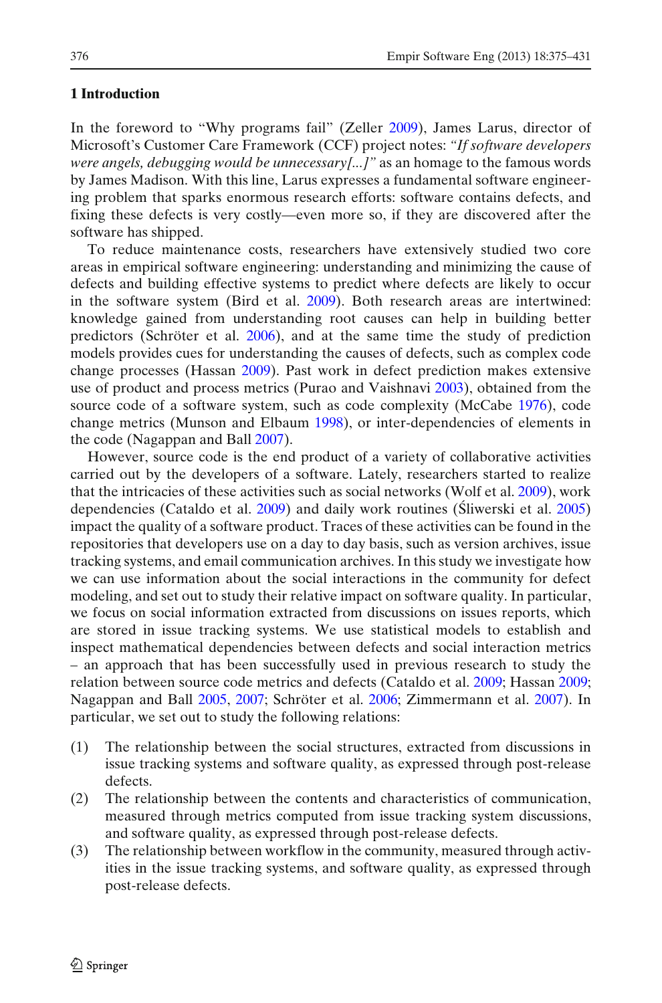#### **1 Introduction**

In the foreword to "Why programs fail" (Zelle[r](#page-55-0) [2009\)](#page-55-0), James Larus, director of Microsoft's Customer Care Framework (CCF) project notes: *"If software developers were angels, debugging would be unnecessary[...]"* as an homage to the famous words by James Madison. With this line, Larus expresses a fundamental software engineering problem that sparks enormous research efforts: software contains defects, and fixing these defects is very costly—even more so, if they are discovered after the software has shipped.

To reduce maintenance costs, researchers have extensively studied two core areas in empirical software engineering: understanding and minimizing the cause of defects and building effective systems to predict where defects are likely to occur in the software system (Bird et al[.](#page-54-0) [2009\)](#page-54-0). Both research areas are intertwined: knowledge gained from understanding root causes can help in building better predictors (Schröter et al[.](#page-55-0) [2006\)](#page-55-0), and at the same time the study of prediction models provides cues for understanding the causes of defects, such as complex code change processes (Hassa[n](#page-54-0) [2009\)](#page-54-0). Past work in defect prediction makes extensive use of product and process metrics (Purao and Vaishnav[i](#page-55-0) [2003\)](#page-55-0), obtained from the source code of a software system, such as code complexity (McCab[e](#page-54-0) [1976](#page-54-0)), code change metrics (Munson and Elbau[m](#page-55-0) [1998](#page-55-0)), or inter-dependencies of elements in the code (Nagappan and Bal[l](#page-55-0) [2007\)](#page-55-0).

However, source code is the end product of a variety of collaborative activities carried out by the developers of a software. Lately, researchers started to realize that the intricacies of these activities such as social networks (Wolf et al[.](#page-55-0) [2009](#page-55-0)), work dependencies (Cataldo et al[.](#page-55-0)  $2009$ ) and daily work routines (Sliwerski et al.  $2005$ ) impact the quality of a software product. Traces of these activities can be found in the repositories that developers use on a day to day basis, such as version archives, issue tracking systems, and email communication archives. In this study we investigate how we can use information about the social interactions in the community for defect modeling, and set out to study their relative impact on software quality. In particular, we focus on social information extracted from discussions on issues reports, which are stored in issue tracking systems. We use statistical models to establish and inspect mathematical dependencies between defects and social interaction metrics – an approach that has been successfully used in previous research to study the relation between source code metrics and defects (Cataldo et al[.](#page-54-0) [2009;](#page-54-0) Hassa[n](#page-54-0) [2009](#page-54-0); Nagappan and Bal[l](#page-55-0) [2005,](#page-55-0) [2007;](#page-55-0) Schröter et al[.](#page-55-0) [2006](#page-55-0); Zimmermann et al[.](#page-55-0) [2007](#page-55-0)). In particular, we set out to study the following relations:

- (1) The relationship between the social structures, extracted from discussions in issue tracking systems and software quality, as expressed through post-release defects.
- (2) The relationship between the contents and characteristics of communication, measured through metrics computed from issue tracking system discussions, and software quality, as expressed through post-release defects.
- (3) The relationship between workflow in the community, measured through activities in the issue tracking systems, and software quality, as expressed through post-release defects.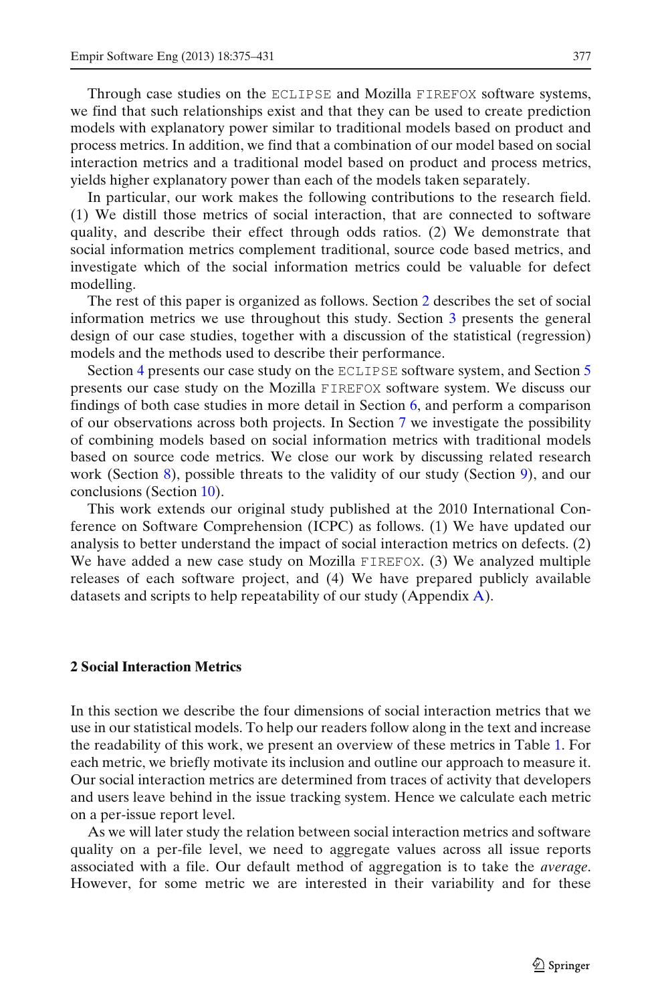<span id="page-2-0"></span>Through case studies on the ECLIPSE and Mozilla FIREFOX software systems, we find that such relationships exist and that they can be used to create prediction models with explanatory power similar to traditional models based on product and process metrics. In addition, we find that a combination of our model based on social interaction metrics and a traditional model based on product and process metrics, yields higher explanatory power than each of the models taken separately.

In particular, our work makes the following contributions to the research field. (1) We distill those metrics of social interaction, that are connected to software quality, and describe their effect through odds ratios. (2) We demonstrate that social information metrics complement traditional, source code based metrics, and investigate which of the social information metrics could be valuable for defect modelling.

The rest of this paper is organized as follows. Section 2 describes the set of social information metrics we use throughout this study. Section [3](#page-9-0) presents the general design of our case studies, together with a discussion of the statistical (regression) models and the methods used to describe their performance.

Section [4](#page-11-0) presents our case study on the ECLIPSE software system, and Section [5](#page-20-0) presents our case study on the Mozilla FIREFOX software system. We discuss our findings of both case studies in more detail in Section [6,](#page-27-0) and perform a comparison of our observations across both projects. In Section [7](#page-31-0) we investigate the possibility of combining models based on social information metrics with traditional models based on source code metrics. We close our work by discussing related research work (Section [8\)](#page-33-0), possible threats to the validity of our study (Section [9\)](#page-34-0), and our conclusions (Section [10\)](#page-37-0).

This work extends our original study published at the 2010 International Conference on Software Comprehension (ICPC) as follows. (1) We have updated our analysis to better understand the impact of social interaction metrics on defects. (2) We have added a new case study on Mozilla FIREFOX. (3) We analyzed multiple releases of each software project, and (4) We have prepared publicly available datasets and scripts to help repeatability of our study (Appendix [A\)](#page-38-0).

#### **2 Social Interaction Metrics**

In this section we describe the four dimensions of social interaction metrics that we use in our statistical models. To help our readers follow along in the text and increase the readability of this work, we present an overview of these metrics in Table [1.](#page-3-0) For each metric, we briefly motivate its inclusion and outline our approach to measure it. Our social interaction metrics are determined from traces of activity that developers and users leave behind in the issue tracking system. Hence we calculate each metric on a per-issue report level.

As we will later study the relation between social interaction metrics and software quality on a per-file level, we need to aggregate values across all issue reports associated with a file. Our default method of aggregation is to take the *average*. However, for some metric we are interested in their variability and for these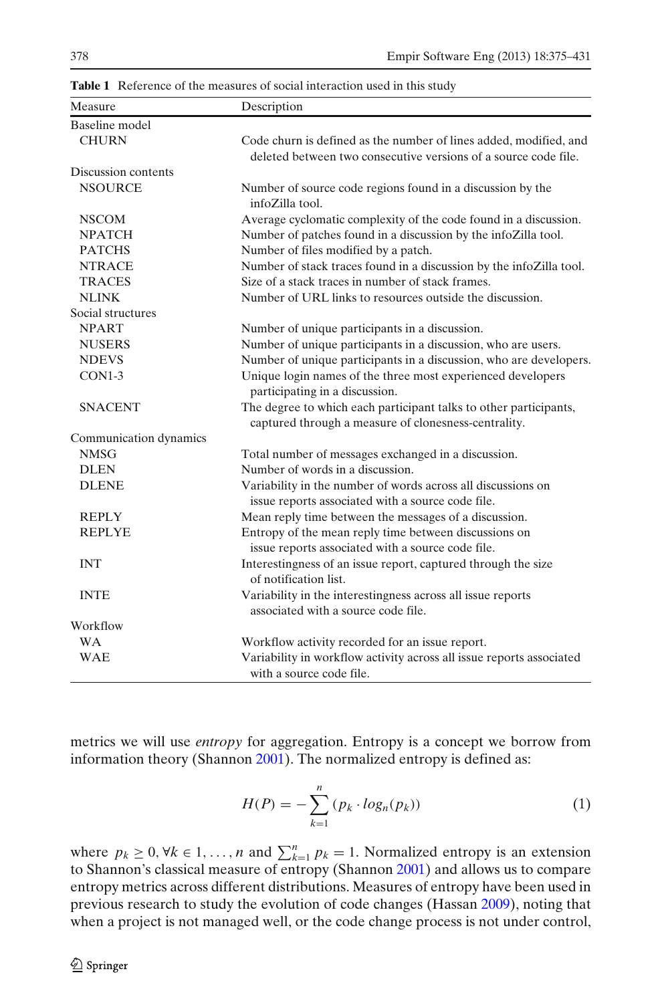| Measure                | Description                                                                                                                          |
|------------------------|--------------------------------------------------------------------------------------------------------------------------------------|
| <b>Baseline</b> model  |                                                                                                                                      |
| <b>CHURN</b>           | Code churn is defined as the number of lines added, modified, and<br>deleted between two consecutive versions of a source code file. |
| Discussion contents    |                                                                                                                                      |
| <b>NSOURCE</b>         | Number of source code regions found in a discussion by the<br>infoZilla tool.                                                        |
| <b>NSCOM</b>           | Average cyclomatic complexity of the code found in a discussion.                                                                     |
| <b>NPATCH</b>          | Number of patches found in a discussion by the infoZilla tool.                                                                       |
| <b>PATCHS</b>          | Number of files modified by a patch.                                                                                                 |
| <b>NTRACE</b>          | Number of stack traces found in a discussion by the infoZilla tool.                                                                  |
| <b>TRACES</b>          | Size of a stack traces in number of stack frames.                                                                                    |
| <b>NLINK</b>           | Number of URL links to resources outside the discussion.                                                                             |
| Social structures      |                                                                                                                                      |
| <b>NPART</b>           | Number of unique participants in a discussion.                                                                                       |
| <b>NUSERS</b>          | Number of unique participants in a discussion, who are users.                                                                        |
| <b>NDEVS</b>           | Number of unique participants in a discussion, who are developers.                                                                   |
| $CON1-3$               | Unique login names of the three most experienced developers<br>participating in a discussion.                                        |
| <b>SNACENT</b>         | The degree to which each participant talks to other participants,<br>captured through a measure of clonesness-centrality.            |
| Communication dynamics |                                                                                                                                      |
| <b>NMSG</b>            | Total number of messages exchanged in a discussion.                                                                                  |
| <b>DLEN</b>            | Number of words in a discussion.                                                                                                     |
| <b>DLENE</b>           | Variability in the number of words across all discussions on<br>issue reports associated with a source code file.                    |
| <b>REPLY</b>           | Mean reply time between the messages of a discussion.                                                                                |
| <b>REPLYE</b>          | Entropy of the mean reply time between discussions on<br>issue reports associated with a source code file.                           |
| <b>INT</b>             | Interestingness of an issue report, captured through the size<br>of notification list.                                               |
| <b>INTE</b>            | Variability in the interestingness across all issue reports<br>associated with a source code file.                                   |
| Workflow               |                                                                                                                                      |
| WA                     | Workflow activity recorded for an issue report.                                                                                      |
| <b>WAE</b>             | Variability in workflow activity across all issue reports associated<br>with a source code file.                                     |

<span id="page-3-0"></span>**Table 1** Reference of the measures of social interaction used in this study

metrics we will use *entropy* for aggregation. Entropy is a concept we borrow from information theory (Shanno[n](#page-55-0) [2001](#page-55-0)). The normalized entropy is defined as:

$$
H(P) = -\sum_{k=1}^{n} (p_k \cdot log_n(p_k))
$$
 (1)

where  $p_k \geq 0$ ,  $\forall k \in 1, ..., n$  and  $\sum_{k=1}^{n} p_k = 1$ . Normalized entropy is an extension to Shannon's classical measure of entropy (Shanno[n](#page-55-0) [2001\)](#page-55-0) and allows us to compare entropy metrics across different distributions. Measures of entropy have been used in previous research to study the evolution of code changes (Hassa[n](#page-54-0) [2009\)](#page-54-0), noting that when a project is not managed well, or the code change process is not under control,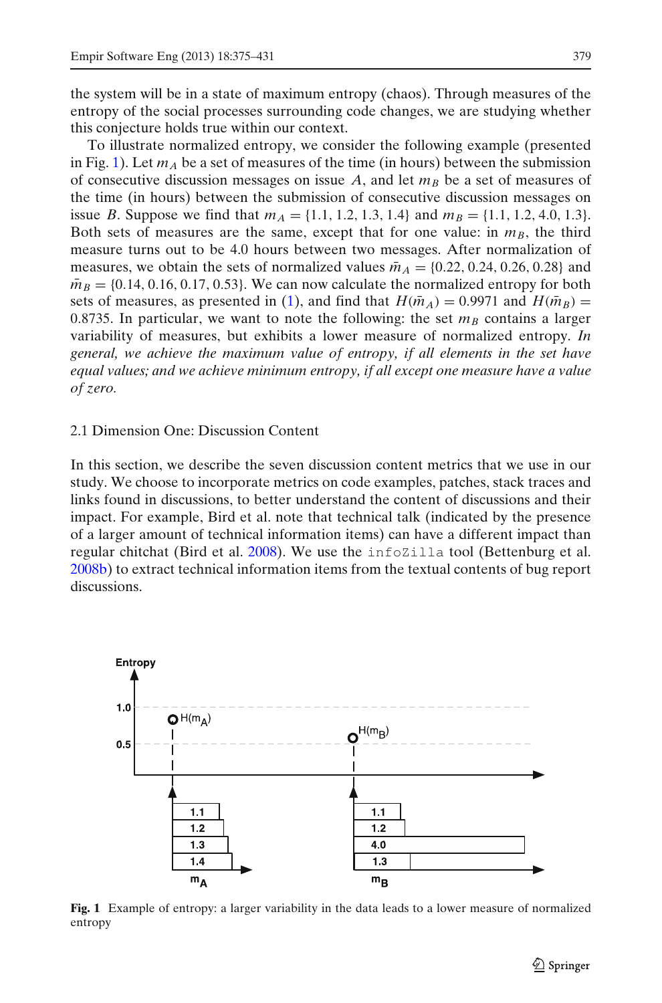the system will be in a state of maximum entropy (chaos). Through measures of the entropy of the social processes surrounding code changes, we are studying whether this conjecture holds true within our context.

To illustrate normalized entropy, we consider the following example (presented in Fig. 1). Let  $m_A$  be a set of measures of the time (in hours) between the submission of consecutive discussion messages on issue A, and let  $m_B$  be a set of measures of the time (in hours) between the submission of consecutive discussion messages on issue *B*. Suppose we find that  $m_A = \{1.1, 1.2, 1.3, 1.4\}$  and  $m_B = \{1.1, 1.2, 4.0, 1.3\}$ . Both sets of measures are the same, except that for one value: in  $m_B$ , the third measure turns out to be 4.0 hours between two messages. After normalization of measures, we obtain the sets of normalized values  $\bar{m}_A = \{0.22, 0.24, 0.26, 0.28\}$  and  $\bar{m}_B = \{0.14, 0.16, 0.17, 0.53\}$ . We can now calculate the normalized entropy for both sets of measures, as presented in [\(1\)](#page-3-0), and find that  $H(\bar{m}_A) = 0.9971$  and  $H(\bar{m}_B) =$ 0.8735. In particular, we want to note the following: the set  $m_B$  contains a larger variability of measures, but exhibits a lower measure of normalized entropy. *In general, we achieve the maximum value of entropy, if all elements in the set have equal values; and we achieve minimum entropy, if all except one measure have a value of zero.*

#### 2.1 Dimension One: Discussion Content

In this section, we describe the seven discussion content metrics that we use in our study. We choose to incorporate metrics on code examples, patches, stack traces and links found in discussions, to better understand the content of discussions and their impact. For example, Bird et al. note that technical talk (indicated by the presence of a larger amount of technical information items) can have a different impact than regular chitchat (Bird et al[.](#page-54-0) [2008\)](#page-54-0). We use the  $infoZilla$  tool (Bettenburg et al. [2008b](#page-54-0)) to extract technical information items from the textual contents of bug report discussions.



**Fig. 1** Example of entropy: a larger variability in the data leads to a lower measure of normalized entropy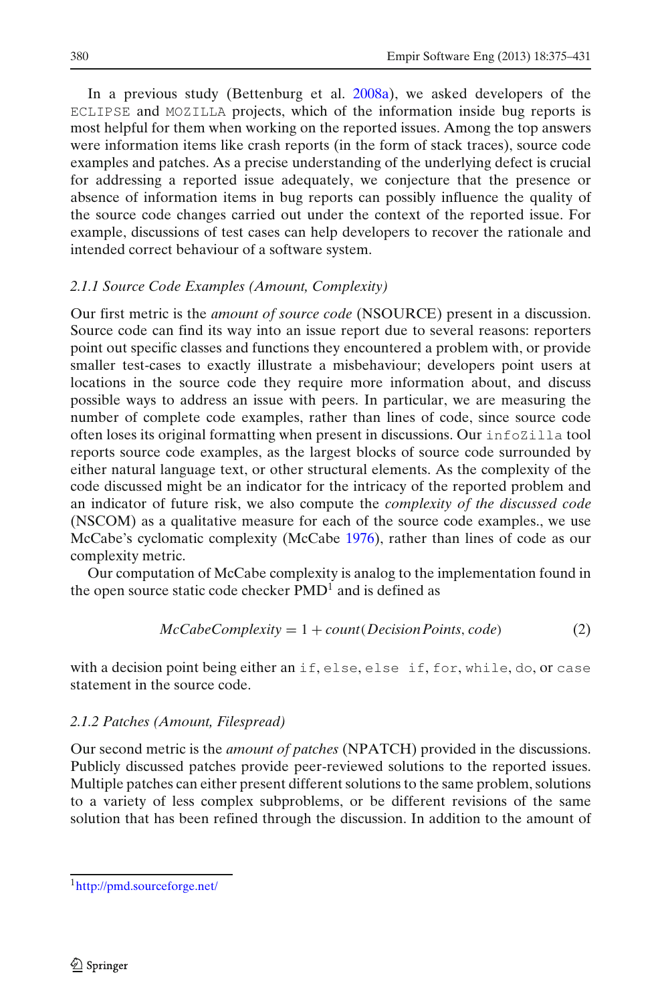In a previous study (Bettenburg et al[.](#page-54-0) [2008a](#page-54-0)), we asked developers of the ECLIPSE and MOZILLA projects, which of the information inside bug reports is most helpful for them when working on the reported issues. Among the top answers were information items like crash reports (in the form of stack traces), source code examples and patches. As a precise understanding of the underlying defect is crucial for addressing a reported issue adequately, we conjecture that the presence or absence of information items in bug reports can possibly influence the quality of the source code changes carried out under the context of the reported issue. For example, discussions of test cases can help developers to recover the rationale and intended correct behaviour of a software system.

### *2.1.1 Source Code Examples (Amount, Complexity)*

Our first metric is the *amount of source code* (NSOURCE) present in a discussion. Source code can find its way into an issue report due to several reasons: reporters point out specific classes and functions they encountered a problem with, or provide smaller test-cases to exactly illustrate a misbehaviour; developers point users at locations in the source code they require more information about, and discuss possible ways to address an issue with peers. In particular, we are measuring the number of complete code examples, rather than lines of code, since source code often loses its original formatting when present in discussions. Our infoZilla tool reports source code examples, as the largest blocks of source code surrounded by either natural language text, or other structural elements. As the complexity of the code discussed might be an indicator for the intricacy of the reported problem and an indicator of future risk, we also compute the *complexity of the discussed code* (NSCOM) as a qualitative measure for each of the source code examples., we use McCabe's cyclomatic complexity (McCab[e](#page-54-0) [1976\)](#page-54-0), rather than lines of code as our complexity metric.

Our computation of McCabe complexity is analog to the implementation found in the open source static code checker  $PMD<sup>1</sup>$  and is defined as

$$
McCabeComplexity = 1 + count(Decision Points, code)
$$
 (2)

with a decision point being either an if, else, else if, for, while, do, or case statement in the source code.

### *2.1.2 Patches (Amount, Filespread)*

Our second metric is the *amount of patches* (NPATCH) provided in the discussions. Publicly discussed patches provide peer-reviewed solutions to the reported issues. Multiple patches can either present different solutions to the same problem, solutions to a variety of less complex subproblems, or be different revisions of the same solution that has been refined through the discussion. In addition to the amount of

[<sup>1</sup>http://pmd.sourceforge.net/](http://pmd.sourceforge.net/)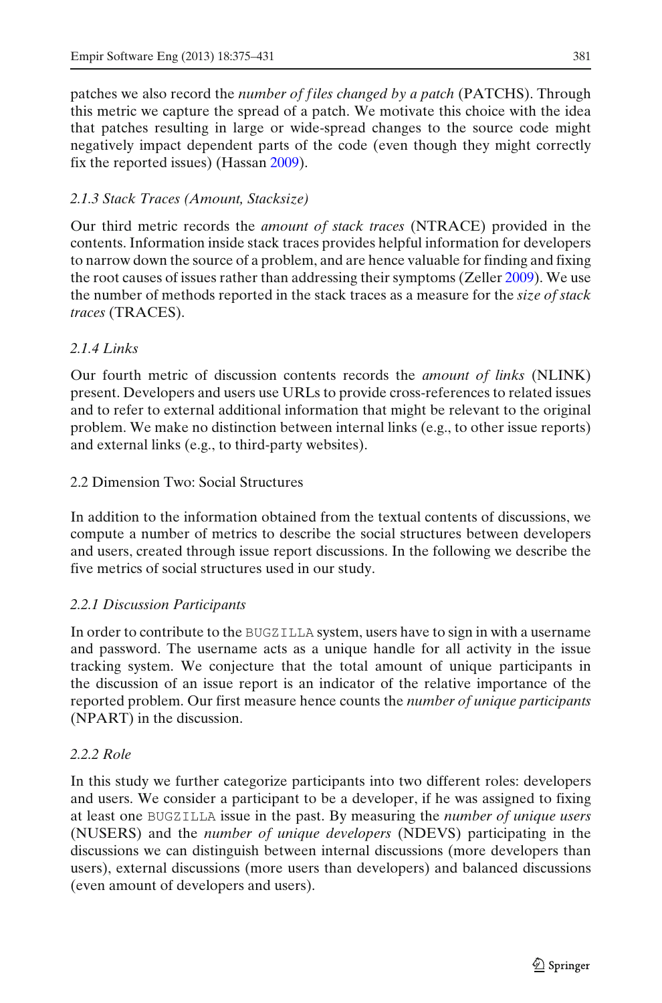patches we also record the *number of f iles changed by a patch* (PATCHS). Through this metric we capture the spread of a patch. We motivate this choice with the idea that patches resulting in large or wide-spread changes to the source code might negatively impact dependent parts of the code (even though they might correctly fix the reported issues) (Hassa[n](#page-54-0) [2009\)](#page-54-0).

# *2.1.3 Stack Traces (Amount, Stacksize)*

Our third metric records the *amount of stack traces* (NTRACE) provided in the contents. Information inside stack traces provides helpful information for developers to narrow down the source of a problem, and are hence valuable for finding and fixing the root causes of issues rather than addressing their symptoms (Zelle[r](#page-55-0) [2009\)](#page-55-0). We use the number of methods reported in the stack traces as a measure for the *size of stack traces* (TRACES).

# *2.1.4 Links*

Our fourth metric of discussion contents records the *amount of links* (NLINK) present. Developers and users use URLs to provide cross-references to related issues and to refer to external additional information that might be relevant to the original problem. We make no distinction between internal links (e.g., to other issue reports) and external links (e.g., to third-party websites).

## 2.2 Dimension Two: Social Structures

In addition to the information obtained from the textual contents of discussions, we compute a number of metrics to describe the social structures between developers and users, created through issue report discussions. In the following we describe the five metrics of social structures used in our study.

### *2.2.1 Discussion Participants*

In order to contribute to the BUGZILLA system, users have to sign in with a username and password. The username acts as a unique handle for all activity in the issue tracking system. We conjecture that the total amount of unique participants in the discussion of an issue report is an indicator of the relative importance of the reported problem. Our first measure hence counts the *number of unique participants* (NPART) in the discussion.

### *2.2.2 Role*

In this study we further categorize participants into two different roles: developers and users. We consider a participant to be a developer, if he was assigned to fixing at least one BUGZILLA issue in the past. By measuring the *number of unique users* (NUSERS) and the *number of unique developers* (NDEVS) participating in the discussions we can distinguish between internal discussions (more developers than users), external discussions (more users than developers) and balanced discussions (even amount of developers and users).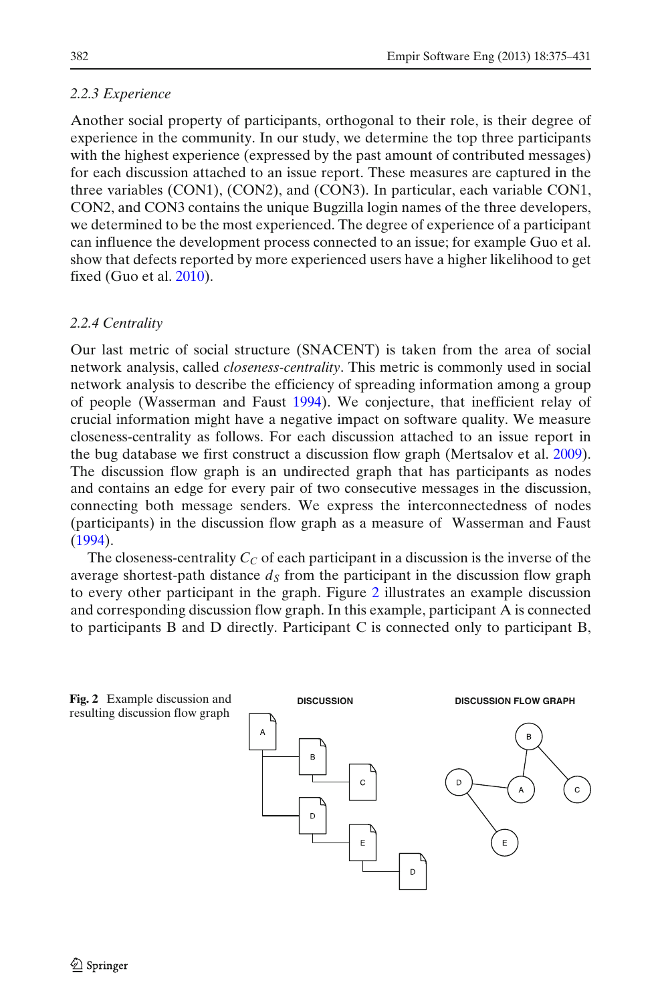## <span id="page-7-0"></span>*2.2.3 Experience*

Another social property of participants, orthogonal to their role, is their degree of experience in the community. In our study, we determine the top three participants with the highest experience (expressed by the past amount of contributed messages) for each discussion attached to an issue report. These measures are captured in the three variables (CON1), (CON2), and (CON3). In particular, each variable CON1, CON2, and CON3 contains the unique Bugzilla login names of the three developers, we determined to be the most experienced. The degree of experience of a participant can influence the development process connected to an issue; for example Guo et al. show that defects reported by more experienced users have a higher likelihood to get fixed (Guo et al[.](#page-54-0) [2010\)](#page-54-0).

## *2.2.4 Centrality*

Our last metric of social structure (SNACENT) is taken from the area of social network analysis, called *closeness-centrality*. This metric is commonly used in social network analysis to describe the efficiency of spreading information among a group of people (Wasserman and Faus[t](#page-55-0) [1994\)](#page-55-0). We conjecture, that inefficient relay of crucial information might have a negative impact on software quality. We measure closeness-centrality as follows. For each discussion attached to an issue report in the bug database we first construct a discussion flow graph (Mertsalov et al[.](#page-55-0) [2009\)](#page-55-0). The discussion flow graph is an undirected graph that has participants as nodes and contains an edge for every pair of two consecutive messages in the discussion, connecting both message senders. We express the interconnectedness of nodes (participants) in the discussion flow graph as a measure of Wasserman and Faus[t](#page-55-0) [\(1994](#page-55-0)).

The closeness-centrality  $C_C$  of each participant in a discussion is the inverse of the average shortest-path distance  $d<sub>S</sub>$  from the participant in the discussion flow graph to every other participant in the graph. Figure 2 illustrates an example discussion and corresponding discussion flow graph. In this example, participant A is connected to participants B and D directly. Participant C is connected only to participant B,

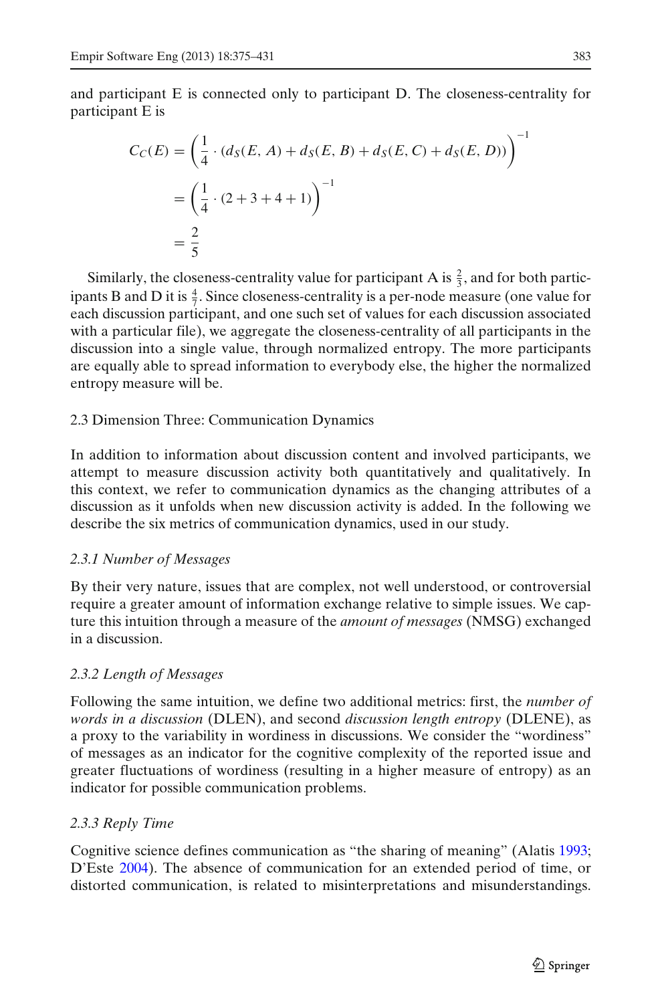and participant E is connected only to participant D. The closeness-centrality for participant E is

$$
C_C(E) = \left(\frac{1}{4} \cdot (d_S(E, A) + d_S(E, B) + d_S(E, C) + d_S(E, D))\right)^{-1}
$$
  
=  $\left(\frac{1}{4} \cdot (2 + 3 + 4 + 1)\right)^{-1}$   
=  $\frac{2}{5}$ 

Similarly, the closeness-centrality value for participant A is  $\frac{2}{3}$ , and for both participants B and D it is  $\frac{4}{7}$ . Since closeness-centrality is a per-node measure (one value for each discussion participant, and one such set of values for each discussion associated with a particular file), we aggregate the closeness-centrality of all participants in the discussion into a single value, through normalized entropy. The more participants are equally able to spread information to everybody else, the higher the normalized entropy measure will be.

### 2.3 Dimension Three: Communication Dynamics

In addition to information about discussion content and involved participants, we attempt to measure discussion activity both quantitatively and qualitatively. In this context, we refer to communication dynamics as the changing attributes of a discussion as it unfolds when new discussion activity is added. In the following we describe the six metrics of communication dynamics, used in our study.

### *2.3.1 Number of Messages*

By their very nature, issues that are complex, not well understood, or controversial require a greater amount of information exchange relative to simple issues. We capture this intuition through a measure of the *amount of messages* (NMSG) exchanged in a discussion.

### *2.3.2 Length of Messages*

Following the same intuition, we define two additional metrics: first, the *number of words in a discussion* (DLEN), and second *discussion length entropy* (DLENE), as a proxy to the variability in wordiness in discussions. We consider the "wordiness" of messages as an indicator for the cognitive complexity of the reported issue and greater fluctuations of wordiness (resulting in a higher measure of entropy) as an indicator for possible communication problems.

### *2.3.3 Reply Time*

Cognitive science defines communication as "the sharing of meaning" (Alati[s](#page-54-0) [1993](#page-54-0); D'Est[e](#page-54-0) [2004\)](#page-54-0). The absence of communication for an extended period of time, or distorted communication, is related to misinterpretations and misunderstandings.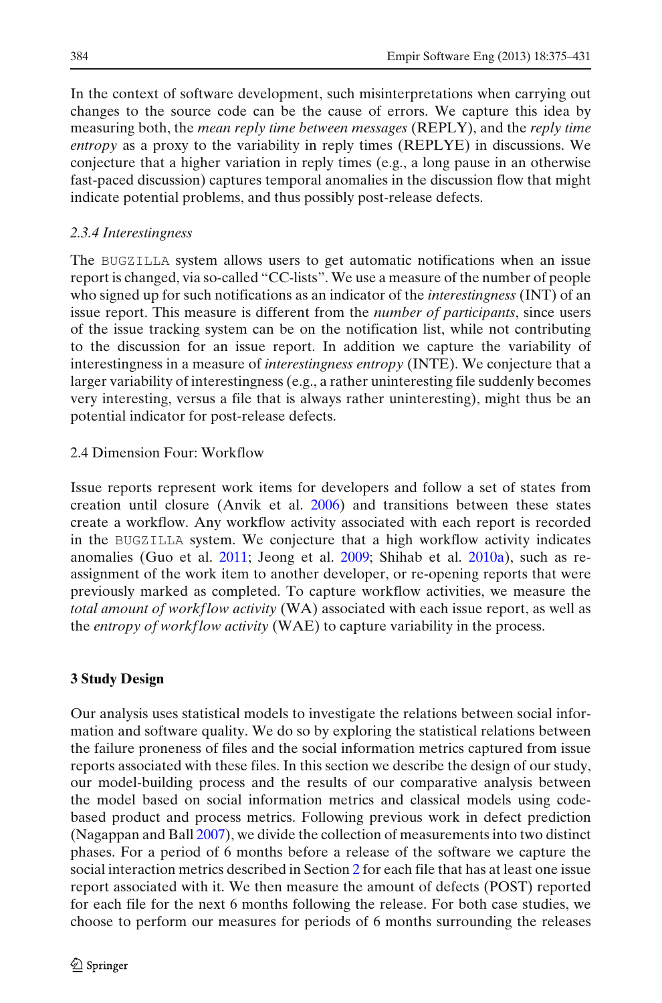<span id="page-9-0"></span>In the context of software development, such misinterpretations when carrying out changes to the source code can be the cause of errors. We capture this idea by measuring both, the *mean reply time between messages* (REPLY), and the *reply time entropy* as a proxy to the variability in reply times (REPLYE) in discussions. We conjecture that a higher variation in reply times (e.g., a long pause in an otherwise fast-paced discussion) captures temporal anomalies in the discussion flow that might indicate potential problems, and thus possibly post-release defects.

### *2.3.4 Interestingness*

The BUGZILLA system allows users to get automatic notifications when an issue report is changed, via so-called "CC-lists". We use a measure of the number of people who signed up for such notifications as an indicator of the *interestingness* (INT) of an issue report. This measure is different from the *number of participants*, since users of the issue tracking system can be on the notification list, while not contributing to the discussion for an issue report. In addition we capture the variability of interestingness in a measure of *interestingness entropy* (INTE). We conjecture that a larger variability of interestingness (e.g., a rather uninteresting file suddenly becomes very interesting, versus a file that is always rather uninteresting), might thus be an potential indicator for post-release defects.

## 2.4 Dimension Four: Workflow

Issue reports represent work items for developers and follow a set of states from creation until closure (Anvik et al[.](#page-54-0) [2006\)](#page-54-0) and transitions between these states create a workflow. Any workflow activity associated with each report is recorded in the BUGZILLA system. We conjecture that a high workflow activity indicates anomalies (Guo et al[.](#page-54-0) [2011;](#page-54-0) Jeong et al[.](#page-54-0) [2009](#page-54-0); Shihab et al[.](#page-55-0) [2010a](#page-55-0)), such as reassignment of the work item to another developer, or re-opening reports that were previously marked as completed. To capture workflow activities, we measure the *total amount of workf low activity* (WA) associated with each issue report, as well as the *entropy of workf low activity* (WAE) to capture variability in the process.

# **3 Study Design**

Our analysis uses statistical models to investigate the relations between social information and software quality. We do so by exploring the statistical relations between the failure proneness of files and the social information metrics captured from issue reports associated with these files. In this section we describe the design of our study, our model-building process and the results of our comparative analysis between the model based on social information metrics and classical models using codebased product and process metrics. Following previous work in defect prediction (Nagappan and Bal[l](#page-55-0) [2007\)](#page-55-0), we divide the collection of measurements into two distinct phases. For a period of 6 months before a release of the software we capture the social interaction metrics described in Section [2](#page-2-0) for each file that has at least one issue report associated with it. We then measure the amount of defects (POST) reported for each file for the next 6 months following the release. For both case studies, we choose to perform our measures for periods of 6 months surrounding the releases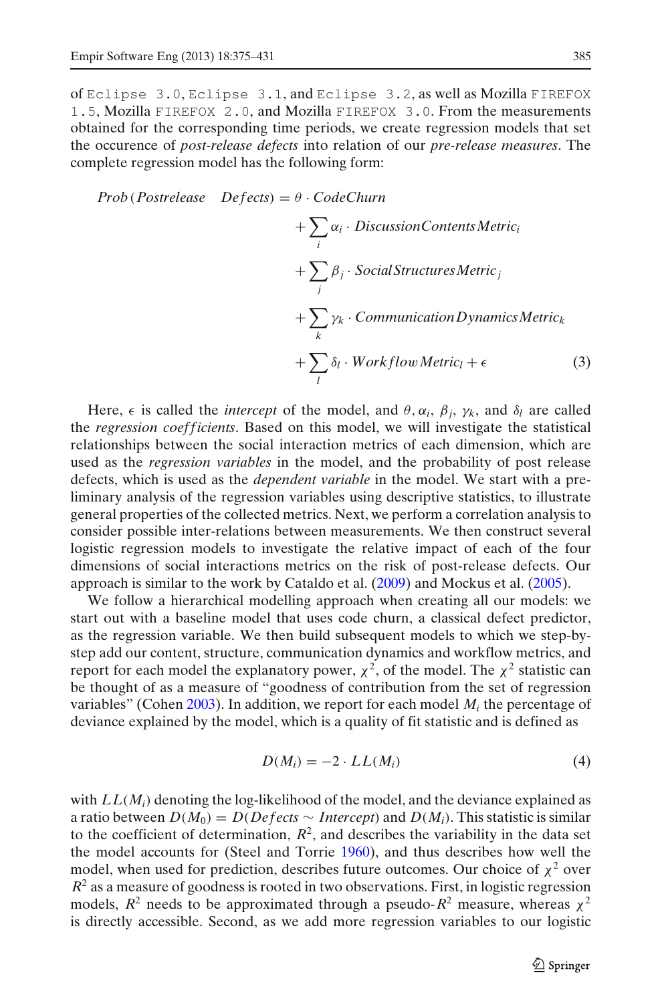of Eclipse 3.0, Eclipse 3.1, and Eclipse 3.2, as well as Mozilla FIREFOX 1.5, Mozilla FIREFOX 2.0, and Mozilla FIREFOX 3.0. From the measurements obtained for the corresponding time periods, we create regression models that set the occurence of *post-release defects* into relation of our *pre-release measures*. The complete regression model has the following form:

$$
Prob (Postrelease \t Defects) = \theta \cdot CodeChurn + \sum_{i} \alpha_{i} \cdot DiscussionContentsMetric_{i} + \sum_{j} \beta_{j} \cdot Social StructuresMetric_{j} + \sum_{k} \gamma_{k} \cdot Communication Dynamics Metric_{k} + \sum_{l} \delta_{l} \cdot Workflow Metric_{l} + \epsilon
$$
(3)

Here,  $\epsilon$  is called the *intercept* of the model, and  $\theta$ ,  $\alpha_i$ ,  $\beta_j$ ,  $\gamma_k$ , and  $\delta_l$  are called the *regression coefficients*. Based on this model, we will investigate the statistical relationships between the social interaction metrics of each dimension, which are used as the *regression variables* in the model, and the probability of post release defects, which is used as the *dependent variable* in the model. We start with a preliminary analysis of the regression variables using descriptive statistics, to illustrate general properties of the collected metrics. Next, we perform a correlation analysis to consider possible inter-relations between measurements. We then construct several logistic regression models to investigate the relative impact of each of the four dimensions of social interactions metrics on the risk of post-release defects. Our approach is similar to the work by Cataldo et al[.](#page-54-0) [\(2009](#page-54-0)) and Mockus et al[.](#page-55-0) [\(2005](#page-55-0)).

We follow a hierarchical modelling approach when creating all our models: we start out with a baseline model that uses code churn, a classical defect predictor, as the regression variable. We then build subsequent models to which we step-bystep add our content, structure, communication dynamics and workflow metrics, and report for each model the explanatory power,  $\chi^2$ , of the model. The  $\chi^2$  statistic can be thought of as a measure of "goodness of contribution from the set of regression variables" (Cohe[n](#page-54-0) [2003](#page-54-0)). In addition, we report for each model *Mi* the percentage of deviance explained by the model, which is a quality of fit statistic and is defined as

$$
D(M_i) = -2 \cdot LL(M_i) \tag{4}
$$

with  $LL(M_i)$  denoting the log-likelihood of the model, and the deviance explained as a ratio between  $D(M_0) = D(Defects \sim Intercept)$  and  $D(M_i)$ . This statistic is similar to the coefficient of determination,  $R^2$ , and describes the variability in the data set the model accounts for (Steel and Torri[e](#page-55-0) [1960](#page-55-0)), and thus describes how well the model, when used for prediction, describes future outcomes. Our choice of  $\chi^2$  over  $R<sup>2</sup>$  as a measure of goodness is rooted in two observations. First, in logistic regression models,  $R^2$  needs to be approximated through a pseudo- $R^2$  measure, whereas  $\chi^2$ is directly accessible. Second, as we add more regression variables to our logistic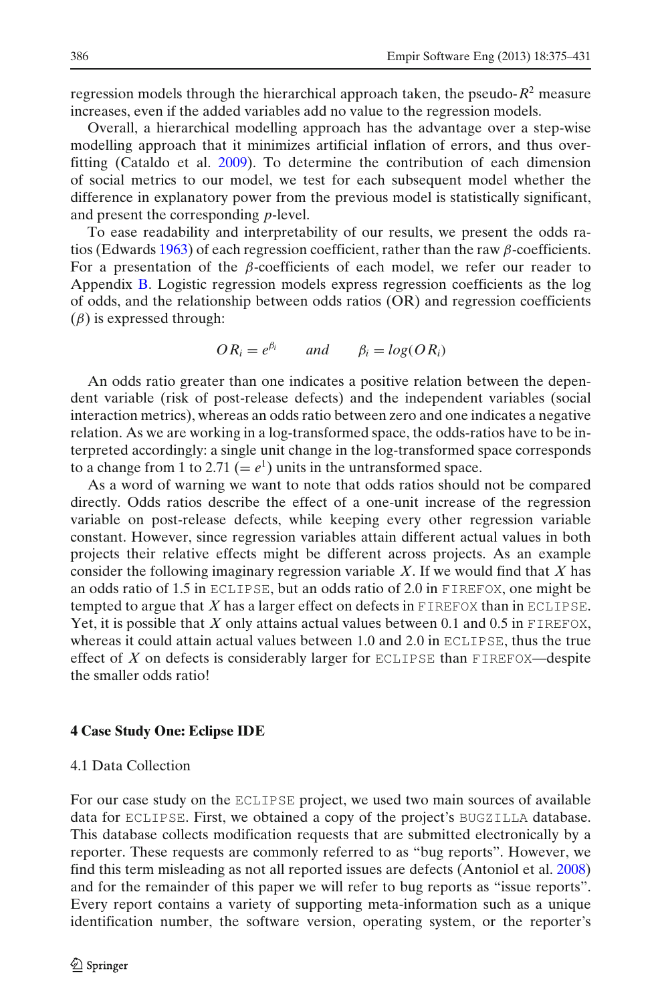<span id="page-11-0"></span>regression models through the hierarchical approach taken, the pseudo- $R^2$  measure increases, even if the added variables add no value to the regression models.

Overall, a hierarchical modelling approach has the advantage over a step-wise modelling approach that it minimizes artificial inflation of errors, and thus overfitting (Cataldo et al[.](#page-54-0) [2009](#page-54-0)). To determine the contribution of each dimension of social metrics to our model, we test for each subsequent model whether the difference in explanatory power from the previous model is statistically significant, and present the corresponding *p*-level.

To ease readability and interpretability of our results, we present the odds ratio[s](#page-54-0) (Edwards [1963\)](#page-54-0) of each regression coefficient, rather than the raw  $\beta$ -coefficients. For a presentation of the  $\beta$ -coefficients of each model, we refer our reader to Appendix [B.](#page-50-0) Logistic regression models express regression coefficients as the log of odds, and the relationship between odds ratios (OR) and regression coefficients  $(β)$  is expressed through:

$$
OR_i = e^{\beta_i}
$$
 and  $\beta_i = log(OR_i)$ 

An odds ratio greater than one indicates a positive relation between the dependent variable (risk of post-release defects) and the independent variables (social interaction metrics), whereas an odds ratio between zero and one indicates a negative relation. As we are working in a log-transformed space, the odds-ratios have to be interpreted accordingly: a single unit change in the log-transformed space corresponds to a change from 1 to 2.71 (=  $e^1$ ) units in the untransformed space.

As a word of warning we want to note that odds ratios should not be compared directly. Odds ratios describe the effect of a one-unit increase of the regression variable on post-release defects, while keeping every other regression variable constant. However, since regression variables attain different actual values in both projects their relative effects might be different across projects. As an example consider the following imaginary regression variable *X*. If we would find that *X* has an odds ratio of 1.5 in ECLIPSE, but an odds ratio of 2.0 in FIREFOX, one might be tempted to argue that  $X$  has a larger effect on defects in FIREFOX than in ECLIPSE. Yet, it is possible that  $X$  only attains actual values between 0.1 and 0.5 in  $CHAPTEREEX$ , whereas it could attain actual values between 1.0 and 2.0 in ECLIPSE, thus the true effect of *X* on defects is considerably larger for ECLIPSE than FIREFOX—despite the smaller odds ratio!

#### **4 Case Study One: Eclipse IDE**

#### 4.1 Data Collection

For our case study on the ECLIPSE project, we used two main sources of available data for ECLIPSE. First, we obtained a copy of the project's BUGZILLA database. This database collects modification requests that are submitted electronically by a reporter. These requests are commonly referred to as "bug reports". However, we find this term misleading as not all reported issues are defects (Antoniol et al[.](#page-54-0) [2008\)](#page-54-0) and for the remainder of this paper we will refer to bug reports as "issue reports". Every report contains a variety of supporting meta-information such as a unique identification number, the software version, operating system, or the reporter's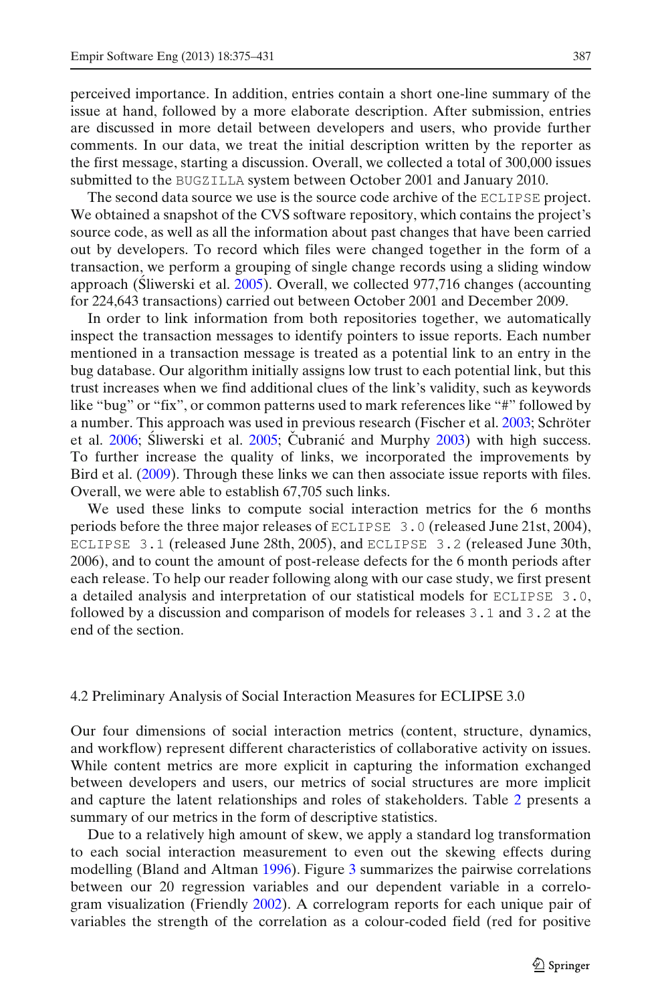<span id="page-12-0"></span>perceived importance. In addition, entries contain a short one-line summary of the issue at hand, followed by a more elaborate description. After submission, entries are discussed in more detail between developers and users, who provide further comments. In our data, we treat the initial description written by the reporter as the first message, starting a discussion. Overall, we collected a total of 300,000 issues submitted to the BUGZILLA system between October 2001 and January 2010.

The second data source we use is the source code archive of the ECLIPSE project. We obtained a snapshot of the CVS software repository, which contains the project's source code, as well as all the information about past changes that have been carried out by developers. To record which files were changed together in the form of a transaction, we perform a grouping of single change records using a sliding window approach (Sliwerski et al[.](#page-55-0)  $2005$ ). Overall, we collected 977,716 changes (accounting for 224,643 transactions) carried out between October 2001 and December 2009.

In order to link information from both repositories together, we automatically inspect the transaction messages to identify pointers to issue reports. Each number mentioned in a transaction message is treated as a potential link to an entry in the bug database. Our algorithm initially assigns low trust to each potential link, but this trust increases when we find additional clues of the link's validity, such as keywords like "bug" or "fix", or common patterns used to mark references like "#" followed by a number. This approach was used in previous research (Fischer et al[.](#page-54-0) [2003;](#page-54-0) Schröter et al[.](#page-55-0)  $2006$ ; Śliwerski et al.  $2005$ ; Čubranić and Murph[y](#page-54-0)  $2003$ ) with high success. To further increase the quality of links, we incorporated the improvements by Bird et al[.](#page-54-0) [\(2009](#page-54-0)). Through these links we can then associate issue reports with files. Overall, we were able to establish 67,705 such links.

We used these links to compute social interaction metrics for the 6 months periods before the three major releases of ECLIPSE 3.0 (released June 21st, 2004), ECLIPSE 3.1 (released June 28th, 2005), and ECLIPSE 3.2 (released June 30th, 2006), and to count the amount of post-release defects for the 6 month periods after each release. To help our reader following along with our case study, we first present a detailed analysis and interpretation of our statistical models for ECLIPSE 3.0, followed by a discussion and comparison of models for releases 3.1 and 3.2 at the end of the section.

#### 4.2 Preliminary Analysis of Social Interaction Measures for ECLIPSE 3.0

Our four dimensions of social interaction metrics (content, structure, dynamics, and workflow) represent different characteristics of collaborative activity on issues. While content metrics are more explicit in capturing the information exchanged between developers and users, our metrics of social structures are more implicit and capture the latent relationships and roles of stakeholders. Table [2](#page-13-0) presents a summary of our metrics in the form of descriptive statistics.

Due to a relatively high amount of skew, we apply a standard log transformation to each social interaction measurement to even out the skewing effects during modelling (Bland and Altma[n](#page-54-0) [1996](#page-54-0)). Figure [3](#page-13-0) summarizes the pairwise correlations between our 20 regression variables and our dependent variable in a correlogram visualization (Friendl[y](#page-54-0) [2002](#page-54-0)). A correlogram reports for each unique pair of variables the strength of the correlation as a colour-coded field (red for positive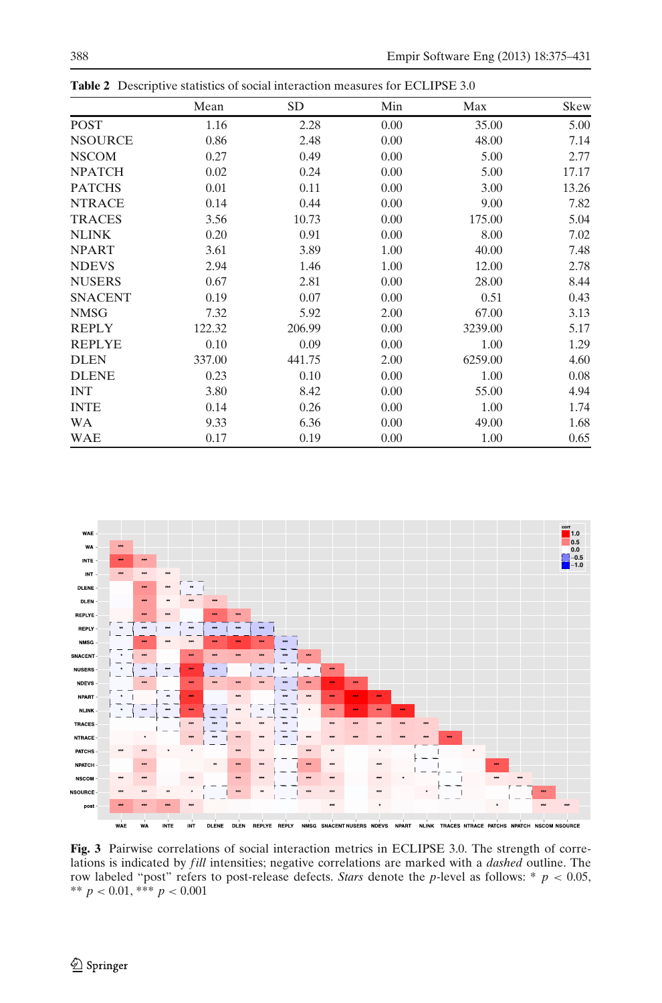|                | Mean   | SD     | Min  | Max     | Skew  |
|----------------|--------|--------|------|---------|-------|
| POST           | 1.16   | 2.28   | 0.00 | 35.00   | 5.00  |
| <b>NSOURCE</b> | 0.86   | 2.48   | 0.00 | 48.00   | 7.14  |
| <b>NSCOM</b>   | 0.27   | 0.49   | 0.00 | 5.00    | 2.77  |
| <b>NPATCH</b>  | 0.02   | 0.24   | 0.00 | 5.00    | 17.17 |
| <b>PATCHS</b>  | 0.01   | 0.11   | 0.00 | 3.00    | 13.26 |
| <b>NTRACE</b>  | 0.14   | 0.44   | 0.00 | 9.00    | 7.82  |
| <b>TRACES</b>  | 3.56   | 10.73  | 0.00 | 175.00  | 5.04  |
| <b>NLINK</b>   | 0.20   | 0.91   | 0.00 | 8.00    | 7.02  |
| <b>NPART</b>   | 3.61   | 3.89   | 1.00 | 40.00   | 7.48  |
| <b>NDEVS</b>   | 2.94   | 1.46   | 1.00 | 12.00   | 2.78  |
| <b>NUSERS</b>  | 0.67   | 2.81   | 0.00 | 28.00   | 8.44  |
| <b>SNACENT</b> | 0.19   | 0.07   | 0.00 | 0.51    | 0.43  |
| <b>NMSG</b>    | 7.32   | 5.92   | 2.00 | 67.00   | 3.13  |
| <b>REPLY</b>   | 122.32 | 206.99 | 0.00 | 3239.00 | 5.17  |
| <b>REPLYE</b>  | 0.10   | 0.09   | 0.00 | 1.00    | 1.29  |
| <b>DLEN</b>    | 337.00 | 441.75 | 2.00 | 6259.00 | 4.60  |
| <b>DLENE</b>   | 0.23   | 0.10   | 0.00 | 1.00    | 0.08  |
| <b>INT</b>     | 3.80   | 8.42   | 0.00 | 55.00   | 4.94  |
| <b>INTE</b>    | 0.14   | 0.26   | 0.00 | 1.00    | 1.74  |
| WA             | 9.33   | 6.36   | 0.00 | 49.00   | 1.68  |
| <b>WAE</b>     | 0.17   | 0.19   | 0.00 | 1.00    | 0.65  |

<span id="page-13-0"></span>**Table 2** Descriptive statistics of social interaction measures for ECLIPSE 3.0



**Fig. 3** Pairwise correlations of social interaction metrics in ECLIPSE 3.0. The strength of correlations is indicated by *f ill* intensities; negative correlations are marked with a *dashed* outline. The row labeled "post" refers to post-release defects. *Stars* denote the *p*-level as follows: \*  $p < 0.05$ , \*\* *p* < 0.01, \*\*\* *p* < 0.001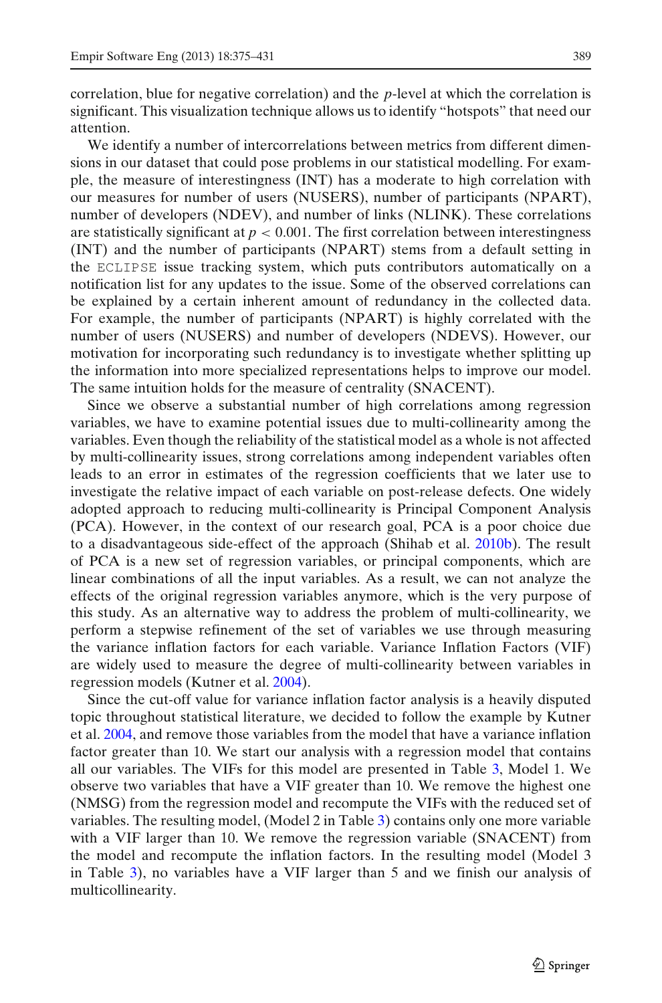correlation, blue for negative correlation) and the *p*-level at which the correlation is significant. This visualization technique allows us to identify "hotspots" that need our attention.

We identify a number of intercorrelations between metrics from different dimensions in our dataset that could pose problems in our statistical modelling. For example, the measure of interestingness (INT) has a moderate to high correlation with our measures for number of users (NUSERS), number of participants (NPART), number of developers (NDEV), and number of links (NLINK). These correlations are statistically significant at  $p < 0.001$ . The first correlation between interestingness (INT) and the number of participants (NPART) stems from a default setting in the ECLIPSE issue tracking system, which puts contributors automatically on a notification list for any updates to the issue. Some of the observed correlations can be explained by a certain inherent amount of redundancy in the collected data. For example, the number of participants (NPART) is highly correlated with the number of users (NUSERS) and number of developers (NDEVS). However, our motivation for incorporating such redundancy is to investigate whether splitting up the information into more specialized representations helps to improve our model. The same intuition holds for the measure of centrality (SNACENT).

Since we observe a substantial number of high correlations among regression variables, we have to examine potential issues due to multi-collinearity among the variables. Even though the reliability of the statistical model as a whole is not affected by multi-collinearity issues, strong correlations among independent variables often leads to an error in estimates of the regression coefficients that we later use to investigate the relative impact of each variable on post-release defects. One widely adopted approach to reducing multi-collinearity is Principal Component Analysis (PCA). However, in the context of our research goal, PCA is a poor choice due to a disadvantageous side-effect of the approach (Shihab et al[.](#page-55-0) [2010b\)](#page-55-0). The result of PCA is a new set of regression variables, or principal components, which are linear combinations of all the input variables. As a result, we can not analyze the effects of the original regression variables anymore, which is the very purpose of this study. As an alternative way to address the problem of multi-collinearity, we perform a stepwise refinement of the set of variables we use through measuring the variance inflation factors for each variable. Variance Inflation Factors (VIF) are widely used to measure the degree of multi-collinearity between variables in regression models (Kutner et al[.](#page-54-0) [2004](#page-54-0)).

Since the cut-off value for variance inflation factor analysis is a heavily disputed topic throughout statistical literature, we decided to follow the example by Kutner et al. [2004,](#page-54-0) and remove those variables from the model that have a variance inflation factor greater than 10. We start our analysis with a regression model that contains all our variables. The VIFs for this model are presented in Table [3,](#page-15-0) Model 1. We observe two variables that have a VIF greater than 10. We remove the highest one (NMSG) from the regression model and recompute the VIFs with the reduced set of variables. The resulting model, (Model 2 in Table [3\)](#page-15-0) contains only one more variable with a VIF larger than 10. We remove the regression variable (SNACENT) from the model and recompute the inflation factors. In the resulting model (Model 3 in Table [3\)](#page-15-0), no variables have a VIF larger than 5 and we finish our analysis of multicollinearity.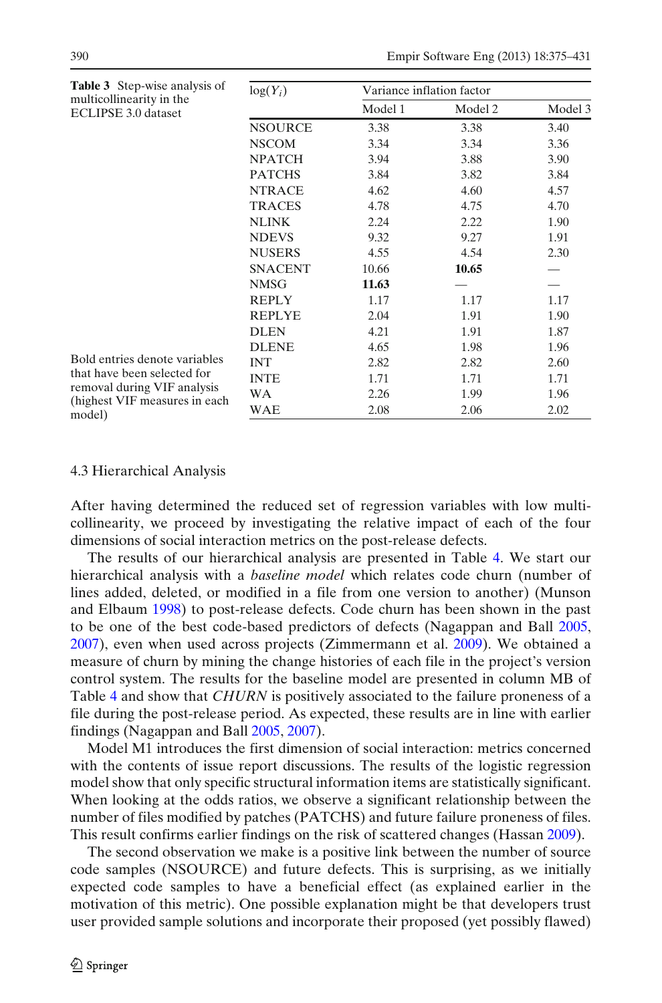<span id="page-15-0"></span>

| <b>Table 3</b> Step-wise analysis of<br>multicollinearity in the | $log(Y_i)$     | Variance inflation factor |         |         |  |  |  |  |
|------------------------------------------------------------------|----------------|---------------------------|---------|---------|--|--|--|--|
| ECLIPSE 3.0 dataset                                              |                | Model 1                   | Model 2 | Model 3 |  |  |  |  |
|                                                                  | <b>NSOURCE</b> | 3.38                      | 3.38    | 3.40    |  |  |  |  |
|                                                                  | <b>NSCOM</b>   | 3.34                      | 3.34    | 3.36    |  |  |  |  |
|                                                                  | <b>NPATCH</b>  | 3.94                      | 3.88    | 3.90    |  |  |  |  |
|                                                                  | <b>PATCHS</b>  | 3.84                      | 3.82    | 3.84    |  |  |  |  |
|                                                                  | <b>NTRACE</b>  | 4.62                      | 4.60    | 4.57    |  |  |  |  |
|                                                                  | <b>TRACES</b>  | 4.78                      | 4.75    | 4.70    |  |  |  |  |
|                                                                  | <b>NLINK</b>   | 2.24                      | 2.22    | 1.90    |  |  |  |  |
|                                                                  | <b>NDEVS</b>   | 9.32                      | 9.27    | 1.91    |  |  |  |  |
|                                                                  | <b>NUSERS</b>  | 4.55                      | 4.54    | 2.30    |  |  |  |  |
|                                                                  | <b>SNACENT</b> | 10.66                     | 10.65   |         |  |  |  |  |
|                                                                  | <b>NMSG</b>    | 11.63                     |         |         |  |  |  |  |
|                                                                  | <b>REPLY</b>   | 1.17                      | 1.17    | 1.17    |  |  |  |  |
|                                                                  | <b>REPLYE</b>  | 2.04                      | 1.91    | 1.90    |  |  |  |  |
|                                                                  | <b>DLEN</b>    | 4.21                      | 1.91    | 1.87    |  |  |  |  |
|                                                                  | <b>DLENE</b>   | 4.65                      | 1.98    | 1.96    |  |  |  |  |
| Bold entries denote variables                                    | <b>INT</b>     | 2.82                      | 2.82    | 2.60    |  |  |  |  |
| that have been selected for                                      | <b>INTE</b>    | 1.71                      | 1.71    | 1.71    |  |  |  |  |
| removal during VIF analysis                                      | WA             | 2.26                      | 1.99    | 1.96    |  |  |  |  |
| (highest VIF measures in each)<br>model)                         | WAE            | 2.08                      | 2.06    | 2.02    |  |  |  |  |

#### 4.3 Hierarchical Analysis

After having determined the reduced set of regression variables with low multicollinearity, we proceed by investigating the relative impact of each of the four dimensions of social interaction metrics on the post-release defects.

The results of our hierarchical analysis are presented in Table [4.](#page-16-0) We start our hierarchical analysis with a *baseline model* which relates code churn (number of lines added, deleted, or modified in a file from one version to another) (Munson and Elbau[m](#page-55-0) [1998](#page-55-0)) to post-release defects. Code churn has been shown in the past to be one of the best code-based predictors of defects (Nagappan and Ball [2005](#page-55-0), [2007\)](#page-55-0), even when used across projects (Zimmermann et al[.](#page-55-0) [2009](#page-55-0)). We obtained a measure of churn by mining the change histories of each file in the project's version control system. The results for the baseline model are presented in column MB of Table [4](#page-16-0) and show that *CHURN* is positively associated to the failure proneness of a file during the post-release period. As expected, these results are in line with earlier findings (Nagappan and Bal[l](#page-55-0) [2005](#page-55-0), [2007\)](#page-55-0).

Model M1 introduces the first dimension of social interaction: metrics concerned with the contents of issue report discussions. The results of the logistic regression model show that only specific structural information items are statistically significant. When looking at the odds ratios, we observe a significant relationship between the number of files modified by patches (PATCHS) and future failure proneness of files. This result confirms earlier findings on the risk of scattered changes (Hassa[n](#page-54-0) [2009\)](#page-54-0).

The second observation we make is a positive link between the number of source code samples (NSOURCE) and future defects. This is surprising, as we initially expected code samples to have a beneficial effect (as explained earlier in the motivation of this metric). One possible explanation might be that developers trust user provided sample solutions and incorporate their proposed (yet possibly flawed)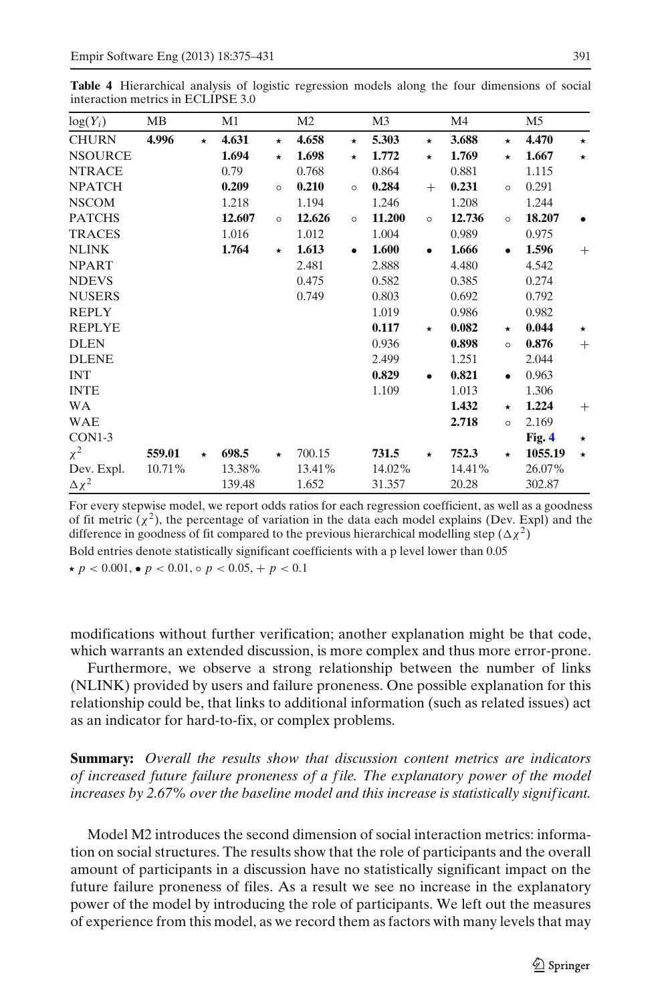| $log(Y_i)$      | MB     |         | M1     |         | M <sub>2</sub> |           | M3     |           | M4     |           | M5      |         |
|-----------------|--------|---------|--------|---------|----------------|-----------|--------|-----------|--------|-----------|---------|---------|
| <b>CHURN</b>    | 4.996  | $\star$ | 4.631  | $\star$ | 4.658          | $\star$   | 5.303  | $\star$   | 3.688  | $\star$   | 4.470   | $\star$ |
| <b>NSOURCE</b>  |        |         | 1.694  | $\star$ | 1.698          | $\star$   | 1.772  | $\star$   | 1.769  | $\star$   | 1.667   | $\star$ |
| <b>NTRACE</b>   |        |         | 0.79   |         | 0.768          |           | 0.864  |           | 0.881  |           | 1.115   |         |
| <b>NPATCH</b>   |        |         | 0.209  | $\circ$ | 0.210          | $\circ$   | 0.284  | $^{+}$    | 0.231  | $\circ$   | 0.291   |         |
| <b>NSCOM</b>    |        |         | 1.218  |         | 1.194          |           | 1.246  |           | 1.208  |           | 1.244   |         |
| <b>PATCHS</b>   |        |         | 12.607 | $\circ$ | 12.626         | $\circ$   | 11.200 | $\circ$   | 12.736 | $\circ$   | 18.207  |         |
| <b>TRACES</b>   |        |         | 1.016  |         | 1.012          |           | 1.004  |           | 0.989  |           | 0.975   |         |
| <b>NLINK</b>    |        |         | 1.764  | $\star$ | 1.613          | $\bullet$ | 1.600  | $\bullet$ | 1.666  | $\bullet$ | 1.596   | $+$     |
| <b>NPART</b>    |        |         |        |         | 2.481          |           | 2.888  |           | 4.480  |           | 4.542   |         |
| <b>NDEVS</b>    |        |         |        |         | 0.475          |           | 0.582  |           | 0.385  |           | 0.274   |         |
| <b>NUSERS</b>   |        |         |        |         | 0.749          |           | 0.803  |           | 0.692  |           | 0.792   |         |
| <b>REPLY</b>    |        |         |        |         |                |           | 1.019  |           | 0.986  |           | 0.982   |         |
| <b>REPLYE</b>   |        |         |        |         |                |           | 0.117  | $\star$   | 0.082  | $\star$   | 0.044   | $\star$ |
| <b>DLEN</b>     |        |         |        |         |                |           | 0.936  |           | 0.898  | $\circ$   | 0.876   | $+$     |
| <b>DLENE</b>    |        |         |        |         |                |           | 2.499  |           | 1.251  |           | 2.044   |         |
| <b>INT</b>      |        |         |        |         |                |           | 0.829  |           | 0.821  | $\bullet$ | 0.963   |         |
| <b>INTE</b>     |        |         |        |         |                |           | 1.109  |           | 1.013  |           | 1.306   |         |
| WA              |        |         |        |         |                |           |        |           | 1.432  | $\star$   | 1.224   | $^{+}$  |
| <b>WAE</b>      |        |         |        |         |                |           |        |           | 2.718  | $\circ$   | 2.169   |         |
| $CON1-3$        |        |         |        |         |                |           |        |           |        |           | Fig. 4  | $\star$ |
| $\chi^2$        | 559.01 | $\star$ | 698.5  | $\star$ | 700.15         |           | 731.5  | $\star$   | 752.3  | $\star$   | 1055.19 | $\star$ |
| Dev. Expl.      | 10.71% |         | 13.38% |         | 13.41%         |           | 14.02% |           | 14.41% |           | 26.07%  |         |
| $\Delta \chi^2$ |        |         | 139.48 |         | 1.652          |           | 31.357 |           | 20.28  |           | 302.87  |         |

<span id="page-16-0"></span>**Table 4** Hierarchical analysis of logistic regression models along the four dimensions of social interaction metrics in ECLIPSE 3.0

For every stepwise model, we report odds ratios for each regression coefficient, as well as a goodness of fit metric  $(\chi^2)$ , the percentage of variation in the data each model explains (Dev. Expl) and the difference in goodness of fit compared to the previous hierarchical modelling step  $(\Delta \chi^2)$ Bold entries denote statistically significant coefficients with a p level lower than 0.05  $p \neq 0.001$ ,  $p \neq 0.01$ ,  $p \neq 0.05$ ,  $p \neq 0.1$ 

modifications without further verification; another explanation might be that code, which warrants an extended discussion, is more complex and thus more error-prone.

Furthermore, we observe a strong relationship between the number of links (NLINK) provided by users and failure proneness. One possible explanation for this relationship could be, that links to additional information (such as related issues) act as an indicator for hard-to-fix, or complex problems.

**Summary:** *Overall the results show that discussion content metrics are indicators of increased future failure proneness of a f ile. The explanatory power of the model increases by 2.67% over the baseline model and this increase is statistically signif icant.*

Model M2 introduces the second dimension of social interaction metrics: information on social structures. The results show that the role of participants and the overall amount of participants in a discussion have no statistically significant impact on the future failure proneness of files. As a result we see no increase in the explanatory power of the model by introducing the role of participants. We left out the measures of experience from this model, as we record them as factors with many levels that may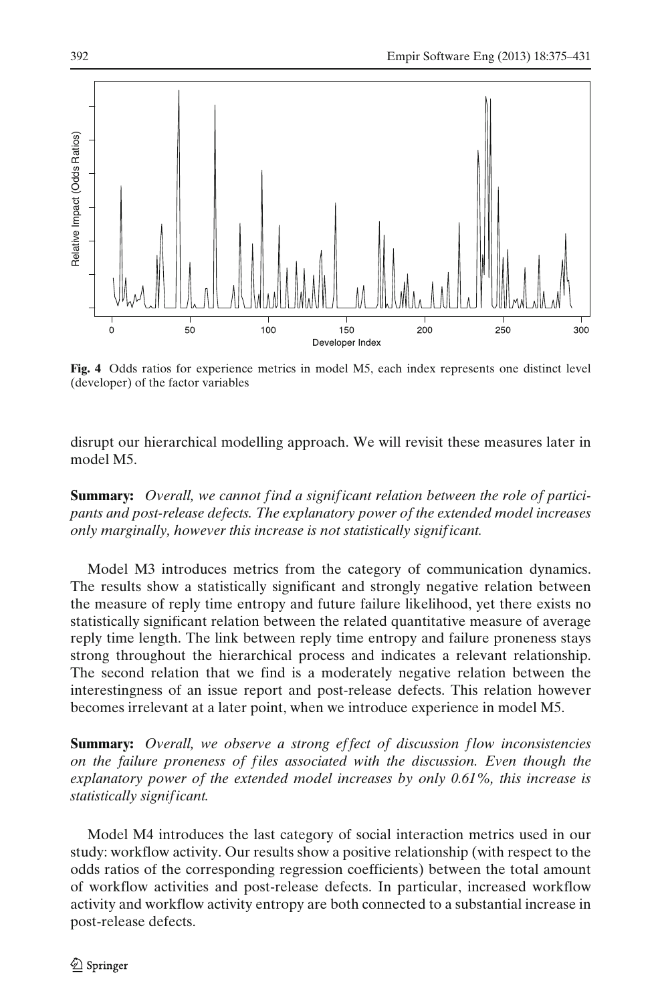<span id="page-17-0"></span>

**Fig. 4** Odds ratios for experience metrics in model M5, each index represents one distinct level (developer) of the factor variables

disrupt our hierarchical modelling approach. We will revisit these measures later in model M5.

**Summary:** Overall, we cannot find a significant relation between the role of partici*pants and post-release defects. The explanatory power of the extended model increases only marginally, however this increase is not statistically signif icant.*

Model M3 introduces metrics from the category of communication dynamics. The results show a statistically significant and strongly negative relation between the measure of reply time entropy and future failure likelihood, yet there exists no statistically significant relation between the related quantitative measure of average reply time length. The link between reply time entropy and failure proneness stays strong throughout the hierarchical process and indicates a relevant relationship. The second relation that we find is a moderately negative relation between the interestingness of an issue report and post-release defects. This relation however becomes irrelevant at a later point, when we introduce experience in model M5.

**Summary:** *Overall, we observe a strong ef fect of discussion f low inconsistencies on the failure proneness of f iles associated with the discussion. Even though the explanatory power of the extended model increases by only 0.61%, this increase is statistically signif icant.*

Model M4 introduces the last category of social interaction metrics used in our study: workflow activity. Our results show a positive relationship (with respect to the odds ratios of the corresponding regression coefficients) between the total amount of workflow activities and post-release defects. In particular, increased workflow activity and workflow activity entropy are both connected to a substantial increase in post-release defects.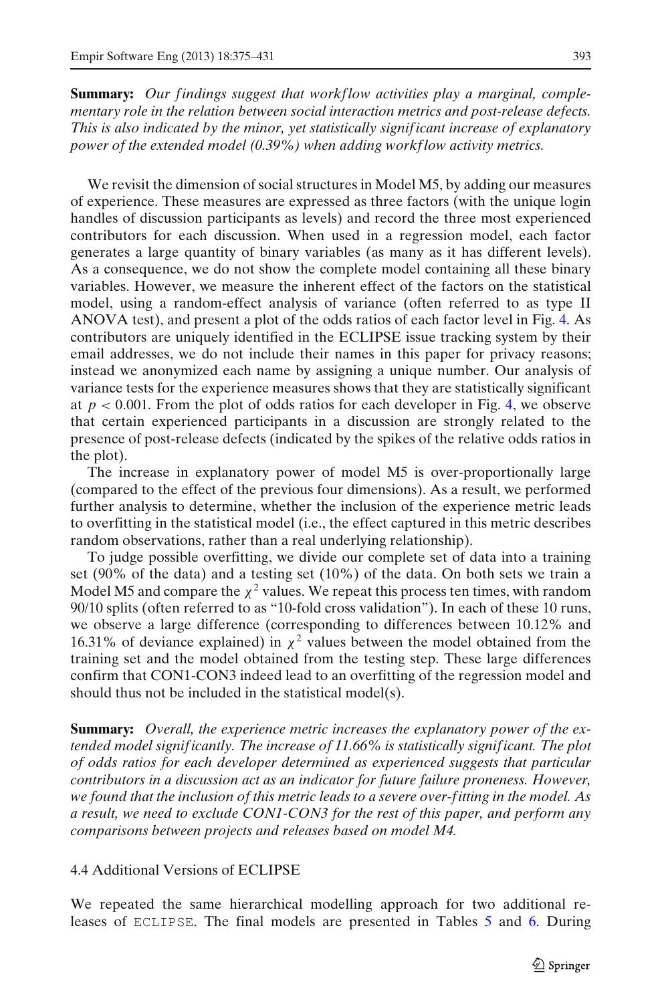**Summary:** Our findings suggest that workflow activities play a marginal, comple*mentary role in the relation between social interaction metrics and post-release defects. This is also indicated by the minor, yet statistically signif icant increase of explanatory power of the extended model (0.39%) when adding workf low activity metrics.*

We revisit the dimension of social structures in Model M5, by adding our measures of experience. These measures are expressed as three factors (with the unique login handles of discussion participants as levels) and record the three most experienced contributors for each discussion. When used in a regression model, each factor generates a large quantity of binary variables (as many as it has different levels). As a consequence, we do not show the complete model containing all these binary variables. However, we measure the inherent effect of the factors on the statistical model, using a random-effect analysis of variance (often referred to as type II ANOVA test), and present a plot of the odds ratios of each factor level in Fig. [4.](#page-17-0) As contributors are uniquely identified in the ECLIPSE issue tracking system by their email addresses, we do not include their names in this paper for privacy reasons; instead we anonymized each name by assigning a unique number. Our analysis of variance tests for the experience measures shows that they are statistically significant at  $p < 0.001$ . From the plot of odds ratios for each developer in Fig. [4,](#page-17-0) we observe that certain experienced participants in a discussion are strongly related to the presence of post-release defects (indicated by the spikes of the relative odds ratios in the plot).

The increase in explanatory power of model M5 is over-proportionally large (compared to the effect of the previous four dimensions). As a result, we performed further analysis to determine, whether the inclusion of the experience metric leads to overfitting in the statistical model (i.e., the effect captured in this metric describes random observations, rather than a real underlying relationship).

To judge possible overfitting, we divide our complete set of data into a training set (90% of the data) and a testing set (10%) of the data. On both sets we train a Model M5 and compare the  $\chi^2$  values. We repeat this process ten times, with random 90/10 splits (often referred to as "10-fold cross validation"). In each of these 10 runs, we observe a large difference (corresponding to differences between 10.12% and 16.31% of deviance explained) in  $\chi^2$  values between the model obtained from the training set and the model obtained from the testing step. These large differences confirm that CON1-CON3 indeed lead to an overfitting of the regression model and should thus not be included in the statistical model(s).

**Summary:** *Overall, the experience metric increases the explanatory power of the extended model signif icantly. The increase of 11.66% is statistically signif icant. The plot of odds ratios for each developer determined as experienced suggests that particular contributors in a discussion act as an indicator for future failure proneness. However, we found that the inclusion of this metric leads to a severe over-f itting in the model. As a result, we need to exclude CON1-CON3 for the rest of this paper, and perform any comparisons between projects and releases based on model M4.*

#### 4.4 Additional Versions of ECLIPSE

We repeated the same hierarchical modelling approach for two additional releases of ECLIPSE. The final models are presented in Tables [5](#page-19-0) and [6.](#page-20-0) During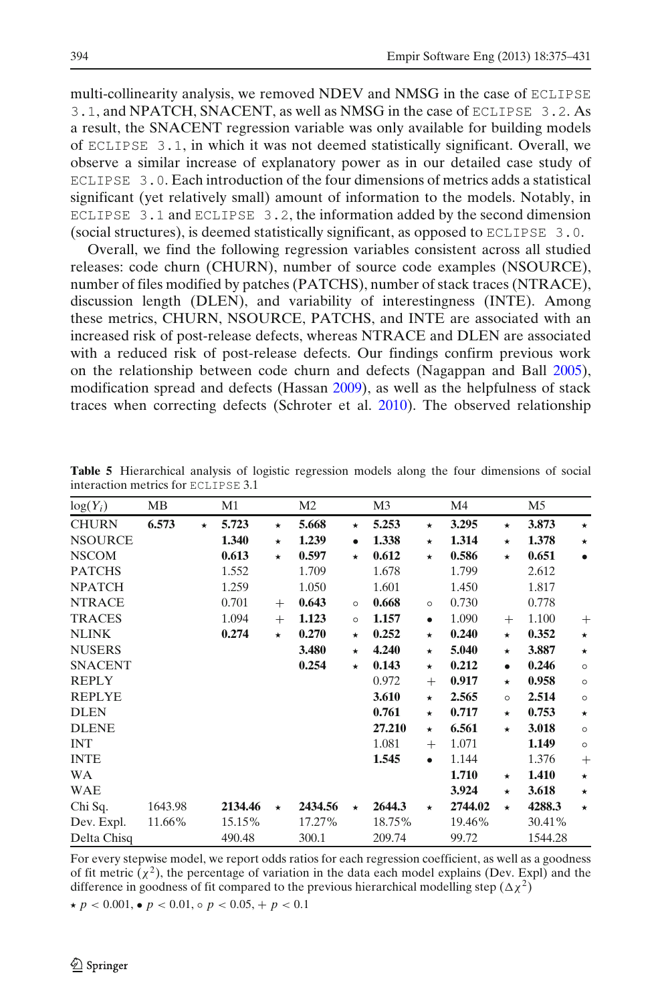<span id="page-19-0"></span>multi-collinearity analysis, we removed NDEV and NMSG in the case of ECLIPSE 3.1, and NPATCH, SNACENT, as well as NMSG in the case of ECLIPSE 3.2. As a result, the SNACENT regression variable was only available for building models of ECLIPSE 3.1, in which it was not deemed statistically significant. Overall, we observe a similar increase of explanatory power as in our detailed case study of ECLIPSE 3.0. Each introduction of the four dimensions of metrics adds a statistical significant (yet relatively small) amount of information to the models. Notably, in ECLIPSE 3.1 and ECLIPSE 3.2, the information added by the second dimension (social structures), is deemed statistically significant, as opposed to ECLIPSE 3.0.

Overall, we find the following regression variables consistent across all studied releases: code churn (CHURN), number of source code examples (NSOURCE), number of files modified by patches (PATCHS), number of stack traces (NTRACE), discussion length (DLEN), and variability of interestingness (INTE). Among these metrics, CHURN, NSOURCE, PATCHS, and INTE are associated with an increased risk of post-release defects, whereas NTRACE and DLEN are associated with a reduced risk of post-release defects. Our findings confirm previous work on the relationship between code churn and defects (Nagappan and Bal[l](#page-55-0) [2005\)](#page-55-0), modification spread and defects (Hassa[n](#page-54-0) [2009](#page-54-0)), as well as the helpfulness of stack traces when correcting defects (Schroter et al[.](#page-55-0) [2010](#page-55-0)). The observed relationship

| $log(Y_i)$     | MB      |         | M1      |         | M <sub>2</sub> |           | M <sub>3</sub> |           | M4      |           | M5      |           |
|----------------|---------|---------|---------|---------|----------------|-----------|----------------|-----------|---------|-----------|---------|-----------|
| <b>CHURN</b>   | 6.573   | $\star$ | 5.723   | $\star$ | 5.668          | $\star$   | 5.253          | $\star$   | 3.295   | $\star$   | 3.873   | $\star$   |
| <b>NSOURCE</b> |         |         | 1.340   | $\star$ | 1.239          | $\bullet$ | 1.338          | $\star$   | 1.314   | $\star$   | 1.378   | $\star$   |
| <b>NSCOM</b>   |         |         | 0.613   | $\star$ | 0.597          | $\star$   | 0.612          | $\star$   | 0.586   | $\star$   | 0.651   | $\bullet$ |
| <b>PATCHS</b>  |         |         | 1.552   |         | 1.709          |           | 1.678          |           | 1.799   |           | 2.612   |           |
| <b>NPATCH</b>  |         |         | 1.259   |         | 1.050          |           | 1.601          |           | 1.450   |           | 1.817   |           |
| <b>NTRACE</b>  |         |         | 0.701   | $^{+}$  | 0.643          | $\circ$   | 0.668          | $\circ$   | 0.730   |           | 0.778   |           |
| <b>TRACES</b>  |         |         | 1.094   | $^{+}$  | 1.123          | $\circ$   | 1.157          | $\bullet$ | 1.090   | $^{+}$    | 1.100   | $^{+}$    |
| <b>NLINK</b>   |         |         | 0.274   | $\star$ | 0.270          | $\star$   | 0.252          | $\star$   | 0.240   | $\star$   | 0.352   | $\star$   |
| <b>NUSERS</b>  |         |         |         |         | 3.480          | $\star$   | 4.240          | $\star$   | 5.040   | $\star$   | 3.887   | $\star$   |
| <b>SNACENT</b> |         |         |         |         | 0.254          | $\star$   | 0.143          | $\star$   | 0.212   | $\bullet$ | 0.246   | $\circ$   |
| <b>REPLY</b>   |         |         |         |         |                |           | 0.972          | $^{+}$    | 0.917   | $\star$   | 0.958   | $\circ$   |
| <b>REPLYE</b>  |         |         |         |         |                |           | 3.610          | $\star$   | 2.565   | $\circ$   | 2.514   | $\circ$   |
| <b>DLEN</b>    |         |         |         |         |                |           | 0.761          | $\star$   | 0.717   | $\star$   | 0.753   | $\star$   |
| <b>DLENE</b>   |         |         |         |         |                |           | 27.210         | $\star$   | 6.561   | $\star$   | 3.018   | $\circ$   |
| <b>INT</b>     |         |         |         |         |                |           | 1.081          | $^{+}$    | 1.071   |           | 1.149   | $\circ$   |
| <b>INTE</b>    |         |         |         |         |                |           | 1.545          | $\bullet$ | 1.144   |           | 1.376   | $^{+}$    |
| <b>WA</b>      |         |         |         |         |                |           |                |           | 1.710   | $\star$   | 1.410   | $\star$   |
| <b>WAE</b>     |         |         |         |         |                |           |                |           | 3.924   | $\star$   | 3.618   | $\star$   |
| Chi Sq.        | 1643.98 |         | 2134.46 | $\star$ | 2434.56        | $\star$   | 2644.3         | $\star$   | 2744.02 | $\star$   | 4288.3  | $\star$   |
| Dev. Expl.     | 11.66%  |         | 15.15%  |         | 17.27%         |           | 18.75%         |           | 19.46%  |           | 30.41%  |           |
| Delta Chisq    |         |         | 490.48  |         | 300.1          |           | 209.74         |           | 99.72   |           | 1544.28 |           |
|                |         |         |         |         |                |           |                |           |         |           |         |           |

**Table 5** Hierarchical analysis of logistic regression models along the four dimensions of social interaction metrics for ECLIPSE 3.1

For every stepwise model, we report odds ratios for each regression coefficient, as well as a goodness of fit metric  $(\chi^2)$ , the percentage of variation in the data each model explains (Dev. Expl) and the difference in goodness of fit compared to the previous hierarchical modelling step ( $\Delta \chi^2$ )

*★*  $p$  < 0.001, ●  $p$  < 0.01, ○  $p$  < 0.05, +  $p$  < 0.1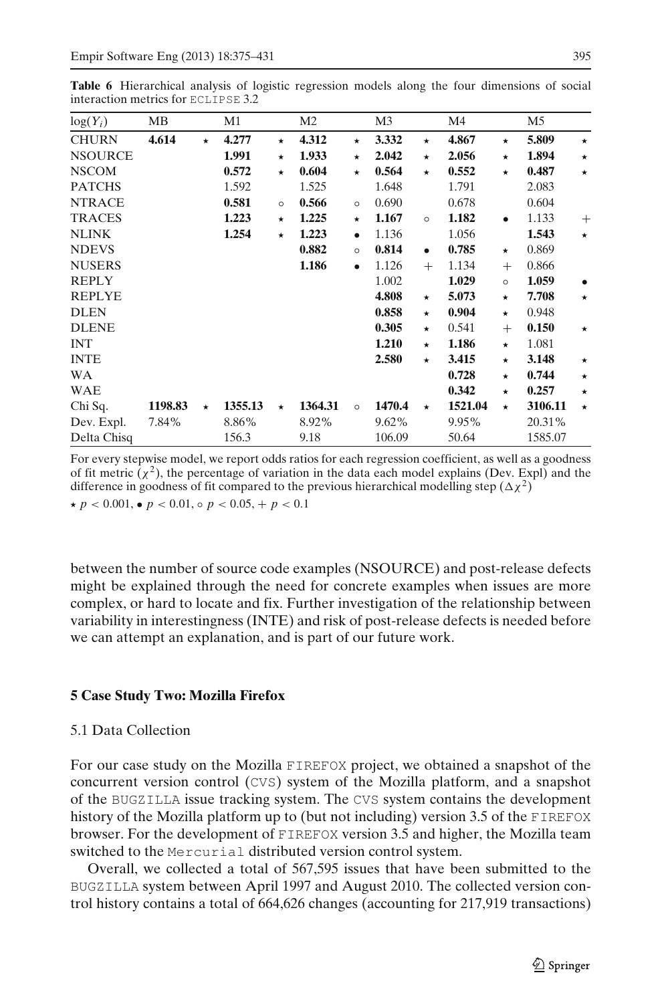| $log(Y_i)$     | MВ      |         | М1      |         | M2      |           | M3     |           | M4      |           | M5      |         |
|----------------|---------|---------|---------|---------|---------|-----------|--------|-----------|---------|-----------|---------|---------|
| <b>CHURN</b>   | 4.614   | $\star$ | 4.277   | $\star$ | 4.312   | $\star$   | 3.332  | $\star$   | 4.867   | $\star$   | 5.809   | $\star$ |
| <b>NSOURCE</b> |         |         | 1.991   | $\star$ | 1.933   | $\star$   | 2.042  | $\star$   | 2.056   | $\star$   | 1.894   | $\star$ |
| <b>NSCOM</b>   |         |         | 0.572   | $\star$ | 0.604   | $\star$   | 0.564  | $\star$   | 0.552   | $\star$   | 0.487   | $\star$ |
| <b>PATCHS</b>  |         |         | 1.592   |         | 1.525   |           | 1.648  |           | 1.791   |           | 2.083   |         |
| <b>NTRACE</b>  |         |         | 0.581   | $\circ$ | 0.566   | $\circ$   | 0.690  |           | 0.678   |           | 0.604   |         |
| <b>TRACES</b>  |         |         | 1.223   | $\star$ | 1.225   | $\star$   | 1.167  | $\circ$   | 1.182   | $\bullet$ | 1.133   | $^{+}$  |
| <b>NLINK</b>   |         |         | 1.254   | $\star$ | 1.223   | $\bullet$ | 1.136  |           | 1.056   |           | 1.543   | $\star$ |
| <b>NDEVS</b>   |         |         |         |         | 0.882   | $\circ$   | 0.814  | $\bullet$ | 0.785   | $\star$   | 0.869   |         |
| <b>NUSERS</b>  |         |         |         |         | 1.186   | $\bullet$ | 1.126  | $^{+}$    | 1.134   | $^{+}$    | 0.866   |         |
| <b>REPLY</b>   |         |         |         |         |         |           | 1.002  |           | 1.029   | $\circ$   | 1.059   |         |
| <b>REPLYE</b>  |         |         |         |         |         |           | 4.808  | $\star$   | 5.073   | $\star$   | 7.708   | $\star$ |
| <b>DLEN</b>    |         |         |         |         |         |           | 0.858  | $\star$   | 0.904   | $\star$   | 0.948   |         |
| <b>DLENE</b>   |         |         |         |         |         |           | 0.305  | $\star$   | 0.541   | $^{+}$    | 0.150   | $\star$ |
| <b>INT</b>     |         |         |         |         |         |           | 1.210  | $\star$   | 1.186   | $\star$   | 1.081   |         |
| <b>INTE</b>    |         |         |         |         |         |           | 2.580  | $\star$   | 3.415   | $\star$   | 3.148   | $\star$ |
| <b>WA</b>      |         |         |         |         |         |           |        |           | 0.728   | $\star$   | 0.744   | $\star$ |
| <b>WAE</b>     |         |         |         |         |         |           |        |           | 0.342   | $\star$   | 0.257   | $\star$ |
| Chi Sq.        | 1198.83 | $\star$ | 1355.13 | $\star$ | 1364.31 | $\circ$   | 1470.4 | $\star$   | 1521.04 | $\star$   | 3106.11 | $\star$ |
| Dev. Expl.     | 7.84%   |         | 8.86%   |         | 8.92%   |           | 9.62%  |           | 9.95%   |           | 20.31%  |         |
| Delta Chisq    |         |         | 156.3   |         | 9.18    |           | 106.09 |           | 50.64   |           | 1585.07 |         |

<span id="page-20-0"></span>**Table 6** Hierarchical analysis of logistic regression models along the four dimensions of social interaction metrics for ECLIPSE 3.2

For every stepwise model, we report odds ratios for each regression coefficient, as well as a goodness of fit metric  $(\chi^2)$ , the percentage of variation in the data each model explains (Dev. Expl) and the difference in goodness of fit compared to the previous hierarchical modelling step  $(\Delta \chi^2)$  $p \neq 0.001$ ,  $p \neq 0.01$ ,  $p \neq 0.05$ ,  $p \neq 0.1$ 

between the number of source code examples (NSOURCE) and post-release defects might be explained through the need for concrete examples when issues are more complex, or hard to locate and fix. Further investigation of the relationship between variability in interestingness (INTE) and risk of post-release defects is needed before we can attempt an explanation, and is part of our future work.

#### **5 Case Study Two: Mozilla Firefox**

#### 5.1 Data Collection

For our case study on the Mozilla FIREFOX project, we obtained a snapshot of the concurrent version control (CVS) system of the Mozilla platform, and a snapshot of the BUGZILLA issue tracking system. The CVS system contains the development history of the Mozilla platform up to (but not including) version 3.5 of the FIREFOX browser. For the development of FIREFOX version 3.5 and higher, the Mozilla team switched to the Mercurial distributed version control system.

Overall, we collected a total of 567,595 issues that have been submitted to the BUGZILLA system between April 1997 and August 2010. The collected version control history contains a total of 664,626 changes (accounting for 217,919 transactions)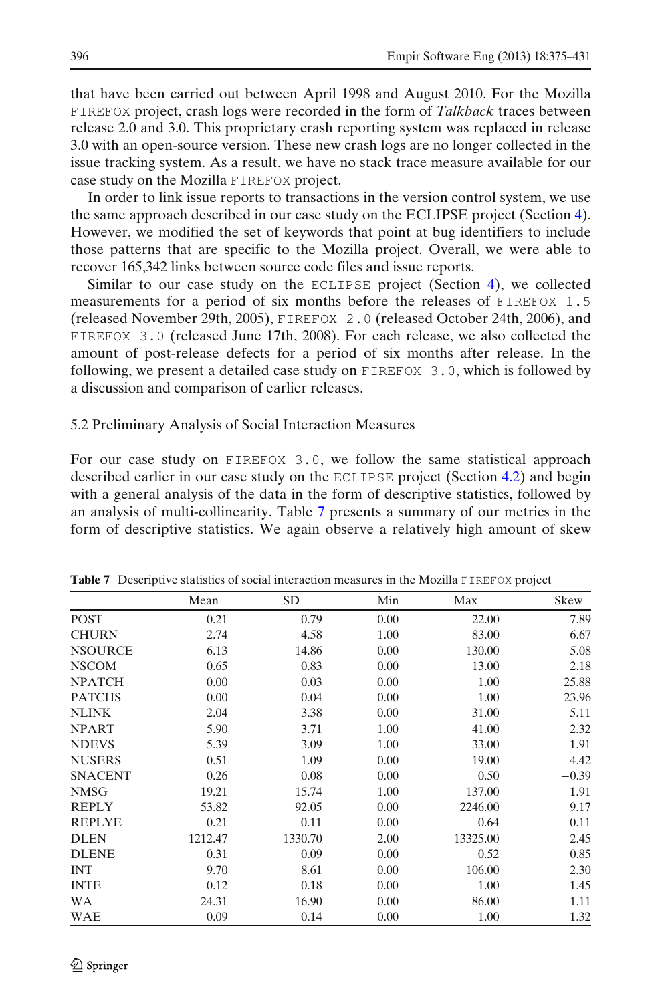<span id="page-21-0"></span>that have been carried out between April 1998 and August 2010. For the Mozilla FIREFOX project, crash logs were recorded in the form of *Talkback* traces between release 2.0 and 3.0. This proprietary crash reporting system was replaced in release 3.0 with an open-source version. These new crash logs are no longer collected in the issue tracking system. As a result, we have no stack trace measure available for our case study on the Mozilla FIREFOX project.

In order to link issue reports to transactions in the version control system, we use the same approach described in our case study on the ECLIPSE project (Section [4\)](#page-11-0). However, we modified the set of keywords that point at bug identifiers to include those patterns that are specific to the Mozilla project. Overall, we were able to recover 165,342 links between source code files and issue reports.

Similar to our case study on the ECLIPSE project (Section [4\)](#page-11-0), we collected measurements for a period of six months before the releases of FIREFOX 1.5 (released November 29th, 2005), FIREFOX 2.0 (released October 24th, 2006), and FIREFOX 3.0 (released June 17th, 2008). For each release, we also collected the amount of post-release defects for a period of six months after release. In the following, we present a detailed case study on FIREFOX 3.0, which is followed by a discussion and comparison of earlier releases.

### 5.2 Preliminary Analysis of Social Interaction Measures

For our case study on FIREFOX 3.0, we follow the same statistical approach described earlier in our case study on the ECLIPSE project (Section [4.2\)](#page-12-0) and begin with a general analysis of the data in the form of descriptive statistics, followed by an analysis of multi-collinearity. Table 7 presents a summary of our metrics in the form of descriptive statistics. We again observe a relatively high amount of skew

|                | Mean    | SD      | Min  | Max      | Skew    |
|----------------|---------|---------|------|----------|---------|
| <b>POST</b>    | 0.21    | 0.79    | 0.00 | 22.00    | 7.89    |
| <b>CHURN</b>   | 2.74    | 4.58    | 1.00 | 83.00    | 6.67    |
| <b>NSOURCE</b> | 6.13    | 14.86   | 0.00 | 130.00   | 5.08    |
| <b>NSCOM</b>   | 0.65    | 0.83    | 0.00 | 13.00    | 2.18    |
| <b>NPATCH</b>  | 0.00    | 0.03    | 0.00 | 1.00     | 25.88   |
| <b>PATCHS</b>  | 0.00    | 0.04    | 0.00 | 1.00     | 23.96   |
| <b>NLINK</b>   | 2.04    | 3.38    | 0.00 | 31.00    | 5.11    |
| <b>NPART</b>   | 5.90    | 3.71    | 1.00 | 41.00    | 2.32    |
| <b>NDEVS</b>   | 5.39    | 3.09    | 1.00 | 33.00    | 1.91    |
| <b>NUSERS</b>  | 0.51    | 1.09    | 0.00 | 19.00    | 4.42    |
| <b>SNACENT</b> | 0.26    | 0.08    | 0.00 | 0.50     | $-0.39$ |
| <b>NMSG</b>    | 19.21   | 15.74   | 1.00 | 137.00   | 1.91    |
| <b>REPLY</b>   | 53.82   | 92.05   | 0.00 | 2246.00  | 9.17    |
| <b>REPLYE</b>  | 0.21    | 0.11    | 0.00 | 0.64     | 0.11    |
| <b>DLEN</b>    | 1212.47 | 1330.70 | 2.00 | 13325.00 | 2.45    |
| <b>DLENE</b>   | 0.31    | 0.09    | 0.00 | 0.52     | $-0.85$ |
| <b>INT</b>     | 9.70    | 8.61    | 0.00 | 106.00   | 2.30    |
| <b>INTE</b>    | 0.12    | 0.18    | 0.00 | 1.00     | 1.45    |
| WA             | 24.31   | 16.90   | 0.00 | 86.00    | 1.11    |
| <b>WAE</b>     | 0.09    | 0.14    | 0.00 | 1.00     | 1.32    |

**Table 7** Descriptive statistics of social interaction measures in the Mozilla FIREFOX project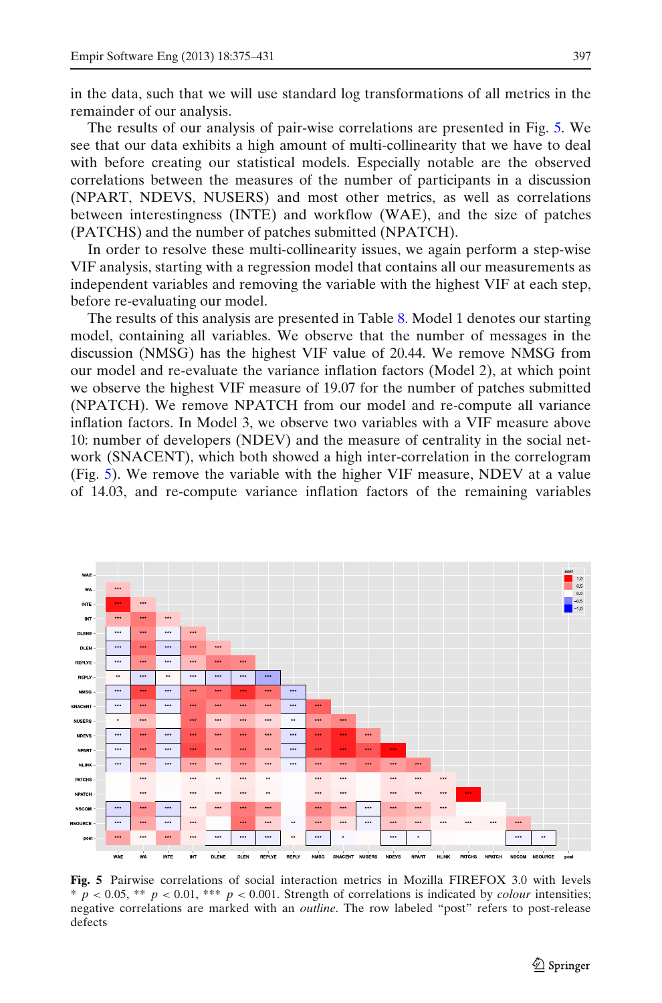in the data, such that we will use standard log transformations of all metrics in the remainder of our analysis.

The results of our analysis of pair-wise correlations are presented in Fig. 5. We see that our data exhibits a high amount of multi-collinearity that we have to deal with before creating our statistical models. Especially notable are the observed correlations between the measures of the number of participants in a discussion (NPART, NDEVS, NUSERS) and most other metrics, as well as correlations between interestingness (INTE) and workflow (WAE), and the size of patches (PATCHS) and the number of patches submitted (NPATCH).

In order to resolve these multi-collinearity issues, we again perform a step-wise VIF analysis, starting with a regression model that contains all our measurements as independent variables and removing the variable with the highest VIF at each step, before re-evaluating our model.

The results of this analysis are presented in Table [8.](#page-23-0) Model 1 denotes our starting model, containing all variables. We observe that the number of messages in the discussion (NMSG) has the highest VIF value of 20.44. We remove NMSG from our model and re-evaluate the variance inflation factors (Model 2), at which point we observe the highest VIF measure of 19.07 for the number of patches submitted (NPATCH). We remove NPATCH from our model and re-compute all variance inflation factors. In Model 3, we observe two variables with a VIF measure above 10: number of developers (NDEV) and the measure of centrality in the social network (SNACENT), which both showed a high inter-correlation in the correlogram (Fig. 5). We remove the variable with the higher VIF measure, NDEV at a value of 14.03, and re-compute variance inflation factors of the remaining variables



**Fig. 5** Pairwise correlations of social interaction metrics in Mozilla FIREFOX 3.0 with levels  $p < 0.05$ , \*\*  $p < 0.01$ , \*\*\*  $p < 0.001$ . Strength of correlations is indicated by *colour* intensities; negative correlations are marked with an *outline*. The row labeled "post" refers to post-release defects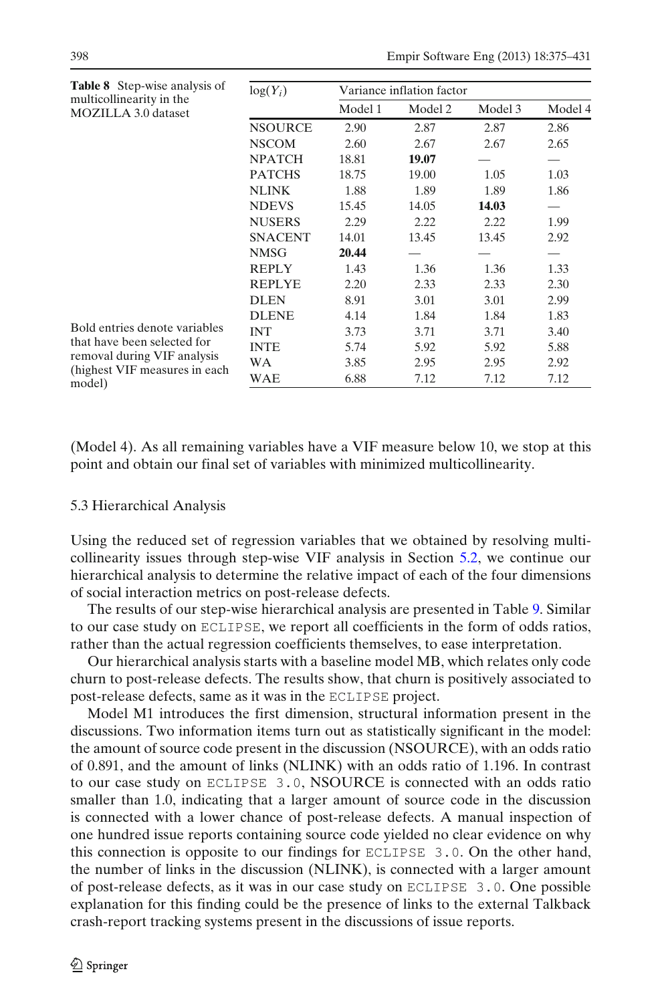<span id="page-23-0"></span>

| <b>Table 8</b> Step-wise analysis of<br>multicollinearity in the        | $log(Y_i)$     |         | Variance inflation factor |         |         |  |  |  |  |  |  |
|-------------------------------------------------------------------------|----------------|---------|---------------------------|---------|---------|--|--|--|--|--|--|
| MOZILLA 3.0 dataset                                                     |                | Model 1 | Model 2                   | Model 3 | Model 4 |  |  |  |  |  |  |
|                                                                         | <b>NSOURCE</b> | 2.90    | 2.87                      | 2.87    | 2.86    |  |  |  |  |  |  |
|                                                                         | <b>NSCOM</b>   | 2.60    | 2.67                      | 2.67    | 2.65    |  |  |  |  |  |  |
|                                                                         | <b>NPATCH</b>  | 18.81   | 19.07                     |         |         |  |  |  |  |  |  |
|                                                                         | <b>PATCHS</b>  | 18.75   | 19.00                     | 1.05    | 1.03    |  |  |  |  |  |  |
|                                                                         | <b>NLINK</b>   | 1.88    | 1.89                      | 1.89    | 1.86    |  |  |  |  |  |  |
|                                                                         | <b>NDEVS</b>   | 15.45   | 14.05                     | 14.03   | –       |  |  |  |  |  |  |
|                                                                         | <b>NUSERS</b>  | 2.29    | 2.22                      | 2.22    | 1.99    |  |  |  |  |  |  |
|                                                                         | <b>SNACENT</b> | 14.01   | 13.45                     | 13.45   | 2.92    |  |  |  |  |  |  |
|                                                                         | <b>NMSG</b>    | 20.44   |                           |         |         |  |  |  |  |  |  |
|                                                                         | <b>REPLY</b>   | 1.43    | 1.36                      | 1.36    | 1.33    |  |  |  |  |  |  |
|                                                                         | <b>REPLYE</b>  | 2.20    | 2.33                      | 2.33    | 2.30    |  |  |  |  |  |  |
|                                                                         | <b>DLEN</b>    | 8.91    | 3.01                      | 3.01    | 2.99    |  |  |  |  |  |  |
|                                                                         | <b>DLENE</b>   | 4.14    | 1.84                      | 1.84    | 1.83    |  |  |  |  |  |  |
| Bold entries denote variables                                           | <b>INT</b>     | 3.73    | 3.71                      | 3.71    | 3.40    |  |  |  |  |  |  |
| that have been selected for                                             | <b>INTE</b>    | 5.74    | 5.92                      | 5.92    | 5.88    |  |  |  |  |  |  |
| removal during VIF analysis<br>(highest VIF measures in each)<br>model) | <b>WA</b>      | 3.85    | 2.95                      | 2.95    | 2.92    |  |  |  |  |  |  |
|                                                                         | WAE            | 6.88    | 7.12                      | 7.12    | 7.12    |  |  |  |  |  |  |

(Model 4). As all remaining variables have a VIF measure below 10, we stop at this point and obtain our final set of variables with minimized multicollinearity.

### 5.3 Hierarchical Analysis

Using the reduced set of regression variables that we obtained by resolving multicollinearity issues through step-wise VIF analysis in Section [5.2,](#page-21-0) we continue our hierarchical analysis to determine the relative impact of each of the four dimensions of social interaction metrics on post-release defects.

The results of our step-wise hierarchical analysis are presented in Table [9.](#page-24-0) Similar to our case study on ECLIPSE, we report all coefficients in the form of odds ratios, rather than the actual regression coefficients themselves, to ease interpretation.

Our hierarchical analysis starts with a baseline model MB, which relates only code churn to post-release defects. The results show, that churn is positively associated to post-release defects, same as it was in the ECLIPSE project.

Model M1 introduces the first dimension, structural information present in the discussions. Two information items turn out as statistically significant in the model: the amount of source code present in the discussion (NSOURCE), with an odds ratio of 0.891, and the amount of links (NLINK) with an odds ratio of 1.196. In contrast to our case study on ECLIPSE 3.0, NSOURCE is connected with an odds ratio smaller than 1.0, indicating that a larger amount of source code in the discussion is connected with a lower chance of post-release defects. A manual inspection of one hundred issue reports containing source code yielded no clear evidence on why this connection is opposite to our findings for ECLIPSE 3.0. On the other hand, the number of links in the discussion (NLINK), is connected with a larger amount of post-release defects, as it was in our case study on ECLIPSE 3.0. One possible explanation for this finding could be the presence of links to the external Talkback crash-report tracking systems present in the discussions of issue reports.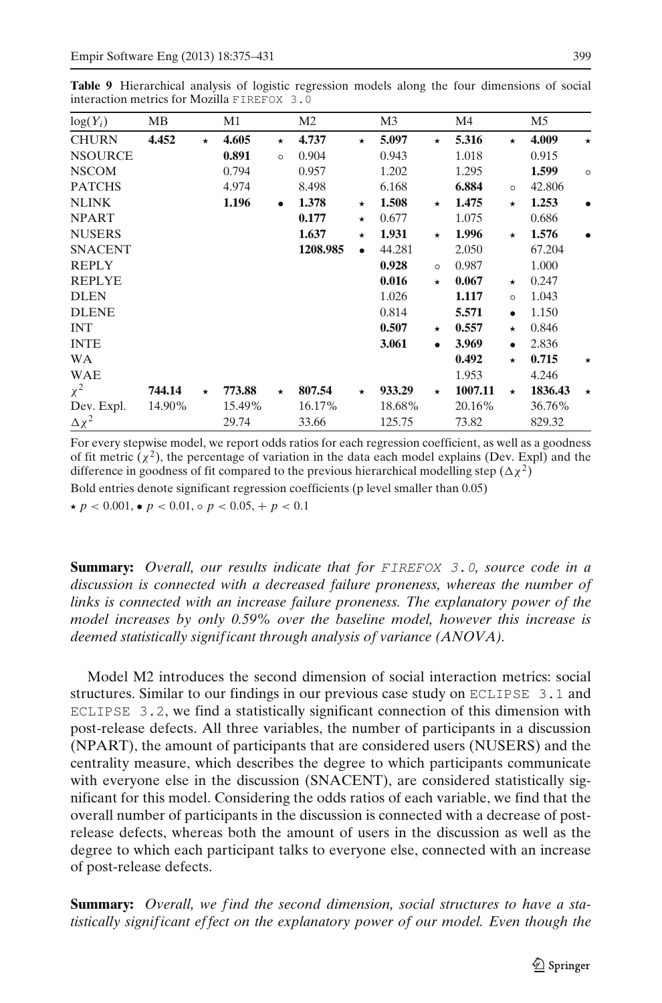| $log(Y_i)$      | MB     |         | М1     |           | M <sub>2</sub> |         | M <sub>3</sub> |           | M4      |           | M5      |         |
|-----------------|--------|---------|--------|-----------|----------------|---------|----------------|-----------|---------|-----------|---------|---------|
| <b>CHURN</b>    | 4.452  | $\star$ | 4.605  | $\star$   | 4.737          | $\star$ | 5.097          | $\star$   | 5.316   | $\star$   | 4.009   | $\star$ |
| NSOURCE         |        |         | 0.891  | $\circ$   | 0.904          |         | 0.943          |           | 1.018   |           | 0.915   |         |
| NSCOM           |        |         | 0.794  |           | 0.957          |         | 1.202          |           | 1.295   |           | 1.599   | $\circ$ |
| <b>PATCHS</b>   |        |         | 4.974  |           | 8.498          |         | 6.168          |           | 6.884   | $\circ$   | 42.806  |         |
| NLINK           |        |         | 1.196  | $\bullet$ | 1.378          | $\star$ | 1.508          | $\star$   | 1.475   | $\star$   | 1.253   |         |
| NPART           |        |         |        |           | 0.177          | $\star$ | 0.677          |           | 1.075   |           | 0.686   |         |
| <b>NUSERS</b>   |        |         |        |           | 1.637          | $\star$ | 1.931          | $\star$   | 1.996   | $\star$   | 1.576   |         |
| <b>SNACENT</b>  |        |         |        |           | 1208.985       |         | 44.281         |           | 2.050   |           | 67.204  |         |
| <b>REPLY</b>    |        |         |        |           |                |         | 0.928          | $\circ$   | 0.987   |           | 1.000   |         |
| <b>REPLYE</b>   |        |         |        |           |                |         | 0.016          | $\star$   | 0.067   | $\star$   | 0.247   |         |
| <b>DLEN</b>     |        |         |        |           |                |         | 1.026          |           | 1.117   | $\circ$   | 1.043   |         |
| <b>DLENE</b>    |        |         |        |           |                |         | 0.814          |           | 5.571   | $\bullet$ | 1.150   |         |
| INT             |        |         |        |           |                |         | 0.507          | $\star$   | 0.557   | $\star$   | 0.846   |         |
| <b>INTE</b>     |        |         |        |           |                |         | 3.061          | $\bullet$ | 3.969   | $\bullet$ | 2.836   |         |
| WА              |        |         |        |           |                |         |                |           | 0.492   | $\star$   | 0.715   | $\star$ |
| WAE             |        |         |        |           |                |         |                |           | 1.953   |           | 4.246   |         |
| $\chi^2$        | 744.14 | $\star$ | 773.88 | $\star$   | 807.54         | $\star$ | 933.29         | $\star$   | 1007.11 | $\star$   | 1836.43 | $\star$ |
| Dev. Expl.      | 14.90% |         | 15.49% |           | 16.17%         |         | 18.68%         |           | 20.16%  |           | 36.76%  |         |
| $\Delta \chi^2$ |        |         | 29.74  |           | 33.66          |         | 125.75         |           | 73.82   |           | 829.32  |         |
|                 |        |         |        |           |                |         |                |           |         |           |         |         |

<span id="page-24-0"></span>**Table 9** Hierarchical analysis of logistic regression models along the four dimensions of social interaction metrics for Mozilla FIREFOX 3.0

For every stepwise model, we report odds ratios for each regression coefficient, as well as a goodness of fit metric  $(\chi^2)$ , the percentage of variation in the data each model explains (Dev. Expl) and the difference in goodness of fit compared to the previous hierarchical modelling step  $(\Delta \chi^2)$ 

Bold entries denote significant regression coefficients (p level smaller than 0.05)

 $p \times p < 0.001$ ,  $p \times 0.01$ ,  $p < 0.05$ ,  $p \times 0.1$ 

**Summary:** *Overall, our results indicate that for FIREFOX 3.0, source code in a discussion is connected with a decreased failure proneness, whereas the number of links is connected with an increase failure proneness. The explanatory power of the model increases by only 0.59% over the baseline model, however this increase is deemed statistically signif icant through analysis of variance (ANOVA).*

Model M2 introduces the second dimension of social interaction metrics: social structures. Similar to our findings in our previous case study on ECLIPSE 3.1 and ECLIPSE 3.2, we find a statistically significant connection of this dimension with post-release defects. All three variables, the number of participants in a discussion (NPART), the amount of participants that are considered users (NUSERS) and the centrality measure, which describes the degree to which participants communicate with everyone else in the discussion (SNACENT), are considered statistically significant for this model. Considering the odds ratios of each variable, we find that the overall number of participants in the discussion is connected with a decrease of postrelease defects, whereas both the amount of users in the discussion as well as the degree to which each participant talks to everyone else, connected with an increase of post-release defects.

**Summary:** Overall, we find the second dimension, social structures to have a sta*tistically signif icant ef fect on the explanatory power of our model. Even though the*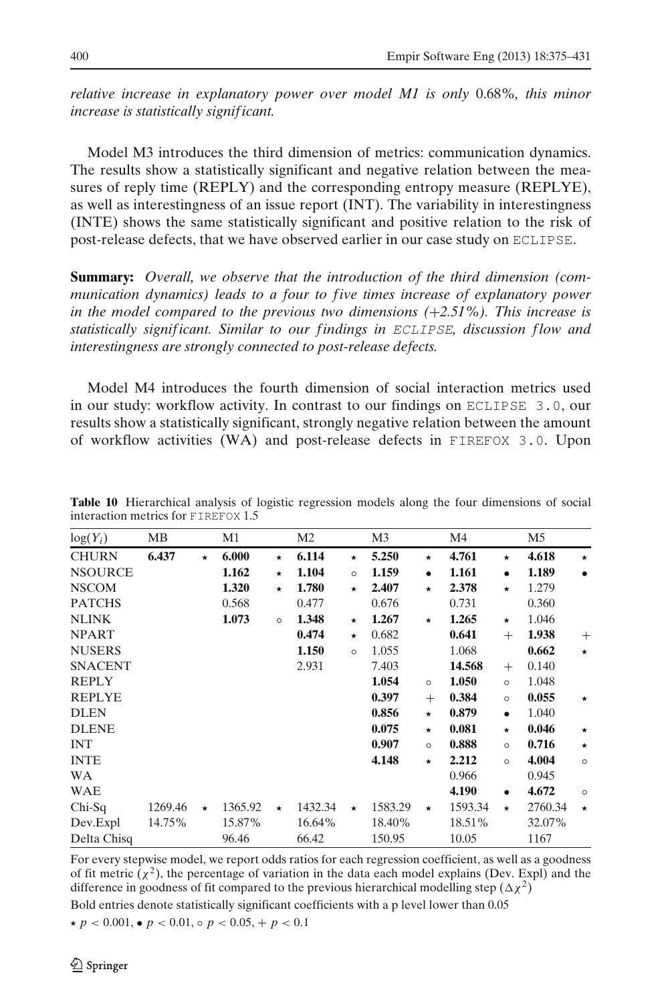<span id="page-25-0"></span>*relative increase in explanatory power over model M1 is only* 0.68%*, this minor increase is statistically signif icant.*

Model M3 introduces the third dimension of metrics: communication dynamics. The results show a statistically significant and negative relation between the measures of reply time (REPLY) and the corresponding entropy measure (REPLYE), as well as interestingness of an issue report (INT). The variability in interestingness (INTE) shows the same statistically significant and positive relation to the risk of post-release defects, that we have observed earlier in our case study on ECLIPSE.

**Summary:** *Overall, we observe that the introduction of the third dimension (communication dynamics) leads to a four to f ive times increase of explanatory power in the model compared to the previous two dimensions (*+*2.51%). This increase is statistically signif icant. Similar to our f indings in ECLIPSE, discussion f low and interestingness are strongly connected to post-release defects.*

Model M4 introduces the fourth dimension of social interaction metrics used in our study: workflow activity. In contrast to our findings on ECLIPSE 3.0, our results show a statistically significant, strongly negative relation between the amount of workflow activities (WA) and post-release defects in FIREFOX 3.0. Upon

| $log(Y_i)$     | MB      |         | M1      |         | M <sub>2</sub> |         | M <sub>3</sub> |           | M4      |           | M5      |           |
|----------------|---------|---------|---------|---------|----------------|---------|----------------|-----------|---------|-----------|---------|-----------|
| <b>CHURN</b>   | 6.437   | $\star$ | 6.000   | $\star$ | 6.114          | $\star$ | 5.250          | $\star$   | 4.761   | $\star$   | 4.618   | $\star$   |
| <b>NSOURCE</b> |         |         | 1.162   | $\star$ | 1.104          | $\circ$ | 1.159          | $\bullet$ | 1.161   | $\bullet$ | 1.189   | $\bullet$ |
| <b>NSCOM</b>   |         |         | 1.320   | $\star$ | 1.780          | $\star$ | 2.407          | $\star$   | 2.378   | $\star$   | 1.279   |           |
| <b>PATCHS</b>  |         |         | 0.568   |         | 0.477          |         | 0.676          |           | 0.731   |           | 0.360   |           |
| <b>NLINK</b>   |         |         | 1.073   | $\circ$ | 1.348          | $\star$ | 1.267          | $\star$   | 1.265   | $\star$   | 1.046   |           |
| <b>NPART</b>   |         |         |         |         | 0.474          | $\star$ | 0.682          |           | 0.641   | $^{+}$    | 1.938   | $^{+}$    |
| <b>NUSERS</b>  |         |         |         |         | 1.150          | $\circ$ | 1.055          |           | 1.068   |           | 0.662   | $\star$   |
| <b>SNACENT</b> |         |         |         |         | 2.931          |         | 7.403          |           | 14.568  | $^{+}$    | 0.140   |           |
| <b>REPLY</b>   |         |         |         |         |                |         | 1.054          | $\circ$   | 1.050   | $\circ$   | 1.048   |           |
| <b>REPLYE</b>  |         |         |         |         |                |         | 0.397          | $^{+}$    | 0.384   | $\circ$   | 0.055   | $\star$   |
| <b>DLEN</b>    |         |         |         |         |                |         | 0.856          | $\star$   | 0.879   | $\bullet$ | 1.040   |           |
| <b>DLENE</b>   |         |         |         |         |                |         | 0.075          | $\star$   | 0.081   | $\star$   | 0.046   | $\star$   |
| <b>INT</b>     |         |         |         |         |                |         | 0.907          | $\circ$   | 0.888   | $\circ$   | 0.716   | $\star$   |
| <b>INTE</b>    |         |         |         |         |                |         | 4.148          | $\star$   | 2.212   | $\circ$   | 4.004   | $\circ$   |
| <b>WA</b>      |         |         |         |         |                |         |                |           | 0.966   |           | 0.945   |           |
| <b>WAE</b>     |         |         |         |         |                |         |                |           | 4.190   | $\bullet$ | 4.672   | $\circ$   |
| $Chi-Sq$       | 1269.46 | $\star$ | 1365.92 | $\star$ | 1432.34        | $\star$ | 1583.29        | $\star$   | 1593.34 | $\star$   | 2760.34 | $\star$   |
| Dev.Expl       | 14.75%  |         | 15.87%  |         | 16.64%         |         | 18.40%         |           | 18.51%  |           | 32.07%  |           |
| Delta Chisq    |         |         | 96.46   |         | 66.42          |         | 150.95         |           | 10.05   |           | 1167    |           |

**Table 10** Hierarchical analysis of logistic regression models along the four dimensions of social interaction metrics for FIREFOX 1.5

For every stepwise model, we report odds ratios for each regression coefficient, as well as a goodness of fit metric  $(\chi^2)$ , the percentage of variation in the data each model explains (Dev. Expl) and the difference in goodness of fit compared to the previous hierarchical modelling step ( $\Delta \chi^2$ )

Bold entries denote statistically significant coefficients with a p level lower than 0.05

 $p \times p < 0.001$ ,  $p \times 0.01$ ,  $p < 0.05$ ,  $p \times 0.1$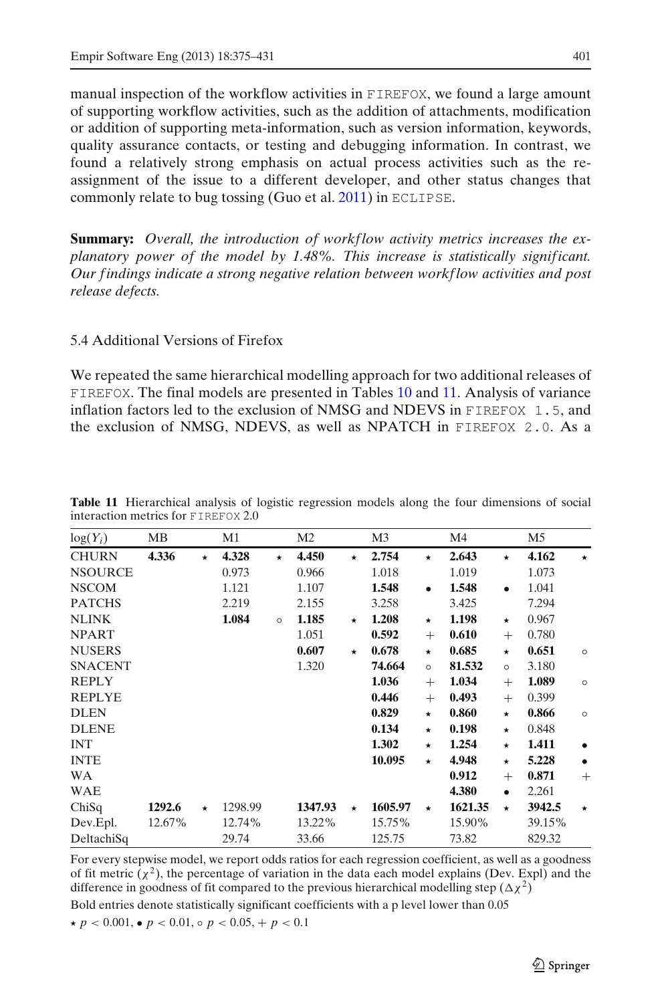manual inspection of the workflow activities in FIREFOX, we found a large amount of supporting workflow activities, such as the addition of attachments, modification or addition of supporting meta-information, such as version information, keywords, quality assurance contacts, or testing and debugging information. In contrast, we found a relatively strong emphasis on actual process activities such as the reassignment of the issue to a different developer, and other status changes that commonly relate to bug tossing (Guo et al[.](#page-54-0)  $2011$ ) in ECLIPSE.

**Summary:** Overall, the introduction of workflow activity metrics increases the ex*planatory power of the model by 1.48%. This increase is statistically signif icant. Our f indings indicate a strong negative relation between workf low activities and post release defects.*

### 5.4 Additional Versions of Firefox

We repeated the same hierarchical modelling approach for two additional releases of FIREFOX. The final models are presented in Tables [10](#page-25-0) and 11. Analysis of variance inflation factors led to the exclusion of NMSG and NDEVS in FIREFOX 1.5, and the exclusion of NMSG, NDEVS, as well as NPATCH in FIREFOX 2.0. As a

| $log(Y_i)$     | MB     |         | M1      |         | M <sub>2</sub> |         | M <sub>3</sub> |           | M4      |           | M5     |           |
|----------------|--------|---------|---------|---------|----------------|---------|----------------|-----------|---------|-----------|--------|-----------|
| <b>CHURN</b>   | 4.336  | $\star$ | 4.328   | $\star$ | 4.450          | $\star$ | 2.754          | $\star$   | 2.643   | $\star$   | 4.162  | $\star$   |
| <b>NSOURCE</b> |        |         | 0.973   |         | 0.966          |         | 1.018          |           | 1.019   |           | 1.073  |           |
| <b>NSCOM</b>   |        |         | 1.121   |         | 1.107          |         | 1.548          | $\bullet$ | 1.548   | ٠         | 1.041  |           |
| <b>PATCHS</b>  |        |         | 2.219   |         | 2.155          |         | 3.258          |           | 3.425   |           | 7.294  |           |
| <b>NLINK</b>   |        |         | 1.084   | $\circ$ | 1.185          | $\star$ | 1.208          | $\star$   | 1.198   | $\star$   | 0.967  |           |
| <b>NPART</b>   |        |         |         |         | 1.051          |         | 0.592          | $^{+}$    | 0.610   | $^{+}$    | 0.780  |           |
| <b>NUSERS</b>  |        |         |         |         | 0.607          | $\star$ | 0.678          | $\star$   | 0.685   | $\star$   | 0.651  | $\circ$   |
| <b>SNACENT</b> |        |         |         |         | 1.320          |         | 74.664         | $\circ$   | 81.532  | $\circ$   | 3.180  |           |
| <b>REPLY</b>   |        |         |         |         |                |         | 1.036          | $^{+}$    | 1.034   | $^{+}$    | 1.089  | $\circ$   |
| <b>REPLYE</b>  |        |         |         |         |                |         | 0.446          | $^{+}$    | 0.493   | $^{+}$    | 0.399  |           |
| <b>DLEN</b>    |        |         |         |         |                |         | 0.829          | $\star$   | 0.860   | $\star$   | 0.866  | $\circ$   |
| <b>DLENE</b>   |        |         |         |         |                |         | 0.134          | $\star$   | 0.198   | $\star$   | 0.848  |           |
| <b>INT</b>     |        |         |         |         |                |         | 1.302          | $\star$   | 1.254   | $\star$   | 1.411  |           |
| <b>INTE</b>    |        |         |         |         |                |         | 10.095         | $\star$   | 4.948   | $\star$   | 5.228  | $\bullet$ |
| WA             |        |         |         |         |                |         |                |           | 0.912   | $^{+}$    | 0.871  | $^{+}$    |
| <b>WAE</b>     |        |         |         |         |                |         |                |           | 4.380   | $\bullet$ | 2.261  |           |
| ChiSq          | 1292.6 | $\star$ | 1298.99 |         | 1347.93        | $\star$ | 1605.97        | $\star$   | 1621.35 | $\star$   | 3942.5 | $\star$   |
| Dev.Epl.       | 12.67% |         | 12.74%  |         | 13.22%         |         | 15.75%         |           | 15.90%  |           | 39.15% |           |
| DeltachiSq     |        |         | 29.74   |         | 33.66          |         | 125.75         |           | 73.82   |           | 829.32 |           |

**Table 11** Hierarchical analysis of logistic regression models along the four dimensions of social interaction metrics for FIREFOX 2.0

For every stepwise model, we report odds ratios for each regression coefficient, as well as a goodness of fit metric  $(\chi^2)$ , the percentage of variation in the data each model explains (Dev. Expl) and the difference in goodness of fit compared to the previous hierarchical modelling step ( $\Delta \chi^2$ )

Bold entries denote statistically significant coefficients with a p level lower than 0.05

$$
\star p < 0.001, \bullet p < 0.01, \circ p < 0.05, + p < 0.1
$$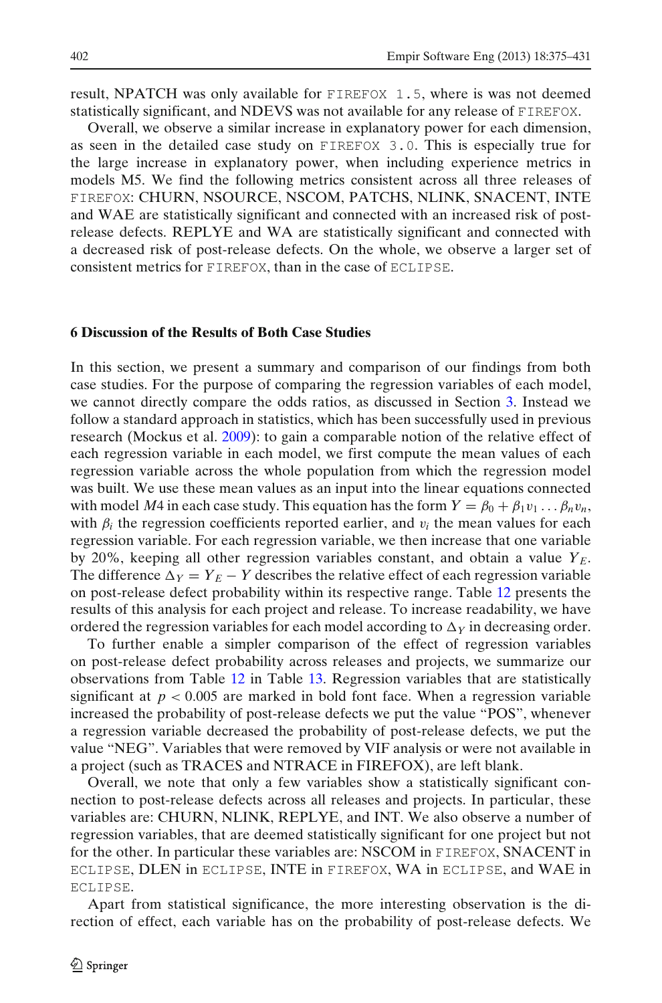<span id="page-27-0"></span>result, NPATCH was only available for FIREFOX 1.5, where is was not deemed statistically significant, and NDEVS was not available for any release of FIREFOX.

Overall, we observe a similar increase in explanatory power for each dimension, as seen in the detailed case study on FIREFOX 3.0. This is especially true for the large increase in explanatory power, when including experience metrics in models M5. We find the following metrics consistent across all three releases of FIREFOX: CHURN, NSOURCE, NSCOM, PATCHS, NLINK, SNACENT, INTE and WAE are statistically significant and connected with an increased risk of postrelease defects. REPLYE and WA are statistically significant and connected with a decreased risk of post-release defects. On the whole, we observe a larger set of consistent metrics for FIREFOX, than in the case of ECLIPSE.

#### **6 Discussion of the Results of Both Case Studies**

In this section, we present a summary and comparison of our findings from both case studies. For the purpose of comparing the regression variables of each model, we cannot directly compare the odds ratios, as discussed in Section [3.](#page-9-0) Instead we follow a standard approach in statistics, which has been successfully used in previous research (Mockus et al[.](#page-55-0) [2009\)](#page-55-0): to gain a comparable notion of the relative effect of each regression variable in each model, we first compute the mean values of each regression variable across the whole population from which the regression model was built. We use these mean values as an input into the linear equations connected with model *M*4 in each case study. This equation has the form  $Y = \beta_0 + \beta_1 v_1 \dots \beta_n v_n$ , with  $\beta_i$  the regression coefficients reported earlier, and  $v_i$  the mean values for each regression variable. For each regression variable, we then increase that one variable by 20%, keeping all other regression variables constant, and obtain a value *YE*. The difference  $\Delta_Y = Y_E - Y$  describes the relative effect of each regression variable on post-release defect probability within its respective range. Table [12](#page-28-0) presents the results of this analysis for each project and release. To increase readability, we have ordered the regression variables for each model according to  $\Delta_Y$  in decreasing order.

To further enable a simpler comparison of the effect of regression variables on post-release defect probability across releases and projects, we summarize our observations from Table [12](#page-28-0) in Table [13.](#page-29-0) Regression variables that are statistically significant at  $p < 0.005$  are marked in bold font face. When a regression variable increased the probability of post-release defects we put the value "POS", whenever a regression variable decreased the probability of post-release defects, we put the value "NEG". Variables that were removed by VIF analysis or were not available in a project (such as TRACES and NTRACE in FIREFOX), are left blank.

Overall, we note that only a few variables show a statistically significant connection to post-release defects across all releases and projects. In particular, these variables are: CHURN, NLINK, REPLYE, and INT. We also observe a number of regression variables, that are deemed statistically significant for one project but not for the other. In particular these variables are: NSCOM in FIREFOX, SNACENT in ECLIPSE, DLEN in ECLIPSE, INTE in FIREFOX, WA in ECLIPSE, and WAE in ECLIPSE.

Apart from statistical significance, the more interesting observation is the direction of effect, each variable has on the probability of post-release defects. We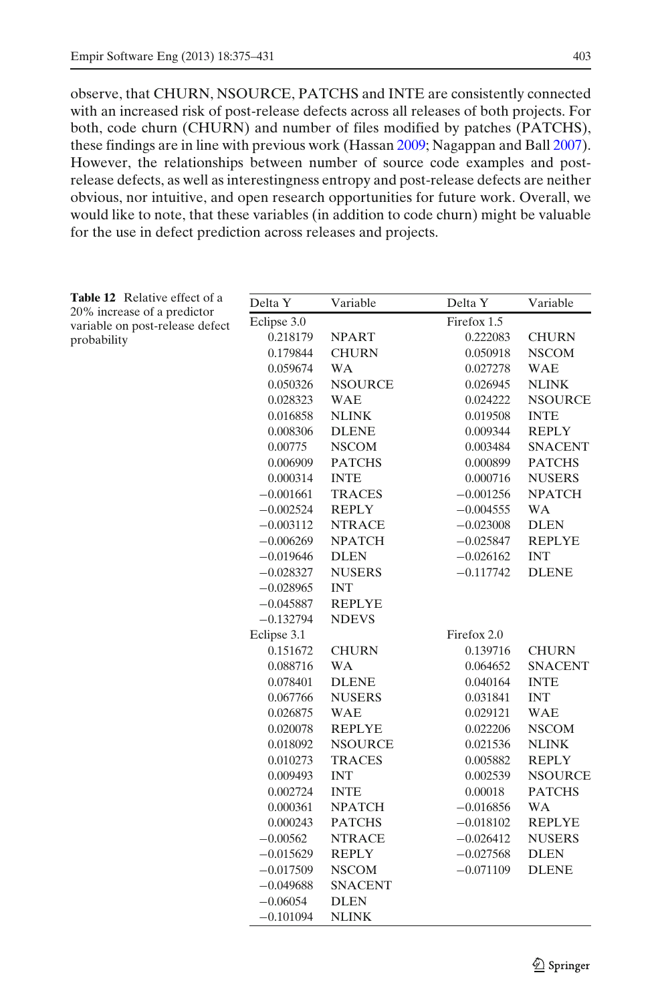<span id="page-28-0"></span>observe, that CHURN, NSOURCE, PATCHS and INTE are consistently connected with an increased risk of post-release defects across all releases of both projects. For both, code churn (CHURN) and number of files modified by patches (PATCHS), these findings are in line with previous work (Hassa[n](#page-54-0) [2009;](#page-54-0) Nagappan and Bal[l](#page-55-0) [2007\)](#page-55-0). However, the relationships between number of source code examples and postrelease defects, as well as interestingness entropy and post-release defects are neither obvious, nor intuitive, and open research opportunities for future work. Overall, we would like to note, that these variables (in addition to code churn) might be valuable for the use in defect prediction across releases and projects.

| Table 12 Relative effect of a<br>20% increase of a predictor | Delta Y     | Variable       | Delta Y     | Variable       |
|--------------------------------------------------------------|-------------|----------------|-------------|----------------|
| variable on post-release defect                              | Eclipse 3.0 |                | Firefox 1.5 |                |
| probability                                                  | 0.218179    | <b>NPART</b>   | 0.222083    | <b>CHURN</b>   |
|                                                              | 0.179844    | <b>CHURN</b>   | 0.050918    | <b>NSCOM</b>   |
|                                                              | 0.059674    | <b>WA</b>      | 0.027278    | <b>WAE</b>     |
|                                                              | 0.050326    | <b>NSOURCE</b> | 0.026945    | <b>NLINK</b>   |
|                                                              | 0.028323    | <b>WAE</b>     | 0.024222    | <b>NSOURCE</b> |
|                                                              | 0.016858    | <b>NLINK</b>   | 0.019508    | <b>INTE</b>    |
|                                                              | 0.008306    | <b>DLENE</b>   | 0.009344    | <b>REPLY</b>   |
|                                                              | 0.00775     | <b>NSCOM</b>   | 0.003484    | <b>SNACENT</b> |
|                                                              | 0.006909    | <b>PATCHS</b>  | 0.000899    | <b>PATCHS</b>  |
|                                                              | 0.000314    | <b>INTE</b>    | 0.000716    | <b>NUSERS</b>  |
|                                                              | $-0.001661$ | <b>TRACES</b>  | $-0.001256$ | <b>NPATCH</b>  |
|                                                              | $-0.002524$ | <b>REPLY</b>   | $-0.004555$ | <b>WA</b>      |
|                                                              | $-0.003112$ | <b>NTRACE</b>  | $-0.023008$ | <b>DLEN</b>    |
|                                                              | $-0.006269$ | <b>NPATCH</b>  | $-0.025847$ | <b>REPLYE</b>  |
|                                                              | $-0.019646$ | <b>DLEN</b>    | $-0.026162$ | <b>INT</b>     |
|                                                              | $-0.028327$ | <b>NUSERS</b>  | $-0.117742$ | <b>DLENE</b>   |
|                                                              | $-0.028965$ | <b>INT</b>     |             |                |
|                                                              | $-0.045887$ | <b>REPLYE</b>  |             |                |
|                                                              | $-0.132794$ | <b>NDEVS</b>   |             |                |
|                                                              | Eclipse 3.1 |                | Firefox 2.0 |                |
|                                                              | 0.151672    | <b>CHURN</b>   | 0.139716    | <b>CHURN</b>   |
|                                                              | 0.088716    | <b>WA</b>      | 0.064652    | <b>SNACENT</b> |
|                                                              | 0.078401    | <b>DLENE</b>   | 0.040164    | <b>INTE</b>    |
|                                                              | 0.067766    | <b>NUSERS</b>  | 0.031841    | <b>INT</b>     |
|                                                              | 0.026875    | <b>WAE</b>     | 0.029121    | <b>WAE</b>     |
|                                                              | 0.020078    | <b>REPLYE</b>  | 0.022206    | <b>NSCOM</b>   |
|                                                              | 0.018092    | <b>NSOURCE</b> | 0.021536    | <b>NLINK</b>   |
|                                                              | 0.010273    | <b>TRACES</b>  | 0.005882    | <b>REPLY</b>   |
|                                                              | 0.009493    | <b>INT</b>     | 0.002539    | <b>NSOURCE</b> |
|                                                              | 0.002724    | <b>INTE</b>    | 0.00018     | <b>PATCHS</b>  |
|                                                              | 0.000361    | <b>NPATCH</b>  | $-0.016856$ | <b>WA</b>      |
|                                                              | 0.000243    | <b>PATCHS</b>  | $-0.018102$ | <b>REPLYE</b>  |
|                                                              | $-0.00562$  | <b>NTRACE</b>  | $-0.026412$ | <b>NUSERS</b>  |
|                                                              | $-0.015629$ | <b>REPLY</b>   | $-0.027568$ | <b>DLEN</b>    |
|                                                              | $-0.017509$ | <b>NSCOM</b>   | $-0.071109$ | <b>DLENE</b>   |
|                                                              | $-0.049688$ | <b>SNACENT</b> |             |                |
|                                                              | $-0.06054$  | <b>DLEN</b>    |             |                |
|                                                              | $-0.101094$ | <b>NLINK</b>   |             |                |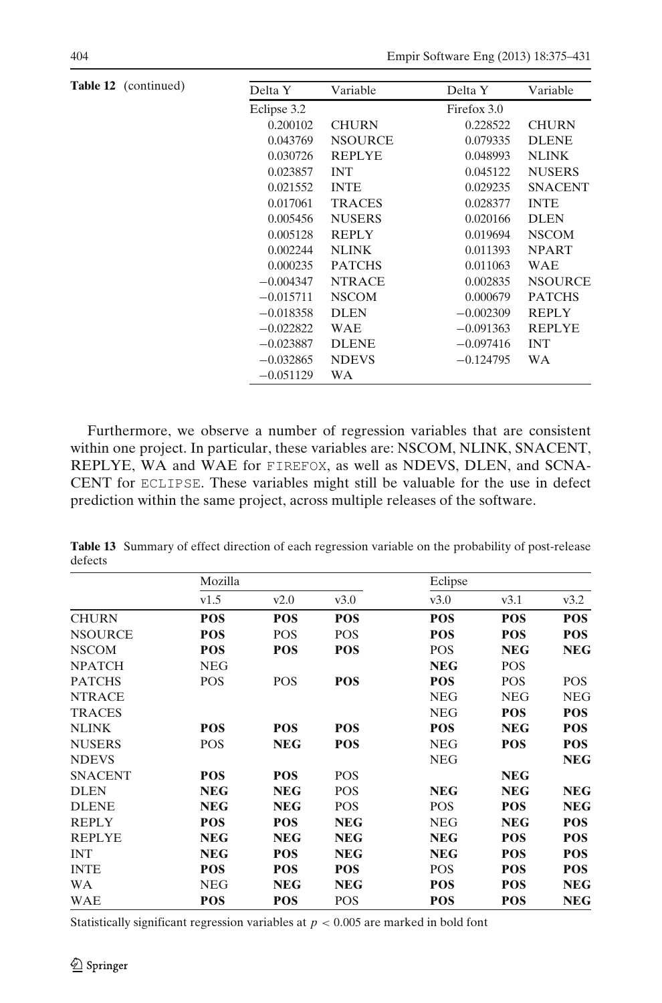<span id="page-29-0"></span>

| <b>Table 12</b> (continued) | Delta Y     | Variable       | Delta Y     | Variable       |
|-----------------------------|-------------|----------------|-------------|----------------|
|                             | Eclipse 3.2 |                | Firefox 3.0 |                |
|                             | 0.200102    | <b>CHURN</b>   | 0.228522    | <b>CHURN</b>   |
|                             | 0.043769    | <b>NSOURCE</b> | 0.079335    | <b>DLENE</b>   |
|                             | 0.030726    | <b>REPLYE</b>  | 0.048993    | <b>NLINK</b>   |
|                             | 0.023857    | <b>INT</b>     | 0.045122    | <b>NUSERS</b>  |
|                             | 0.021552    | <b>INTE</b>    | 0.029235    | <b>SNACENT</b> |
|                             | 0.017061    | <b>TRACES</b>  | 0.028377    | <b>INTE</b>    |
|                             | 0.005456    | <b>NUSERS</b>  | 0.020166    | <b>DLEN</b>    |
|                             | 0.005128    | <b>REPLY</b>   | 0.019694    | <b>NSCOM</b>   |
|                             | 0.002244    | <b>NLINK</b>   | 0.011393    | <b>NPART</b>   |
|                             | 0.000235    | <b>PATCHS</b>  | 0.011063    | WAE            |
|                             | $-0.004347$ | <b>NTRACE</b>  | 0.002835    | <b>NSOURCE</b> |
|                             | $-0.015711$ | <b>NSCOM</b>   | 0.000679    | <b>PATCHS</b>  |
|                             | $-0.018358$ | <b>DLEN</b>    | $-0.002309$ | <b>REPLY</b>   |
|                             | $-0.022822$ | <b>WAE</b>     | $-0.091363$ | <b>REPLYE</b>  |
|                             | $-0.023887$ | <b>DLENE</b>   | $-0.097416$ | <b>INT</b>     |
|                             | $-0.032865$ | <b>NDEVS</b>   | $-0.124795$ | WA             |
|                             | $-0.051129$ | <b>WA</b>      |             |                |

Furthermore, we observe a number of regression variables that are consistent within one project. In particular, these variables are: NSCOM, NLINK, SNACENT, REPLYE, WA and WAE for FIREFOX, as well as NDEVS, DLEN, and SCNA-CENT for ECLIPSE. These variables might still be valuable for the use in defect prediction within the same project, across multiple releases of the software.

|                | Mozilla    |            |            | Eclipse    |            |            |
|----------------|------------|------------|------------|------------|------------|------------|
|                | v1.5       | v2.0       | v3.0       | v3.0       | v3.1       | v3.2       |
| <b>CHURN</b>   | <b>POS</b> | <b>POS</b> | <b>POS</b> | <b>POS</b> | <b>POS</b> | <b>POS</b> |
| <b>NSOURCE</b> | <b>POS</b> | POS        | <b>POS</b> | <b>POS</b> | <b>POS</b> | <b>POS</b> |
| <b>NSCOM</b>   | <b>POS</b> | <b>POS</b> | <b>POS</b> | POS        | <b>NEG</b> | <b>NEG</b> |
| <b>NPATCH</b>  | <b>NEG</b> |            |            | <b>NEG</b> | POS        |            |
| <b>PATCHS</b>  | <b>POS</b> | <b>POS</b> | <b>POS</b> | <b>POS</b> | POS        | POS        |
| <b>NTRACE</b>  |            |            |            | <b>NEG</b> | <b>NEG</b> | <b>NEG</b> |
| <b>TRACES</b>  |            |            |            | <b>NEG</b> | <b>POS</b> | <b>POS</b> |
| <b>NLINK</b>   | <b>POS</b> | <b>POS</b> | <b>POS</b> | <b>POS</b> | <b>NEG</b> | <b>POS</b> |
| <b>NUSERS</b>  | <b>POS</b> | <b>NEG</b> | <b>POS</b> | <b>NEG</b> | <b>POS</b> | <b>POS</b> |
| <b>NDEVS</b>   |            |            |            | <b>NEG</b> |            | <b>NEG</b> |
| <b>SNACENT</b> | <b>POS</b> | <b>POS</b> | POS        |            | <b>NEG</b> |            |
| <b>DLEN</b>    | <b>NEG</b> | <b>NEG</b> | <b>POS</b> | <b>NEG</b> | <b>NEG</b> | <b>NEG</b> |
| <b>DLENE</b>   | <b>NEG</b> | <b>NEG</b> | POS        | POS        | <b>POS</b> | <b>NEG</b> |
| <b>REPLY</b>   | <b>POS</b> | <b>POS</b> | <b>NEG</b> | <b>NEG</b> | <b>NEG</b> | <b>POS</b> |
| <b>REPLYE</b>  | <b>NEG</b> | <b>NEG</b> | <b>NEG</b> | <b>NEG</b> | <b>POS</b> | <b>POS</b> |
| <b>INT</b>     | <b>NEG</b> | <b>POS</b> | <b>NEG</b> | <b>NEG</b> | <b>POS</b> | <b>POS</b> |
| <b>INTE</b>    | <b>POS</b> | <b>POS</b> | <b>POS</b> | POS        | <b>POS</b> | <b>POS</b> |
| WA             | <b>NEG</b> | <b>NEG</b> | <b>NEG</b> | <b>POS</b> | <b>POS</b> | <b>NEG</b> |
| <b>WAE</b>     | <b>POS</b> | <b>POS</b> | POS        | <b>POS</b> | <b>POS</b> | <b>NEG</b> |

**Table 13** Summary of effect direction of each regression variable on the probability of post-release defects

Statistically significant regression variables at  $p < 0.005$  are marked in bold font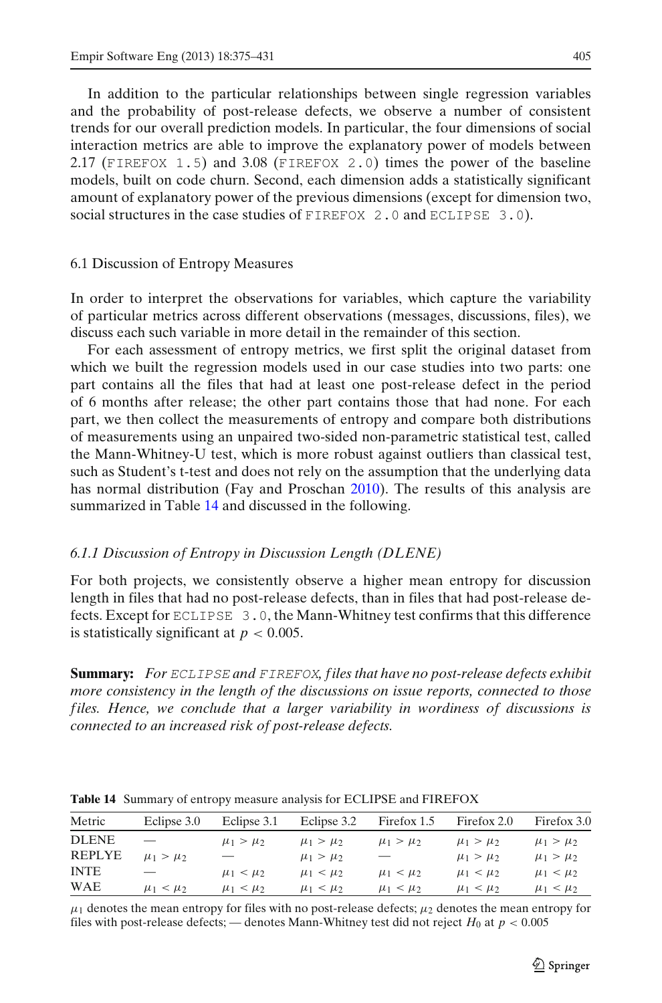In addition to the particular relationships between single regression variables and the probability of post-release defects, we observe a number of consistent trends for our overall prediction models. In particular, the four dimensions of social interaction metrics are able to improve the explanatory power of models between 2.17 (FIREFOX 1.5) and 3.08 (FIREFOX 2.0) times the power of the baseline models, built on code churn. Second, each dimension adds a statistically significant amount of explanatory power of the previous dimensions (except for dimension two, social structures in the case studies of FIREFOX 2.0 and ECLIPSE 3.0).

#### 6.1 Discussion of Entropy Measures

In order to interpret the observations for variables, which capture the variability of particular metrics across different observations (messages, discussions, files), we discuss each such variable in more detail in the remainder of this section.

For each assessment of entropy metrics, we first split the original dataset from which we built the regression models used in our case studies into two parts: one part contains all the files that had at least one post-release defect in the period of 6 months after release; the other part contains those that had none. For each part, we then collect the measurements of entropy and compare both distributions of measurements using an unpaired two-sided non-parametric statistical test, called the Mann-Whitney-U test, which is more robust against outliers than classical test, such as Student's t-test and does not rely on the assumption that the underlying data has normal distribution (Fay and Proscha[n](#page-54-0) [2010](#page-54-0)). The results of this analysis are summarized in Table 14 and discussed in the following.

#### *6.1.1 Discussion of Entropy in Discussion Length (DLENE)*

For both projects, we consistently observe a higher mean entropy for discussion length in files that had no post-release defects, than in files that had post-release defects. Except for ECLIPSE 3.0, the Mann-Whitney test confirms that this difference is statistically significant at  $p < 0.005$ .

**Summary:** *For ECLIPSE and FIREFOX, f iles that have no post-release defects exhibit more consistency in the length of the discussions on issue reports, connected to those f iles. Hence, we conclude that a larger variability in wordiness of discussions is connected to an increased risk of post-release defects.*

| Metric        | Eclipse 3.0     | Eclipse 3.1     | Eclipse 3.2     | Firefox 1.5     | Firefox 2.0     | Firefox 3.0     |
|---------------|-----------------|-----------------|-----------------|-----------------|-----------------|-----------------|
| <b>DLENE</b>  |                 | $\mu_1 > \mu_2$ | $\mu_1 > \mu_2$ | $\mu_1 > \mu_2$ | $\mu_1 > \mu_2$ | $\mu_1 > \mu_2$ |
| <b>REPLYE</b> | $\mu_1 > \mu_2$ |                 | $\mu_1 > \mu_2$ |                 | $\mu_1 > \mu_2$ | $\mu_1 > \mu_2$ |
| <b>INTE</b>   |                 | $\mu_1 < \mu_2$ | $\mu_1 < \mu_2$ | $\mu_1 < \mu_2$ | $\mu_1 < \mu_2$ | $\mu_1 < \mu_2$ |
| <b>WAE</b>    | $\mu_1 < \mu_2$ | $\mu_1 < \mu_2$ | $\mu_1 < \mu_2$ | $\mu_1 < \mu_2$ | $\mu_1 < \mu_2$ | $\mu_1 < \mu_2$ |

**Table 14** Summary of entropy measure analysis for ECLIPSE and FIREFOX

 $\mu_1$  denotes the mean entropy for files with no post-release defects;  $\mu_2$  denotes the mean entropy for files with post-release defects; — denotes Mann-Whitney test did not reject  $H_0$  at  $p < 0.005$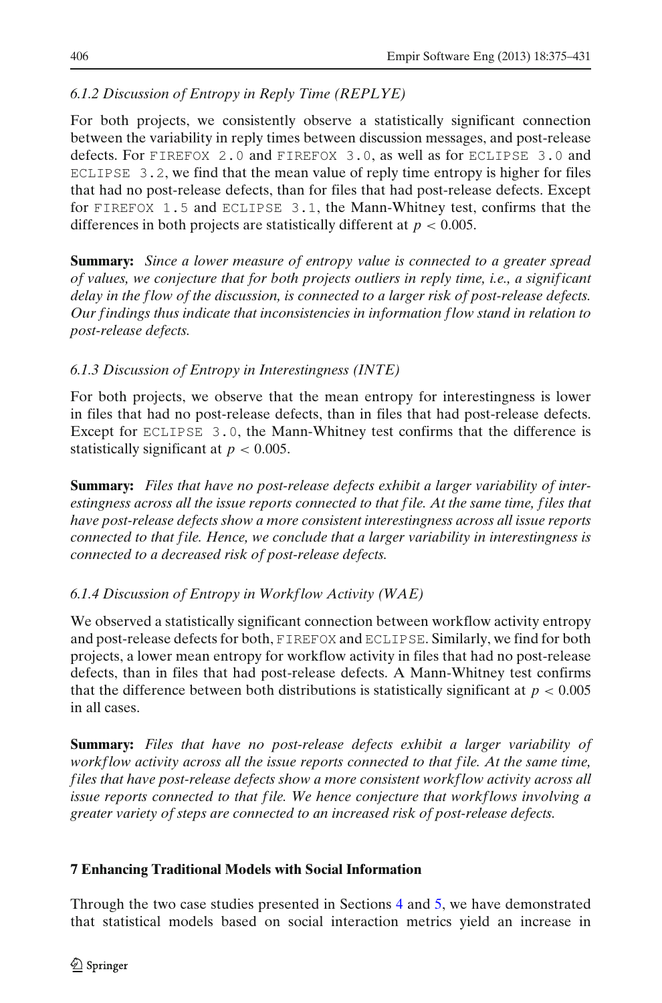# <span id="page-31-0"></span>*6.1.2 Discussion of Entropy in Reply Time (REPLYE)*

For both projects, we consistently observe a statistically significant connection between the variability in reply times between discussion messages, and post-release defects. For FIREFOX 2.0 and FIREFOX 3.0, as well as for ECLIPSE 3.0 and ECLIPSE 3.2, we find that the mean value of reply time entropy is higher for files that had no post-release defects, than for files that had post-release defects. Except for FIREFOX 1.5 and ECLIPSE 3.1, the Mann-Whitney test, confirms that the differences in both projects are statistically different at  $p < 0.005$ .

**Summary:** *Since a lower measure of entropy value is connected to a greater spread of values, we conjecture that for both projects outliers in reply time, i.e., a signif icant delay in the f low of the discussion, is connected to a larger risk of post-release defects. Our f indings thus indicate that inconsistencies in information f low stand in relation to post-release defects.*

# *6.1.3 Discussion of Entropy in Interestingness (INTE)*

For both projects, we observe that the mean entropy for interestingness is lower in files that had no post-release defects, than in files that had post-release defects. Except for ECLIPSE 3.0, the Mann-Whitney test confirms that the difference is statistically significant at  $p < 0.005$ .

**Summary:** *Files that have no post-release defects exhibit a larger variability of interestingness across all the issue reports connected to that f ile. At the same time, f iles that have post-release defects show a more consistent interestingness across all issue reports connected to that f ile. Hence, we conclude that a larger variability in interestingness is connected to a decreased risk of post-release defects.*

# *6.1.4 Discussion of Entropy in Workf low Activity (WAE)*

We observed a statistically significant connection between workflow activity entropy and post-release defects for both, FIREFOX and ECLIPSE. Similarly, we find for both projects, a lower mean entropy for workflow activity in files that had no post-release defects, than in files that had post-release defects. A Mann-Whitney test confirms that the difference between both distributions is statistically significant at  $p < 0.005$ in all cases.

**Summary:** *Files that have no post-release defects exhibit a larger variability of workf low activity across all the issue reports connected to that f ile. At the same time, f iles that have post-release defects show a more consistent workf low activity across all issue reports connected to that file. We hence conjecture that workflows involving a greater variety of steps are connected to an increased risk of post-release defects.*

# **7 Enhancing Traditional Models with Social Information**

Through the two case studies presented in Sections [4](#page-11-0) and [5,](#page-20-0) we have demonstrated that statistical models based on social interaction metrics yield an increase in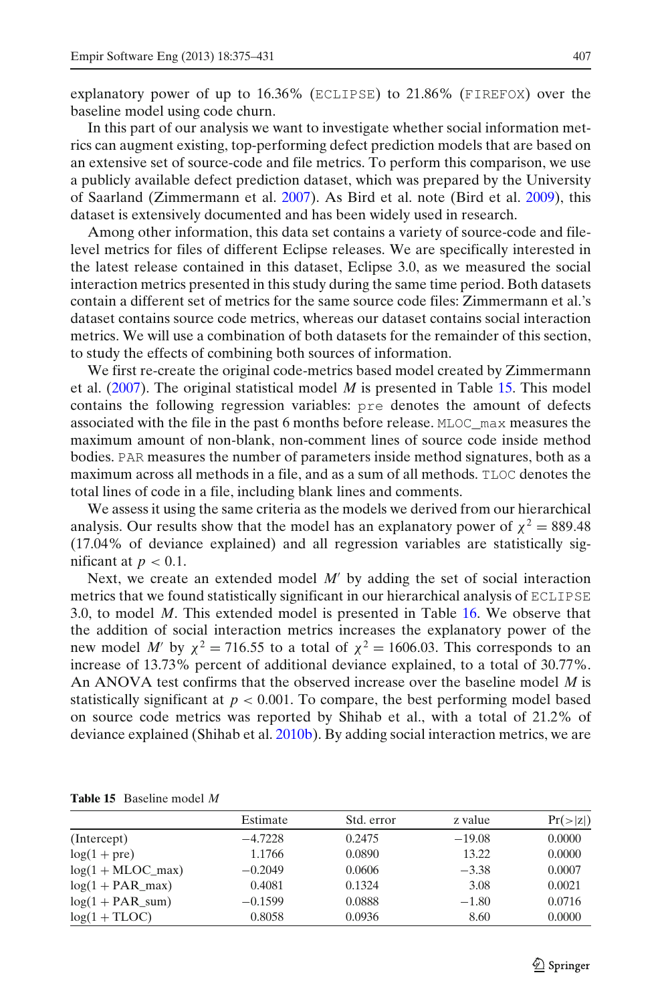explanatory power of up to 16.36% (ECLIPSE) to 21.86% (FIREFOX) over the baseline model using code churn.

In this part of our analysis we want to investigate whether social information metrics can augment existing, top-performing defect prediction models that are based on an extensive set of source-code and file metrics. To perform this comparison, we use a publicly available defect prediction dataset, which was prepared by the University of Saarland (Zimmermann et al[.](#page-55-0) [2007](#page-55-0)). As Bird et al. note (Bird et al[.](#page-54-0) [2009](#page-54-0)), this dataset is extensively documented and has been widely used in research.

Among other information, this data set contains a variety of source-code and filelevel metrics for files of different Eclipse releases. We are specifically interested in the latest release contained in this dataset, Eclipse 3.0, as we measured the social interaction metrics presented in this study during the same time period. Both datasets contain a different set of metrics for the same source code files: Zimmermann et al.'s dataset contains source code metrics, whereas our dataset contains social interaction metrics. We will use a combination of both datasets for the remainder of this section, to study the effects of combining both sources of information.

We first re-create the original code-metrics based model created by Zimmermann et al[.](#page-55-0) [\(2007](#page-55-0)). The original statistical model *M* is presented in Table 15. This model contains the following regression variables: pre denotes the amount of defects associated with the file in the past 6 months before release. MLOC\_max measures the maximum amount of non-blank, non-comment lines of source code inside method bodies. PAR measures the number of parameters inside method signatures, both as a maximum across all methods in a file, and as a sum of all methods. TLOC denotes the total lines of code in a file, including blank lines and comments.

We assess it using the same criteria as the models we derived from our hierarchical analysis. Our results show that the model has an explanatory power of  $\chi^2 = 889.48$ (17.04% of deviance explained) and all regression variables are statistically significant at  $p < 0.1$ .

Next, we create an extended model *M'* by adding the set of social interaction metrics that we found statistically significant in our hierarchical analysis of ECLIPSE 3.0, to model *M*. This extended model is presented in Table [16.](#page-33-0) We observe that the addition of social interaction metrics increases the explanatory power of the new model *M'* by  $\chi^2 = 716.55$  to a total of  $\chi^2 = 1606.03$ . This corresponds to an increase of 13.73% percent of additional deviance explained, to a total of 30.77%. An ANOVA test confirms that the observed increase over the baseline model *M* is statistically significant at  $p < 0.001$ . To compare, the best performing model based on source code metrics was reported by Shihab et al., with a total of 21.2% of deviance explained (Shihab et al[.](#page-55-0) [2010b\)](#page-55-0). By adding social interaction metrics, we are

|                      | Estimate  | Std. error | z value  | Pr(> z ) |
|----------------------|-----------|------------|----------|----------|
| (Intercept)          | $-4.7228$ | 0.2475     | $-19.08$ | 0.0000   |
| $log(1 + pre)$       | 1.1766    | 0.0890     | 13.22    | 0.0000   |
| $log(1 + MLOC_max)$  | $-0.2049$ | 0.0606     | $-3.38$  | 0.0007   |
| $log(1 + PAR_{max})$ | 0.4081    | 0.1324     | 3.08     | 0.0021   |
| $log(1 + PAR\_sum)$  | $-0.1599$ | 0.0888     | $-1.80$  | 0.0716   |
| $log(1 + TLOC)$      | 0.8058    | 0.0936     | 8.60     | 0.0000   |

**Table 15** Baseline model *M*

 $\mathcal{D}$  Springer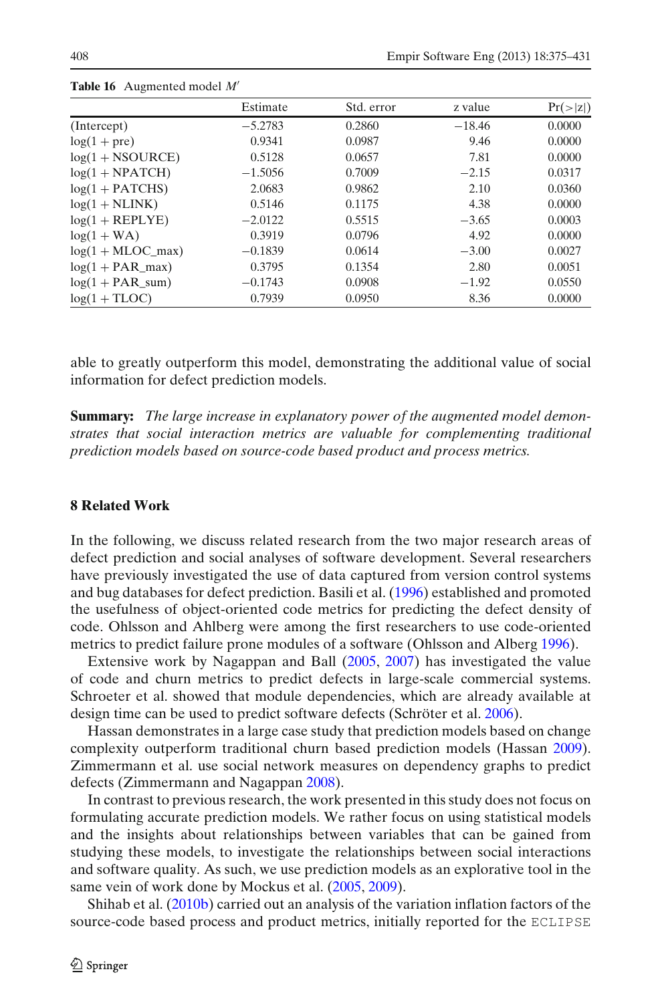|                      | Estimate  | Std. error | z value  | Pr(> z ) |
|----------------------|-----------|------------|----------|----------|
| (Intercept)          | $-5.2783$ | 0.2860     | $-18.46$ | 0.0000   |
| $log(1 + pre)$       | 0.9341    | 0.0987     | 9.46     | 0.0000   |
| $log(1 + NSOURCE)$   | 0.5128    | 0.0657     | 7.81     | 0.0000   |
| $log(1 + NPATCH)$    | $-1.5056$ | 0.7009     | $-2.15$  | 0.0317   |
| $log(1 + PATCHS)$    | 2.0683    | 0.9862     | 2.10     | 0.0360   |
| $log(1 + NLINK)$     | 0.5146    | 0.1175     | 4.38     | 0.0000   |
| $log(1 + REPLYE)$    | $-2.0122$ | 0.5515     | $-3.65$  | 0.0003   |
| $log(1 + WA)$        | 0.3919    | 0.0796     | 4.92     | 0.0000   |
| $log(1 + MLOC_max)$  | $-0.1839$ | 0.0614     | $-3.00$  | 0.0027   |
| $log(1 + PAR_{max})$ | 0.3795    | 0.1354     | 2.80     | 0.0051   |
| $log(1 + PAR\_sum)$  | $-0.1743$ | 0.0908     | $-1.92$  | 0.0550   |
| $log(1 + TLOC)$      | 0.7939    | 0.0950     | 8.36     | 0.0000   |

<span id="page-33-0"></span>**Table 16** Augmented model *M*

able to greatly outperform this model, demonstrating the additional value of social information for defect prediction models.

**Summary:** *The large increase in explanatory power of the augmented model demonstrates that social interaction metrics are valuable for complementing traditional prediction models based on source-code based product and process metrics.*

### **8 Related Work**

In the following, we discuss related research from the two major research areas of defect prediction and social analyses of software development. Several researchers have previously investigated the use of data captured from version control systems and bug databases for defect prediction. Basili et al[.](#page-54-0) [\(1996](#page-54-0)) established and promoted the usefulness of object-oriented code metrics for predicting the defect density of code. Ohlsson and Ahlberg were among the first researchers to use code-oriented metrics to predict failure prone modules of a software (Ohlsson and Alber[g](#page-55-0) [1996](#page-55-0)).

Extensive work by Nagappan and Bal[l](#page-55-0) [\(2005,](#page-55-0) [2007](#page-55-0)) has investigated the value of code and churn metrics to predict defects in large-scale commercial systems. Schroeter et al. showed that module dependencies, which are already available at design time can be used to predict software defects (Schröter et al[.](#page-55-0) [2006](#page-55-0)).

Hassan demonstrates in a large case study that prediction models based on change complexity outperform traditional churn based prediction models (Hassa[n](#page-54-0) [2009\)](#page-54-0). Zimmermann et al. use social network measures on dependency graphs to predict defects (Zimmermann and Nagappa[n](#page-55-0) [2008\)](#page-55-0).

In contrast to previous research, the work presented in this study does not focus on formulating accurate prediction models. We rather focus on using statistical models and the insights about relationships between variables that can be gained from studying these models, to investigate the relationships between social interactions and software quality. As such, we use prediction models as an explorative tool in the same vein of work done by Mockus et al[.](#page-55-0)  $(2005, 2009)$  $(2005, 2009)$  $(2005, 2009)$ .

Shihab et al[.](#page-55-0) [\(2010b](#page-55-0)) carried out an analysis of the variation inflation factors of the source-code based process and product metrics, initially reported for the ECLIPSE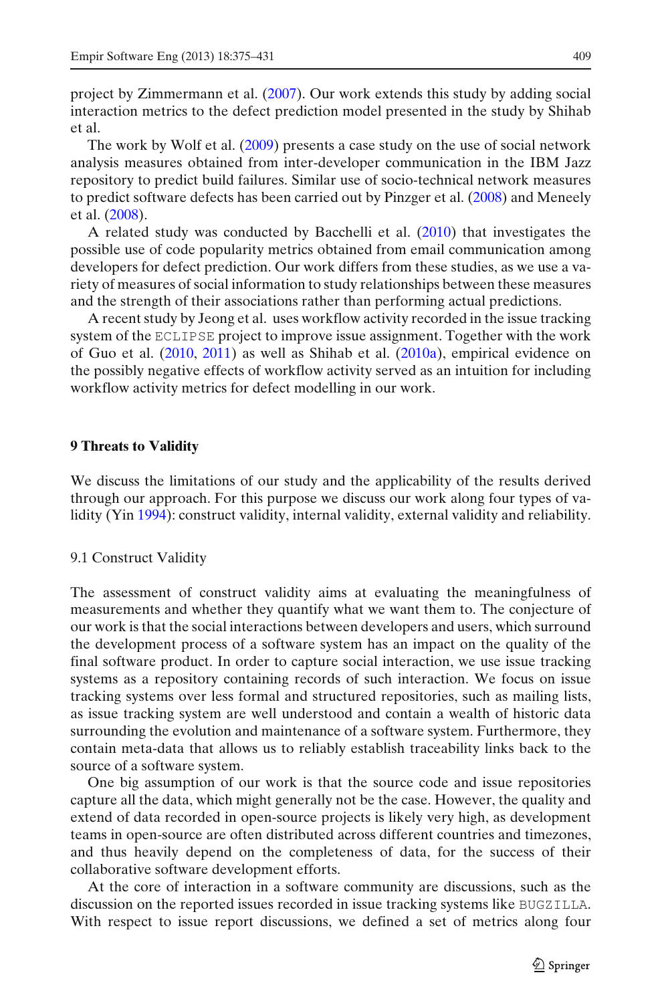<span id="page-34-0"></span>project by Zimmermann et al[.](#page-55-0) [\(2007\)](#page-55-0). Our work extends this study by adding social interaction metrics to the defect prediction model presented in the study by Shihab et al.

The work by Wolf et al[.](#page-55-0) [\(2009\)](#page-55-0) presents a case study on the use of social network analysis measures obtained from inter-developer communication in the IBM Jazz repository to predict build failures. Similar use of socio-technical network measures to predict software defects has been carried out by Pinzger et al[.](#page-55-0) [\(2008](#page-55-0)) and Meneely et al[.](#page-55-0) [\(2008\)](#page-55-0).

A related study was conducted by Bacchelli et al[.](#page-54-0) [\(2010](#page-54-0)) that investigates the possible use of code popularity metrics obtained from email communication among developers for defect prediction. Our work differs from these studies, as we use a variety of measures of social information to study relationships between these measures and the strength of their associations rather than performing actual predictions.

A recent study by Jeong et al. uses workflow activity recorded in the issue tracking system of the ECLIPSE project to improve issue assignment. Together with the work of Guo et al[.](#page-54-0) [\(2010,](#page-54-0) [2011\)](#page-54-0) as well as Shihab et al[.](#page-55-0) [\(2010a](#page-55-0)), empirical evidence on the possibly negative effects of workflow activity served as an intuition for including workflow activity metrics for defect modelling in our work.

#### **9 Threats to Validity**

We discuss the limitations of our study and the applicability of the results derived through our approach. For this purpose we discuss our work along four types of validity (Yi[n](#page-55-0) [1994](#page-55-0)): construct validity, internal validity, external validity and reliability.

#### 9.1 Construct Validity

The assessment of construct validity aims at evaluating the meaningfulness of measurements and whether they quantify what we want them to. The conjecture of our work is that the social interactions between developers and users, which surround the development process of a software system has an impact on the quality of the final software product. In order to capture social interaction, we use issue tracking systems as a repository containing records of such interaction. We focus on issue tracking systems over less formal and structured repositories, such as mailing lists, as issue tracking system are well understood and contain a wealth of historic data surrounding the evolution and maintenance of a software system. Furthermore, they contain meta-data that allows us to reliably establish traceability links back to the source of a software system.

One big assumption of our work is that the source code and issue repositories capture all the data, which might generally not be the case. However, the quality and extend of data recorded in open-source projects is likely very high, as development teams in open-source are often distributed across different countries and timezones, and thus heavily depend on the completeness of data, for the success of their collaborative software development efforts.

At the core of interaction in a software community are discussions, such as the discussion on the reported issues recorded in issue tracking systems like BUGZILLA. With respect to issue report discussions, we defined a set of metrics along four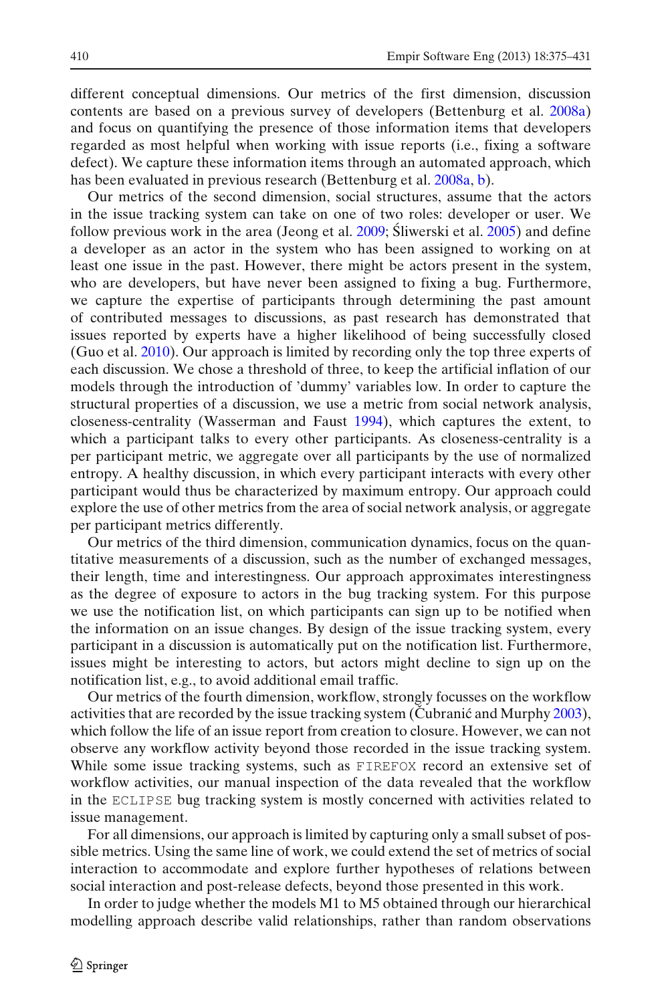different conceptual dimensions. Our metrics of the first dimension, discussion contents are based on a previous survey of developers (Bettenburg et al[.](#page-54-0) [2008a\)](#page-54-0) and focus on quantifying the presence of those information items that developers regarded as most helpful when working with issue reports (i.e., fixing a software defect). We capture these information items through an automated approach, which has been evaluated in previous research (Bettenburg et al[.](#page-54-0) [2008a](#page-54-0), [b](#page-54-0)).

Our metrics of the second dimension, social structures, assume that the actors in the issue tracking system can take on one of two roles: developer or user. We follow previous work in the area (Jeong et al[.](#page-55-0)  $2009$ ; Sliwerski et al.  $2005$ ) and define a developer as an actor in the system who has been assigned to working on at least one issue in the past. However, there might be actors present in the system, who are developers, but have never been assigned to fixing a bug. Furthermore, we capture the expertise of participants through determining the past amount of contributed messages to discussions, as past research has demonstrated that issues reported by experts have a higher likelihood of being successfully closed (Guo et al[.](#page-54-0) [2010\)](#page-54-0). Our approach is limited by recording only the top three experts of each discussion. We chose a threshold of three, to keep the artificial inflation of our models through the introduction of 'dummy' variables low. In order to capture the structural properties of a discussion, we use a metric from social network analysis, closeness-centrality (Wasserman and Faus[t](#page-55-0) [1994](#page-55-0)), which captures the extent, to which a participant talks to every other participants. As closeness-centrality is a per participant metric, we aggregate over all participants by the use of normalized entropy. A healthy discussion, in which every participant interacts with every other participant would thus be characterized by maximum entropy. Our approach could explore the use of other metrics from the area of social network analysis, or aggregate per participant metrics differently.

Our metrics of the third dimension, communication dynamics, focus on the quantitative measurements of a discussion, such as the number of exchanged messages, their length, time and interestingness. Our approach approximates interestingness as the degree of exposure to actors in the bug tracking system. For this purpose we use the notification list, on which participants can sign up to be notified when the information on an issue changes. By design of the issue tracking system, every participant in a discussion is automatically put on the notification list. Furthermore, issues might be interesting to actors, but actors might decline to sign up on the notification list, e.g., to avoid additional email traffic.

Our metrics of the fourth dimension, workflow, strongly focusses on the workflow activities that are recorded b[y](#page-54-0) the issue tracking system (Cubranic and Murphy  $2003$ ), which follow the life of an issue report from creation to closure. However, we can not observe any workflow activity beyond those recorded in the issue tracking system. While some issue tracking systems, such as FIREFOX record an extensive set of workflow activities, our manual inspection of the data revealed that the workflow in the ECLIPSE bug tracking system is mostly concerned with activities related to issue management.

For all dimensions, our approach is limited by capturing only a small subset of possible metrics. Using the same line of work, we could extend the set of metrics of social interaction to accommodate and explore further hypotheses of relations between social interaction and post-release defects, beyond those presented in this work.

In order to judge whether the models M1 to M5 obtained through our hierarchical modelling approach describe valid relationships, rather than random observations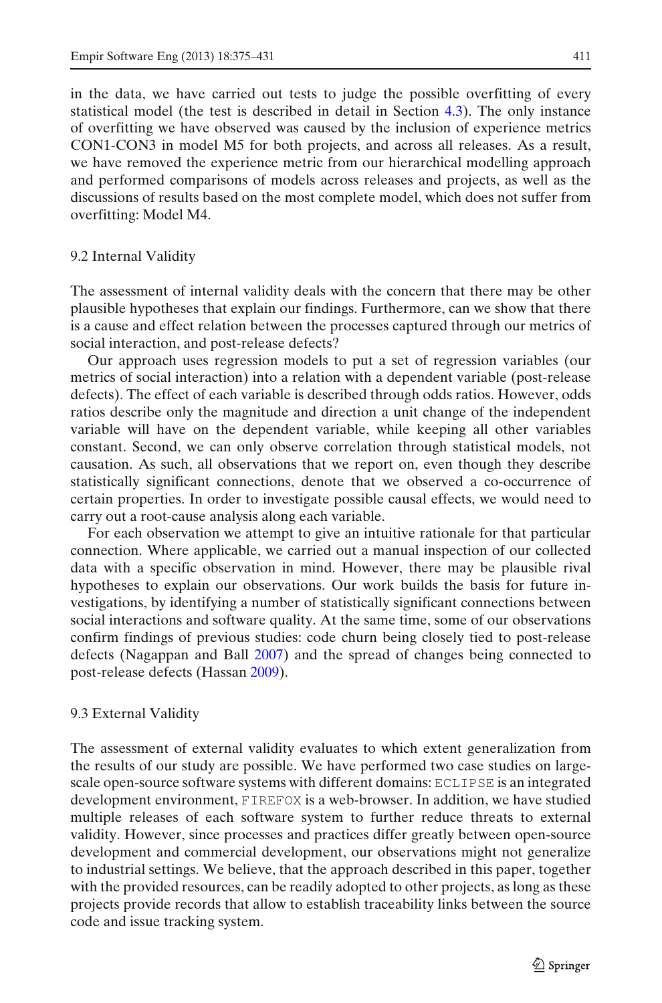in the data, we have carried out tests to judge the possible overfitting of every statistical model (the test is described in detail in Section [4.3\)](#page-15-0). The only instance of overfitting we have observed was caused by the inclusion of experience metrics CON1-CON3 in model M5 for both projects, and across all releases. As a result, we have removed the experience metric from our hierarchical modelling approach and performed comparisons of models across releases and projects, as well as the discussions of results based on the most complete model, which does not suffer from overfitting: Model M4.

#### 9.2 Internal Validity

The assessment of internal validity deals with the concern that there may be other plausible hypotheses that explain our findings. Furthermore, can we show that there is a cause and effect relation between the processes captured through our metrics of social interaction, and post-release defects?

Our approach uses regression models to put a set of regression variables (our metrics of social interaction) into a relation with a dependent variable (post-release defects). The effect of each variable is described through odds ratios. However, odds ratios describe only the magnitude and direction a unit change of the independent variable will have on the dependent variable, while keeping all other variables constant. Second, we can only observe correlation through statistical models, not causation. As such, all observations that we report on, even though they describe statistically significant connections, denote that we observed a co-occurrence of certain properties. In order to investigate possible causal effects, we would need to carry out a root-cause analysis along each variable.

For each observation we attempt to give an intuitive rationale for that particular connection. Where applicable, we carried out a manual inspection of our collected data with a specific observation in mind. However, there may be plausible rival hypotheses to explain our observations. Our work builds the basis for future investigations, by identifying a number of statistically significant connections between social interactions and software quality. At the same time, some of our observations confirm findings of previous studies: code churn being closely tied to post-release defects (Nagappan and Bal[l](#page-55-0) [2007](#page-55-0)) and the spread of changes being connected to post-release defects (Hassa[n](#page-54-0) [2009](#page-54-0)).

#### 9.3 External Validity

The assessment of external validity evaluates to which extent generalization from the results of our study are possible. We have performed two case studies on largescale open-source software systems with different domains: ECLIPSE is an integrated development environment, FIREFOX is a web-browser. In addition, we have studied multiple releases of each software system to further reduce threats to external validity. However, since processes and practices differ greatly between open-source development and commercial development, our observations might not generalize to industrial settings. We believe, that the approach described in this paper, together with the provided resources, can be readily adopted to other projects, as long as these projects provide records that allow to establish traceability links between the source code and issue tracking system.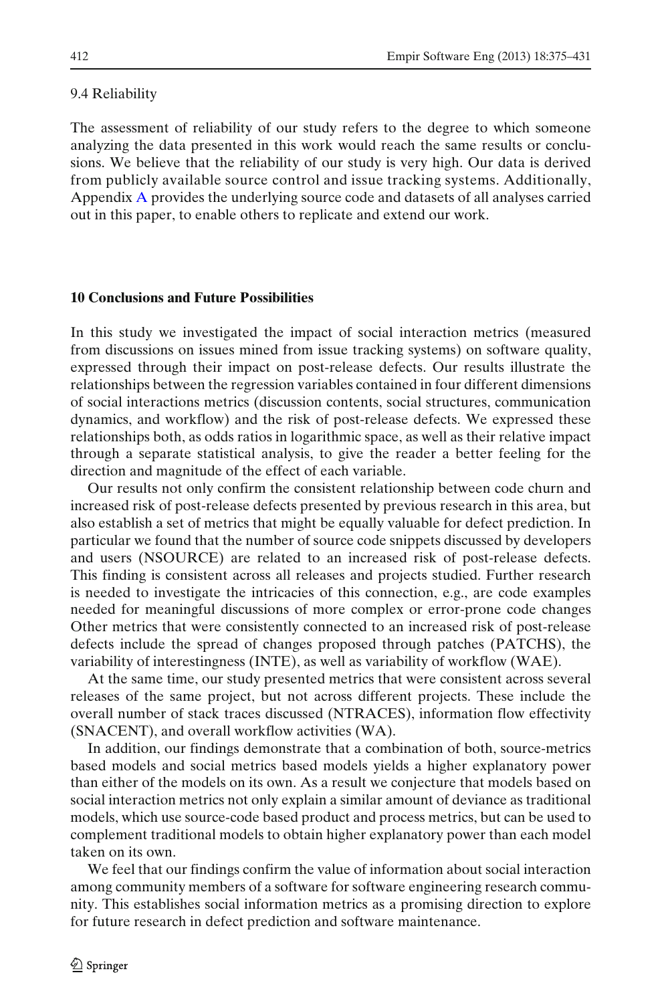#### <span id="page-37-0"></span>9.4 Reliability

The assessment of reliability of our study refers to the degree to which someone analyzing the data presented in this work would reach the same results or conclusions. We believe that the reliability of our study is very high. Our data is derived from publicly available source control and issue tracking systems. Additionally, Appendix [A](#page-38-0) provides the underlying source code and datasets of all analyses carried out in this paper, to enable others to replicate and extend our work.

#### **10 Conclusions and Future Possibilities**

In this study we investigated the impact of social interaction metrics (measured from discussions on issues mined from issue tracking systems) on software quality, expressed through their impact on post-release defects. Our results illustrate the relationships between the regression variables contained in four different dimensions of social interactions metrics (discussion contents, social structures, communication dynamics, and workflow) and the risk of post-release defects. We expressed these relationships both, as odds ratios in logarithmic space, as well as their relative impact through a separate statistical analysis, to give the reader a better feeling for the direction and magnitude of the effect of each variable.

Our results not only confirm the consistent relationship between code churn and increased risk of post-release defects presented by previous research in this area, but also establish a set of metrics that might be equally valuable for defect prediction. In particular we found that the number of source code snippets discussed by developers and users (NSOURCE) are related to an increased risk of post-release defects. This finding is consistent across all releases and projects studied. Further research is needed to investigate the intricacies of this connection, e.g., are code examples needed for meaningful discussions of more complex or error-prone code changes Other metrics that were consistently connected to an increased risk of post-release defects include the spread of changes proposed through patches (PATCHS), the variability of interestingness (INTE), as well as variability of workflow (WAE).

At the same time, our study presented metrics that were consistent across several releases of the same project, but not across different projects. These include the overall number of stack traces discussed (NTRACES), information flow effectivity (SNACENT), and overall workflow activities (WA).

In addition, our findings demonstrate that a combination of both, source-metrics based models and social metrics based models yields a higher explanatory power than either of the models on its own. As a result we conjecture that models based on social interaction metrics not only explain a similar amount of deviance as traditional models, which use source-code based product and process metrics, but can be used to complement traditional models to obtain higher explanatory power than each model taken on its own.

We feel that our findings confirm the value of information about social interaction among community members of a software for software engineering research community. This establishes social information metrics as a promising direction to explore for future research in defect prediction and software maintenance.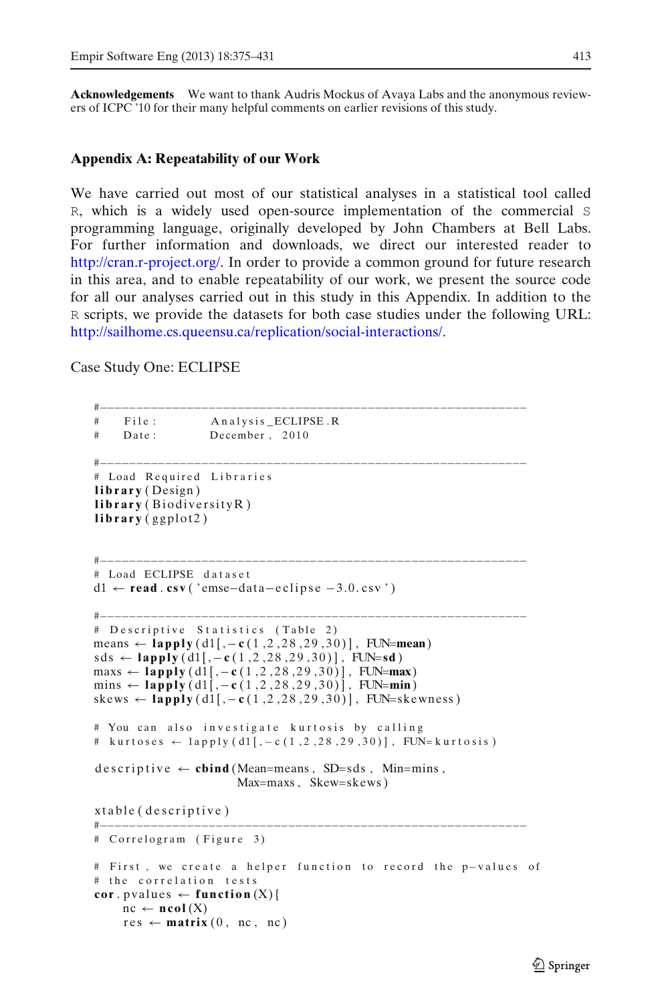<span id="page-38-0"></span>**Acknowledgements** We want to thank Audris Mockus of Avaya Labs and the anonymous reviewers of ICPC '10 for their many helpful comments on earlier revisions of this study.

#### **Appendix A: Repeatability of our Work**

We have carried out most of our statistical analyses in a statistical tool called R, which is a widely used open-source implementation of the commercial S programming language, originally developed by John Chambers at Bell Labs. For further information and downloads, we direct our interested reader to [http://cran.r-project.org/.](http://cran.r-project.org/) In order to provide a common ground for future research in this area, and to enable repeatability of our work, we present the source code for all our analyses carried out in this study in this Appendix. In addition to the R scripts, we provide the datasets for both case studies under the following URL: [http://sailhome.cs.queensu.ca/replication/social-interactions/.](http://sailhome.cs.queensu.ca/replication/social-interactions/)

#### Case Study One: ECLIPSE

```
#−−−−−−−−−−−−−−−−−−−−−−−−−−−−−−−−−−−−−−−−−−−−−−−−−−−−−−−−−−−
# File : Analysis _ECLIPSE .R
# Date: December, 2010
#−−−−−−−−−−−−−−−−−−−−−−−−−−−−−−−−−−−−−−−−−−−−−−−−−−−−−−−−−−−
# Load Required Libraries
library (Design)
library (BiodiversityR)
library (ggplot2)
#−−−−−−−−−−−−−−−−−−−−−−−−−−−−−−−−−−−−−−−−−−−−−−−−−−−−−−−−−−−
# Load ECLIPSE dataset
d1 ← read . csv ( 'emse−data−eclipse −3.0.csv ')
#−−−−−−−−−−−−−−−−−−−−−−−−−−−−−−−−−−−−−−−−−−−−−−−−−−−−−−−−−−−
# Descriptive Statistics ( Table 2)
means ← 
sds \leftarrow lapply (d1[, -c(1,2,28,29,30)], FUN=sd)
maxs ← lapply (d1[,-c(1,2,28,29,30)], FUN=max)
mins ← lapply (d1[,-c(1,2,28,29,30)], FUN=min)
skews ← lapply (d1[,-c(1,2,28,29,30)], FUN=skewness)
# You can also investigate kurtosis by calling
# kurtoses ← lapply (d1[, -c(1, 2, 28, 29, 30)], FUN= kurtosis)
\text{descriptive} \leftarrow \text{cbind}(\text{Mean}=\text{means}, \text{ SD}=s \text{ds}, \text{ Min}=\text{mins},Max=maxs , Skew=skews )
xtable( descriptive )
#−−−−−−−−−−−−−−−−−−−−−−−−−−−−−−−−−−−−−−−−−−−−−−−−−−−−−−−−−−−
# Correlogram ( Figure 3)
# First, we create a helper function to record the p-values of
# the correlation tests
cor . pvalues \leftarrow function (X) {
    nc \leftarrow \mathbf{ncol}(X)res \leftarrow matrix (0, nc, nc)
```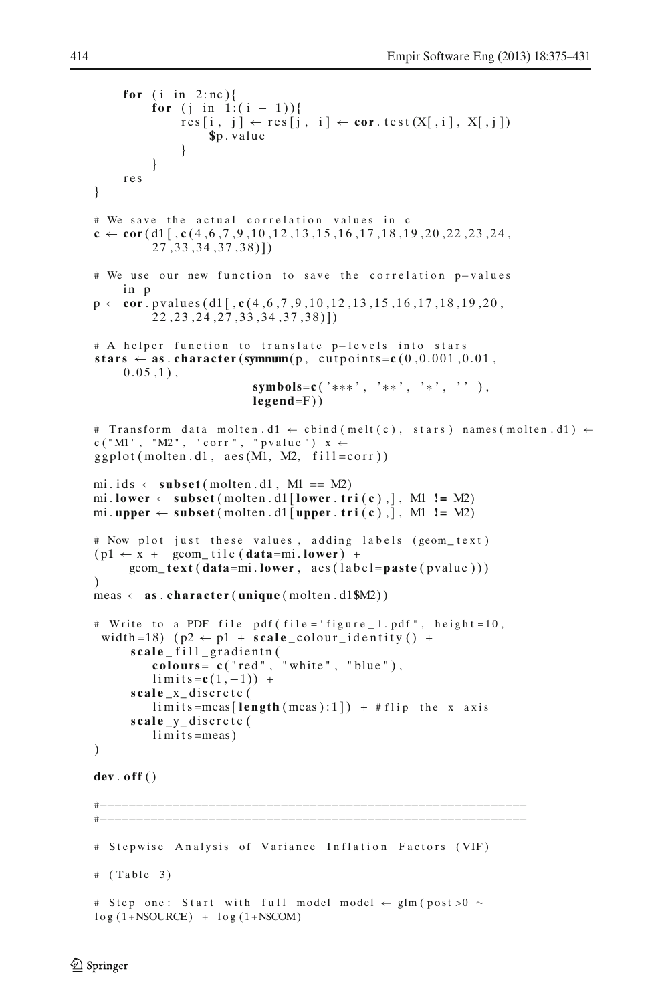```
for (i \text{ in } 2 \text{:} nc){
          for (j in 1:(i - 1)){
               res[i, j] \leftarrow res[j, i] \leftarrow cor.test(X[, i], X[, j])$p. value
               }
          }
     res
}
# We save the actual correlation values in c
c \leftarrow \textbf{cor}(\text{d1}[\cdot,\textbf{c}(4,6,7,9,10,12,13,15,16,17,18,19,20,22,23,2427 ,33 ,34 ,37 ,38)])
# We use our new function to save the correlation p-values
     in p
p \leftarrow \text{cor}. pvalues (d1 [, \text{c} (4, 6, 7, 9, 10, 12, 13, 15, 16, 17, 18, 19, 20,
          22 ,23 ,24 ,27 ,33 ,34 ,37 ,38)])
# A helper function to translate p− levels into stars
\text{stars} \leftarrow \text{as} \cdot \text{character}(\text{symnum}(p, \text{cutpoints} = \text{c}(0, 0.001, 0.01,0.05, 1),
                            {\bf symbols}=c' ( '***', '**', '*', ',' ),
                            legend=F ) )
# Transform data molten.d1 \leftarrow cbind (melt(c), stars) names (molten.d1) \leftarrowc ( " M1 ", "M2", " c o r r ", " p v a l u e " ) x \leftarrowggplot (molten.d1, aes (M1, M2, fill = corr))mi. ids \leftarrow subset (molten. d1, M1 == M2)
mi. lower \leftarrow subset (molten. d1 [lower. tri (c), ], M1 != M2)
mi. upper \leftarrow subset (molten. d1 [upper. tri (c), ], M1 != M2)
# Now plot just these values, adding labels (geom_text)
(\text{p1} \leftarrow \text{x} + \text{geom}_\text{}</{ itle (<b>data</b>=mi <b>. lower</b>) +geom_text ( data=mi . lower , aes( label=paste (pvalue )))
)
meas ← as . character ( unique ( molten . d1$M2) )
# Write to a PDF file pdf (file ="figure _1.pdf", height =10,
 width=18) (p2 \leftarrow p1 + scale\_colour\_identity() +scale_ fill _ gradientn(
          colours= c ("red" , "white" , "blue") ,
          \lim its=c(1,-1)) +
      scale_x_ discrete(
          \limits=meas [length (meas):1]) + #flip the x axis
      scale_y_ discrete(
          lim it s = meas)
)
dev . off ( )
#−−−−−−−−−−−−−−−−−−−−−−−−−−−−−−−−−−−−−−−−−−−−−−−−−−−−−−−−−−−
#−−−−−−−−−−−−−−−−−−−−−−−−−−−−−−−−−−−−−−−−−−−−−−−−−−−−−−−−−−−
# Stepwise Analysis of Variance Inflation Factors (VIF)
# ( Table 3)
# Step one: Start with full model model ← glm (post >0 ~
log(1+NSOURCE) + log(1+NSCOM)
```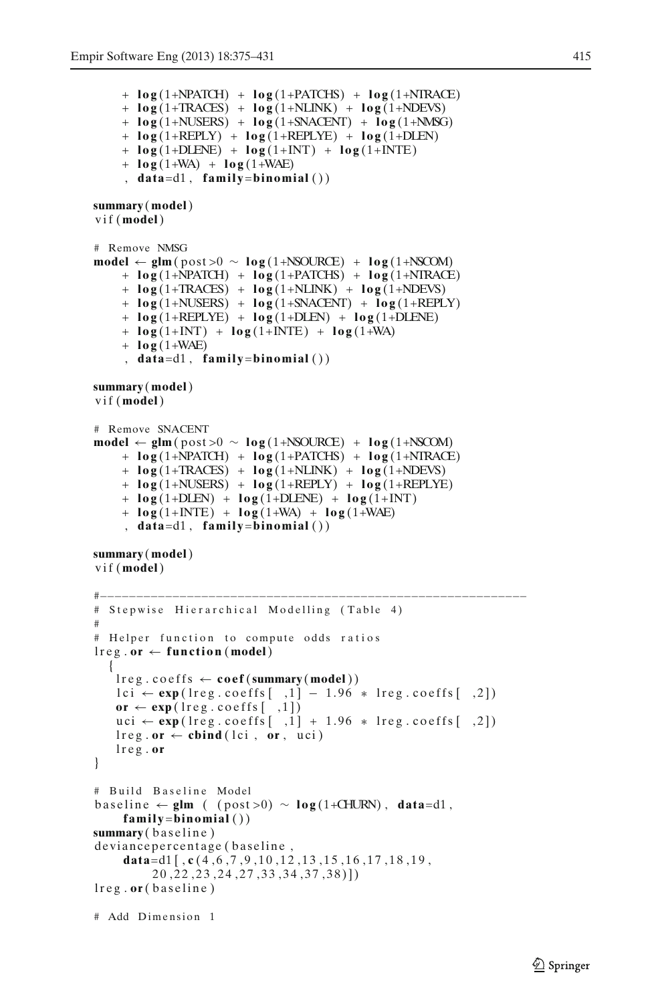```
+ log (1+NPATCH) + log (1+PATCHS) + log (1+NTRACE)
    + log (1+TRACES) + log (1+NLINK) + log (1+NDEVS)
    + log (1+NUSERS) + log (1+SNACENT) + log (1+NMSG)
    + log (1+REPLY) + log (1+REPLYE) + log (1+DLEN)
    + log (1+DLENE) + log (1+INT) + log (1+INTE)
    + log (1+WA) + log (1+WAE)
     , data=d1 , family=binomial ())
summary ( model)
vif( model)
# Remove NMSG
model ← glm ( post >0 ∼ log (1+NSOURCE) + log (1+NSCOM)
    + log (1+NPATCH) + log (1+PATCHS) + log (1+NTRACE)
    + log (1+TRACES) + log (1+NLINK) + log (1+NDEVS)
    + log (1+NUSERS) + log (1+SNACENT) + log (1+REPLY)
    + log (1+REPLYE) + log (1+DLEN) + log (1+DLENE)
    + log (1+INT) + log (1+INTE) + log (1+WA)
    + log (1+WAE)
     , data=d1 , family=binomial ())
summary ( model)
vif( model)
# Remove SNACENT
model ← glm ( post >0 ∼ log (1+NSOURCE) + log (1+NSCOM)
    + log (1+NPATCH) + log (1+PATCHS) + log (1+NTRACE)
    + log (1+TRACES) + log (1+NLINK) + log (1+NDEVS)
    + log (1+NUSERS) + log (1+REPLY) + log (1+REPLYE)
    + log (1+DLEN) + log (1+DLENE) + log (1+INT)
    + log (1+INTE) + log (1+WA) + log (1+WAE)
     , data=d1 , family=binomial ())
summary ( model)
vif( model)
#−−−−−−−−−−−−−−−−−−−−−−−−−−−−−−−−−−−−−−−−−−−−−−−−−−−−−−−−−−−
# Stepwise Hierarchical Modelling ( Table 4)
#
# Helper function to compute odds ratios
\text{lreg. or} \leftarrow \text{function} (\text{model}){
   lreg . coeffs ← coef (summary ( model) )
   lci ← exp (lreg. coeffs \begin{bmatrix} 1 \\ -1.96 \end{bmatrix} + lreg. coeffs \begin{bmatrix} 2 \\ 1 \end{bmatrix}or \leftarrow exp(lreg.coeffs[ ,1])uci ← exp (lreg . coeffs [ ,1] + 1.96 ∗ lreg . coeffs [ ,2])
   \text{lreg. or} \leftarrow \text{cbind}(\text{lci, or, uci})lreg . or
}
# Build Baseline Model
baseline ← glm ( (post >0) ∼ log (1+CHURN) , data=d1 ,
    family=binomial ())
summary (baseline)
deviancepercentage(baseline ,
    data=d1 [ , c (4 ,6 ,7 ,9 ,10 ,12 ,13 ,15 ,16 ,17 ,18 ,19 ,
         20 ,22 ,23 ,24 ,27 ,33 ,34 ,37 ,38)])
lreg . or(baseline)
# Add Dimension 1
```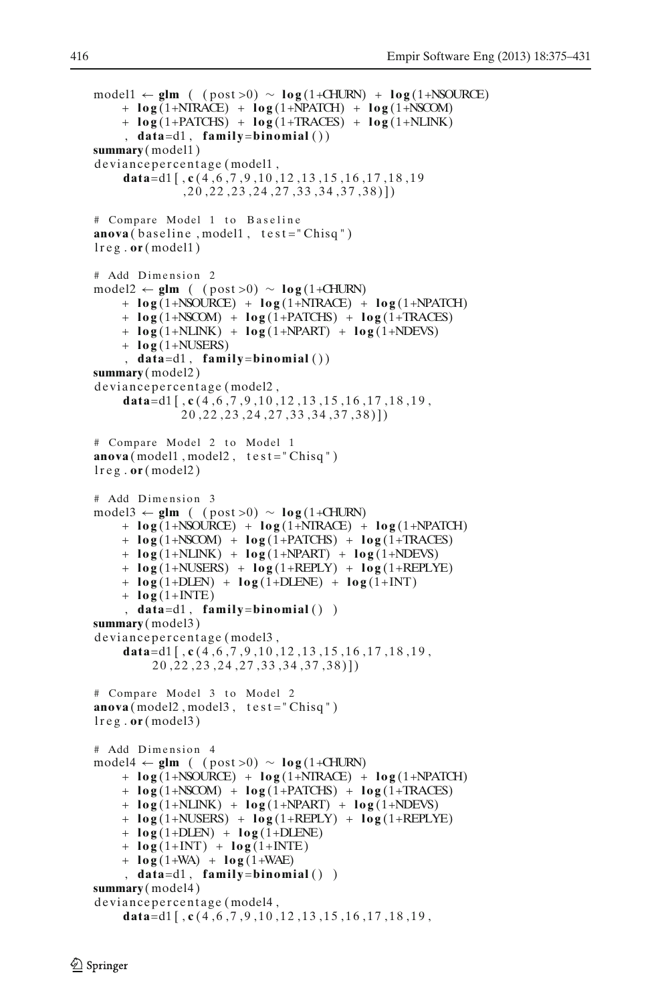```
model1 ← glm ( (post >0) ∼ log (1+CHURN) + log (1+NSOURCE)
    + log (1+NTRACE) + log (1+NPATCH) + log (1+NSCOM)
    + log (1+PATCHS) + log (1+TRACES) + log (1+NLINK)
    , data=d1 , family=binomial ())
summary (model1)
deviancepercentage (model1 ,
    data=d1 [ , c (4 ,6 ,7 ,9 ,10 ,12 ,13 ,15 ,16 ,17 ,18 ,19
              ,20 ,22 ,23 ,24 ,27 ,33 ,34 ,37 ,38)])
# Compare Model 1 to Baseline
anova ( baseline , model1 , test="Chisq")
lreg . or(model1)
# Add Dimension 2
model2 ← glm ( (post >0) ∼ log (1+CHURN)
    + log (1+NSOURCE) + log (1+NTRACE) + log (1+NPATCH)
    + log (1+NSCOM) + log (1+PATCHS) + log (1+TRACES)
    + log (1+NLINK) + log (1+NPART) + log (1+NDEVS)
    + log (1+NUSERS)
    , data=d1 , family=binomial ())
summary (model2)
deviancepercentage (model2 ,
    data=d1 [ , c (4 ,6 ,7 ,9 ,10 ,12 ,13 ,15 ,16 ,17 ,18 ,19 ,
             20 ,22 ,23 ,24 ,27 ,33 ,34 ,37 ,38)])
# Compare Model 2 to Model 1
anova (model1 , model2 , test="Chisq")
lreg . or(model2)
# Add Dimension 3
model3 ← glm ( (post >0) ∼ log (1+CHURN)
    + log (1+NSOURCE) + log (1+NTRACE) + log (1+NPATCH)
    + log (1+NSCOM) + log (1+PATCHS) + log (1+TRACES)
    + log (1+NLINK) + log (1+NPART) + log (1+NDEVS)
    + log (1+NUSERS) + log (1+REPLY) + log (1+REPLYE)
    + log (1+DLEN) + log (1+DLENE) + log (1+INT)
    + log (1+INTE)
    , data=d1 , family=binomial () )
summary (model3)
deviancepercentage (model3 ,
    data=d1 [ , c (4 ,6 ,7 ,9 ,10 ,12 ,13 ,15 ,16 ,17 ,18 ,19 ,
         20 ,22 ,23 ,24 ,27 ,33 ,34 ,37 ,38)])
# Compare Model 3 to Model 2
anova (model2 , model3 , test="Chisq")
lreg . or(model3)
# Add Dimension 4
model4 ← glm ( (post >0) ∼ log (1+CHURN)
    + log (1+NSOURCE) + log (1+NTRACE) + log (1+NPATCH)
    + log (1+NSCOM) + log (1+PATCHS) + log (1+TRACES)
    + log (1+NLINK) + log (1+NPART) + log (1+NDEVS)
    + log (1+NUSERS) + log (1+REPLY) + log (1+REPLYE)
    + log (1+DLEN) + log (1+DLENE)
    +log(1+INT) +log(1+INTER)+ log (1+WA) + log (1+WAE)
    , data=d1 , family=binomial () )
summary (model4)
deviancepercentage (model4 ,
    data=d1 [ , c (4 ,6 ,7 ,9 ,10 ,12 ,13 ,15 ,16 ,17 ,18 ,19 ,
```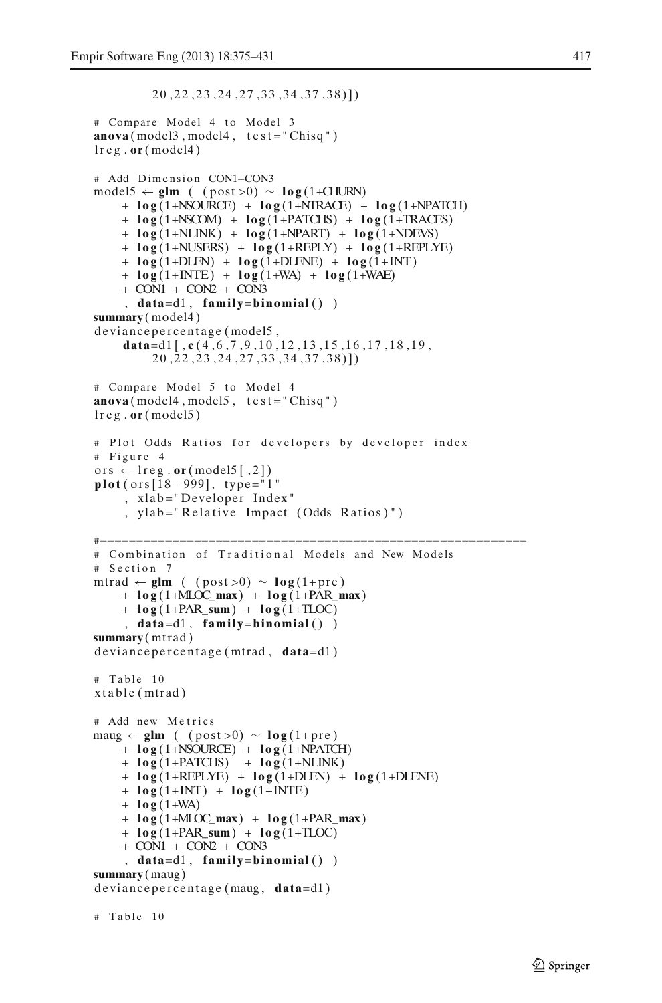```
20 ,22 ,23 ,24 ,27 ,33 ,34 ,37 ,38)])
# Compare Model 4 to Model 3
anova (model3 , model4 , test="Chisq")
lreg . or(model4)
# Add Dimension CON1-CON3
model5 ← glm ( (post >0) ∼ log (1+CHURN)
    + log (1+NSOURCE) + log (1+NTRACE) + log (1+NPATCH)
    + log (1+NSCOM) + log (1+PATCHS) + log (1+TRACES)
    + log (1+NLINK) + log (1+NPART) + log (1+NDEVS)
    + log (1+NUSERS) + log (1+REPLY) + log (1+REPLYE)
    + log (1+DLEN) + log (1+DLENE) + log (1+INT)
    + log (1+INTE) + log (1+WA) + log (1+WAE)
    + CON1 + CON2 + CON3
    , data=d1 , family=binomial () )
summary (model4)
deviancepercentage (model5 ,
    data=d1 [ , c (4 ,6 ,7 ,9 ,10 ,12 ,13 ,15 ,16 ,17 ,18 ,19 ,
         20 ,22 ,23 ,24 ,27 ,33 ,34 ,37 ,38)])
# Compare Model 5 to Model 4
anova (model4 , model5 , test="Chisq")
lreg . or(model5)
# Plot Odds Ratios for developers by developer index
# Figure 4
ors \leftarrow \text{lreg} \cdot \text{or} (\text{model5} [2])plot (ors[18 −999] , type=" l "
    , xlab="Developer Index"
    , ylab=" Relative Impact (Odds Ratios ) " )
#−−−−−−−−−−−−−−−−−−−−−−−−−−−−−−−−−−−−−−−−−−−−−−−−−−−−−−−−−−−
# Combination of Traditional Models and New Models
# Section 7
mtrad ← glm ( (post >0) ∼ log (1+pre)
    +log(1+MLOC\_max) + log(1+PAR\_max)+ log (1+PAR_sum) + log (1+TLOC)
    , data=d1 , family=binomial () )
summary (mtrad)
deviancepercentage (mtrad , data=d1)
# Table 10
xtable (mtrad)
# Add new Metrics
maug ← glm ( (post >0) ∼ log (1+pre)
    + log (1+NSOURCE) + log (1+NPATCH)
    + log (1+PATCHS) + log (1+NLINK)
    + log (1+REPLYE) + log (1+DLEN) + log (1+DLENE)
    + log (1+INT) + log (1+INTE)
    +log (1+WA)
    + log (1+MLOC_max) + log (1+PAR_max)
    + log (1+PAR_sum) + log (1+TLOC)
    + CON1 + CON2 + CON3
    , data=d1 , family=binomial () )
summary (maug)
deviancepercentage (maug , data=d1)
# Table 10
```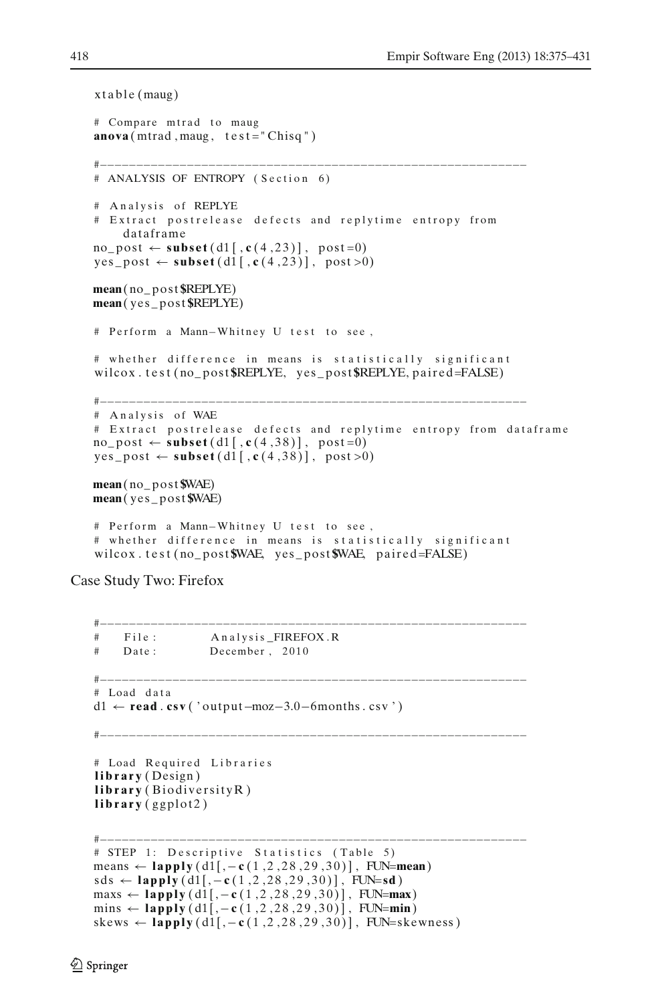```
xtable (maug)# Compare mtrad to maug
   anova (mtrad, maug, test="Chisq")
   #−−−−−−−−−−−−−−−−−−−−−−−−−−−−−−−−−−−−−−−−−−−−−−−−−−−−−−−−−−−
   # ANALYSIS OF ENTROPY (Section 6)
   # Analysis of REPLYE
   # Extract postrelease defects and replytime entropy from
       dataframe
   no\_post \leftarrow subset(d1[, c(4,23)], post=0)yes\_post \leftarrow subset(d1[, c(4,23)], post>0)mean(no_ post $REPLYE)
   mean(yes _ post $REPLYE)
   # Perform a Mann−Whitney U test to see ,
   # whether difference in means is statistically significant
   wilcox . t e s t (no_ post $REPLYE, yes _ post $REPLYE, paired=FALSE)
   #−−−−−−−−−−−−−−−−−−−−−−−−−−−−−−−−−−−−−−−−−−−−−−−−−−−−−−−−−−−
   # Analysis of WAE
   # Extract postrelease defects and replytime entropy from dataframe
   no\_post \leftarrow subset(d1[, c(4,38)], post=0)yes\_post \leftarrow subset(d1[, c(4,38)], post>0)mean(no_ post $WAE)
   mean(yes _ post $WAE)
   # Perform a Mann−Whitney U test to see ,
   # whether difference in means is statistically significant
   wilcox . t e s t (no_ post $WAE, yes _ post $WAE, paired=FALSE)
Case Study Two: Firefox
   #−−−−−−−−−−−−−−−−−−−−−−−−−−−−−−−−−−−−−−−−−−−−−−−−−−−−−−−−−−−
   # File : Analysis _FIREFOX . R
                   December, 2010
   #−−−−−−−−−−−−−−−−−−−−−−−−−−−−−−−−−−−−−−−−−−−−−−−−−−−−−−−−−−−
   # Load data
   d1 ← read . csv ( 'output−moz−3.0−6months . csv ' )
   #−−−−−−−−−−−−−−−−−−−−−−−−−−−−−−−−−−−−−−−−−−−−−−−−−−−−−−−−−−−
   # Load Required Libraries
   library (Design)
   library (BiodiversityR)
   library (ggplot2)
   #−−−−−−−−−−−−−−−−−−−−−−−−−−−−−−−−−−−−−−−−−−−−−−−−−−−−−−−−−−−
   # STEP 1: Descriptive Statistics (Table 5)
   means ← lapply (d1[,−c ( 1 , 2 , 2 8 , 2 9 , 3 0 ) ] , FUN=mean)
   sds ← lapply (d1[,-c(1,2,28,29,30)], FUN=sd)
   maxs ← lapply (d1[,-c(1, 2, 28, 29, 30)], FUN=max)
   mins ← lapply (d1[,-c(1,2,28,29,30)], FUN=min)
   skews ← lapply (d1[,-c(1,2,28,29,30)], FUN=skewness)
```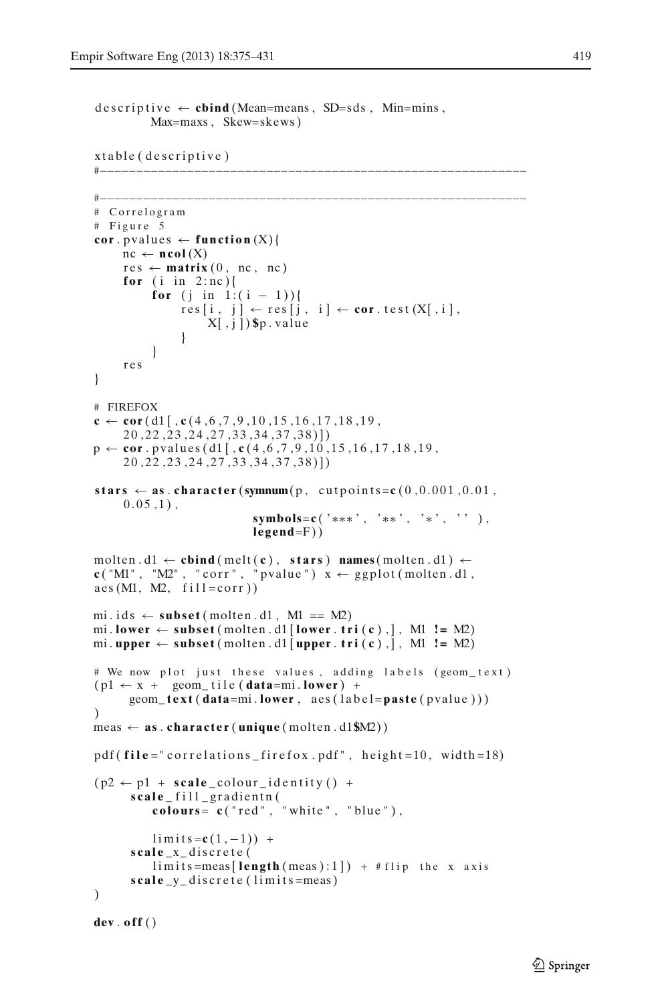```
\text{descriptive} \leftarrow \text{cbind}(\text{Mean}=\text{means}, \text{ SD}=s \text{ds}, \text{ Min}=\text{mins},Max=maxs , Skew=skews )
xtable( descriptive )
#−−−−−−−−−−−−−−−−−−−−−−−−−−−−−−−−−−−−−−−−−−−−−−−−−−−−−−−−−−−
#−−−−−−−−−−−−−−−−−−−−−−−−−−−−−−−−−−−−−−−−−−−−−−−−−−−−−−−−−−−
# Correlogram
# Figure 5
cor . pvalues \leftarrow function (X) {
     nc \leftarrow \textbf{ncol}(X)res \leftarrow matrix (0, nc, nc)
     for (i \text{ in } 2 \text{:} nc){
           for (j in 1:(i - 1)){
                 res[i, j] \leftarrow res[j, i] \leftarrow cor.test(X[j, i],X[, j ]) p, value
                 }
           }
     res
}
# FIREFOX
c \leftarrow \text{cor}(\text{d1}[\cdot,\text{c}(4.6.7.9.10.15.16.17.18.19.
     20 ,22 ,23 ,24 ,27 ,33 ,34 ,37 ,38)])
p \leftarrow \text{cor}. pvalues (d1 [, \text{c} (4, 6, 7, 9, 10, 15, 16, 17, 18, 19,
     20 ,22 ,23 ,24 ,27 ,33 ,34 ,37 ,38)])
stars \leftarrow as . character (symnum(p, cutpoints=c(0, 0.001, 0.01, 0.01)0.05, 1),
                               symbols=c ( ' ∗∗∗ ', ' ∗∗ ', ' ∗ ', '' ),
                               legend=F ) )
molten . d1 \leftarrow cbind (melt(c), stars) names (molten . d1) \leftarrowc("M1", "M2", "corr", "pvalue") x \leftarrow ggplot(molten.d1,\text{aes (M1, M2, fill = corr)}mi. ids \leftarrow subset (molten.d1, M1 == M2)
mi. \text{lower} \leftarrow \text{subset}(\text{mother.d1}[\text{lower.tri}(\textbf{c}),], \text{M1} := \text{M2})mi. upper \leftarrow subset (molten. d1 [upper. tri (c), ], M1 != M2)
# We now plot just these values, adding labels (geom_text)
(\text{p1} \leftarrow \text{x} + \text{geom}_\text{}</{ itle (<b>data</b>=mi <b>. lower</b>) +geom_text ( data=mi . lower , aes( label=paste (pvalue )))
)
meas \leftarrow as \cdot character(\text{unique}(\text{molten}. d1\
M2))pdf( file =" correlations _ firefox . pdf" , height =10, width=18)
(p2 \leftarrow p1 + scale\_colour\_identity() +scale_ fill _ gradientn(
           colours= c ("red" , "white" , "blue") ,
           \lim its=c(1,-1)) +
       scale_x_ discrete(
           \limit s = meas [length (meas):1]) + #flip the x axis
       scale_y_discrete (limits=meas)
)
dev . off ( )
```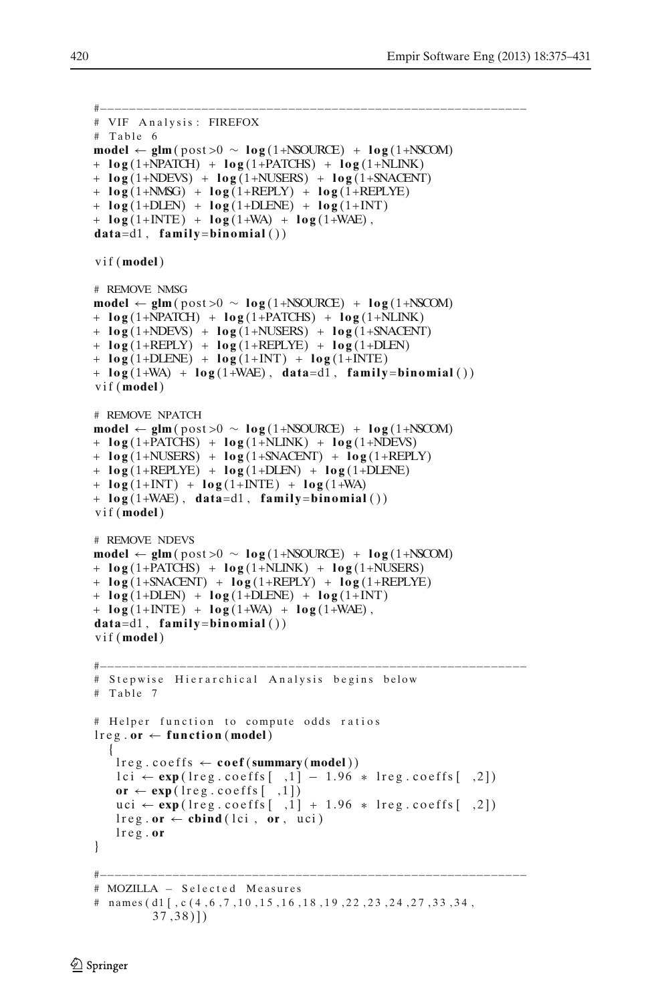```
#−−−−−−−−−−−−−−−−−−−−−−−−−−−−−−−−−−−−−−−−−−−−−−−−−−−−−−−−−−−
# VIF Analysis: FIREFOX
# Table 6
model ← glm ( post >0 ∼ log (1+NSOURCE) + log (1+NSCOM)
+ log (1+NPATCH) + log (1+PATCHS) + log (1+NLINK)
+ log (1+NDEVS) + log (1+NUSERS) + log (1+SNACENT)
+ log (1+NMSG) + log (1+REPLY) + log (1+REPLYE)
+ log (1+DLEN) + log (1+DLENE) + log (1+INT)
+ \log(1+INTE) + \log(1+WA) + \log(1+WA),
data=d1 , family=binomial ())
vif( model)
# REMOVE NMSG
model ← glm ( post >0 ∼ log (1+NSOURCE) + log (1+NSCOM)
+ log (1+NPATCH) + log (1+PATCHS) + log (1+NLINK)
+ log (1+NDEVS) + log (1+NUSERS) + log (1+SNACENT)
+ log (1+REPLY) + log (1+REPLYE) + log (1+DLEN)
+ log (1+DLENE) + log (1+INT) + log (1+INTE)
+ log (1+WA) + log (1+WAE) , data=d1 , family=binomial ())
vif( model)
# REMOVE NPATCH
model ← glm(post > 0 ∼ log(1 + NSOLRCE) + log(1 + NSCOM)
+ log (1+PATCHS) + log (1+NLINK) + log (1+NDEVS)
+ log (1+NUSERS) + log (1+SNACENT) + log (1+REPLY)
+ log (1+REPLYE) + log (1+DLEN) + log (1+DLENE)
+ \log(1+INT) + \log(1+INTER) + \log(1+WA)+ log (1+WAE) , data=d1 , family=binomial ())
vif( model)
# REMOVE NDEVS
model ← glm ( post >0 ∼ log (1+NSOURCE) + log (1+NSCOM)
+ log (1+PATCHS) + log (1+NLINK) + log (1+NUSERS)
+ log (1+SNACENT) + log (1+REPLY) + log (1+REPLYE)
+ log (1+DLEN) + log (1+DLENE) + log (1+INT)
+ log (1+INTE) + log (1+WA) + log (1+WAE) ,
data=d1 , family=binomial ())
vif( model)
#−−−−−−−−−−−−−−−−−−−−−−−−−−−−−−−−−−−−−−−−−−−−−−−−−−−−−−−−−−−
# Stepwise Hierarchical Analysis begins below
# Table 7
# Helper function to compute odds ratios
\text{lreg. or} \leftarrow \text{function} (\text{model}){
   lreg . coeffs ← coef (summary ( model) )
   \text{lci} \leftarrow \text{exp}(\text{lreg}.\text{coeffs} [\ ,1] - 1.96 \ * \text{lreg}.\text{coeffs} [\ ,2])or \leftarrow exp(lreg.coeffs[, 1])
   uci ← exp (lreg. coeffs [ ,1] + 1.96 * lreg. coeffs [ ,2])
   \text{lreg. or} \leftarrow \text{cbind}(\text{lci}, \text{or}, \text{uci})lreg . or
}
#−−−−−−−−−−−−−−−−−−−−−−−−−−−−−−−−−−−−−−−−−−−−−−−−−−−−−−−−−−−
# MOZILLA − Selected Measures
# names ( d1 [ , c (4 ,6 ,7 ,10 ,15 ,16 ,18 ,19 ,22 ,23 ,24 ,27 ,33 ,34 ,
         37 ,38)])
```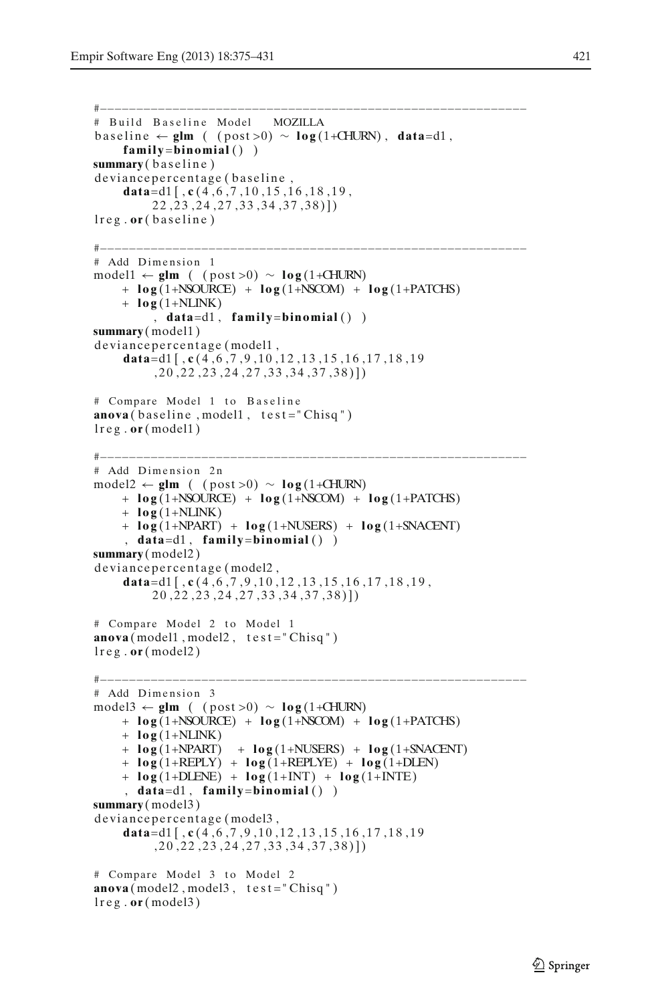```
#−−−−−−−−−−−−−−−−−−−−−−−−−−−−−−−−−−−−−−−−−−−−−−−−−−−−−−−−−−−
# Build Baseline Model MOZILLA
baseline ← glm ( (post >0) ∼ log (1+CHURN) , data=d1 ,
    family=binomial () )
summary (baseline)
deviancepercentage(baseline ,
    data=d1 [ , c (4 ,6 ,7 ,10 ,15 ,16 ,18 ,19 ,
         22 ,23 ,24 ,27 ,33 ,34 ,37 ,38)])
lreg . or(baseline)
#−−−−−−−−−−−−−−−−−−−−−−−−−−−−−−−−−−−−−−−−−−−−−−−−−−−−−−−−−−−
# Add Dimension 1
model1 ← glm ( (post >0) ∼ log (1+CHURN)
    + log (1+NSOURCE) + log (1+NSCOM) + log (1+PATCHS)
    + log (1+NLINK)
         , data=d1 , family=binomial () )
summary (model1)
deviancepercentage (model1 ,
    data=d1 [ , c (4 ,6 ,7 ,9 ,10 ,12 ,13 ,15 ,16 ,17 ,18 ,19
         ,20 ,22 ,23 ,24 ,27 ,33 ,34 ,37 ,38)])
# Compare Model 1 to Baseline
anova ( baseline , model1 , test="Chisq")
lreg . or(model1)
#−−−−−−−−−−−−−−−−−−−−−−−−−−−−−−−−−−−−−−−−−−−−−−−−−−−−−−−−−−−
# Add Dimension 2n
model2 ← glm ( (post >0) ∼ log (1+CHURN)
    + log (1+NSOURCE) + log (1+NSCOM) + log (1+PATCHS)
    + log (1+NLINK)
    + log (1+NPART) + log (1+NUSERS) + log (1+SNACENT)
    , data=d1 , family=binomial () )
summary (model2)
deviancepercentage (model2 ,
    data=d1 [ , c (4 ,6 ,7 ,9 ,10 ,12 ,13 ,15 ,16 ,17 ,18 ,19 ,
         20 ,22 ,23 ,24 ,27 ,33 ,34 ,37 ,38)])
# Compare Model 2 to Model 1
anova (model1 , model2 , test="Chisq")
lreg . or(model2)
#−−−−−−−−−−−−−−−−−−−−−−−−−−−−−−−−−−−−−−−−−−−−−−−−−−−−−−−−−−−
# Add Dimension 3
model3 ← glm ( (post >0) ∼ log (1+CHURN)
    + log (1+NSOURCE) + log (1+NSCOM) + log (1+PATCHS)
    + log (1+NLINK)
    + log (1+NPART) + log (1+NUSERS) + log (1+SNACENT)
    + log (1+REPLY) + log (1+REPLYE) + log (1+DLEN)
    + log (1+DLENE) + log (1+INT) + log (1+INTE)
    , data=d1 , family=binomial () )
summary (model3)
deviancepercentage (model3 ,
    data=d1 [ , c (4 ,6 ,7 ,9 ,10 ,12 ,13 ,15 ,16 ,17 ,18 ,19
         ,20 ,22 ,23 ,24 ,27 ,33 ,34 ,37 ,38)])
# Compare Model 3 to Model 2
anova (model2 , model3 , test="Chisq")
lreg . or(model3)
```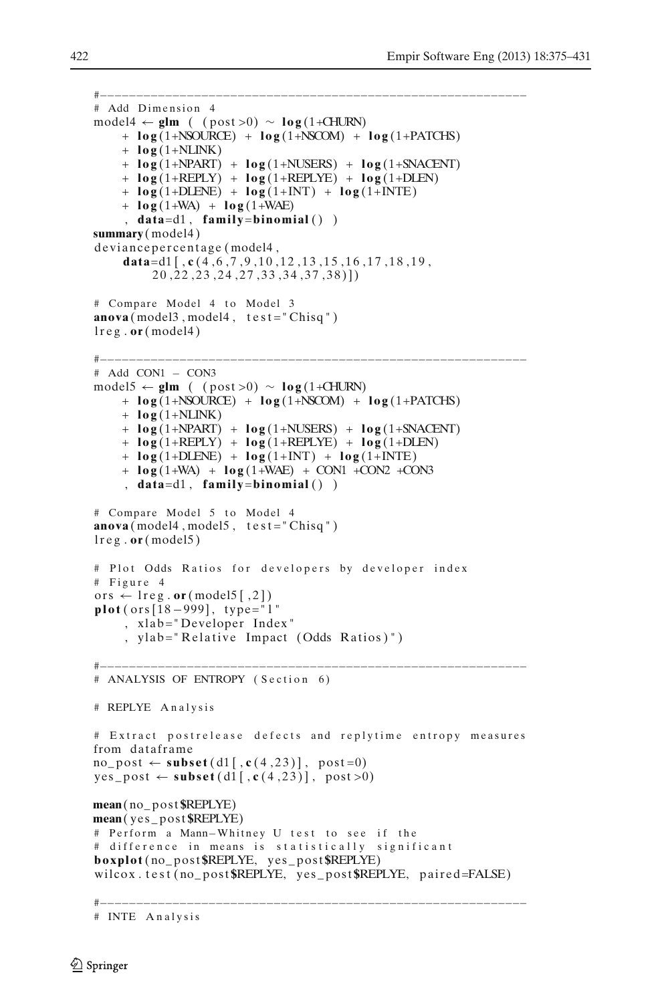```
#−−−−−−−−−−−−−−−−−−−−−−−−−−−−−−−−−−−−−−−−−−−−−−−−−−−−−−−−−−−
# Add Dimension 4
model4 ← glm ( (post >0) ∼ log (1+CHURN)
    + log (1+NSOURCE) + log (1+NSCOM) + log (1+PATCHS)
    + log (1+NLINK)
    + log (1+NPART) + log (1+NUSERS) + log (1+SNACENT)
    + log (1+REPLY) + log (1+REPLYE) + log (1+DLEN)
    + log (1+DLENE) + log (1+INT) + log (1+INTE)
    + log (1+WA) + log (1+WAE)
    , data=d1 , family=binomial () )
summary (model4)
deviancepercentage (model4 ,
    data=d1 [ , c (4 ,6 ,7 ,9 ,10 ,12 ,13 ,15 ,16 ,17 ,18 ,19 ,
         20 ,22 ,23 ,24 ,27 ,33 ,34 ,37 ,38)])
# Compare Model 4 to Model 3
anova (model3 , model4 , test="Chisq")
lreg . or(model4)
#−−−−−−−−−−−−−−−−−−−−−−−−−−−−−−−−−−−−−−−−−−−−−−−−−−−−−−−−−−−
# Add CON1 − CON3
model5 ← glm ( (post >0) ∼ log (1+CHURN)
    + log (1+NSOURCE) + log (1+NSCOM) + log (1+PATCHS)
    +log(1+NLINK)+ log (1+NPART) + log (1+NUSERS) + log (1+SNACENT)
    + log (1+REPLY) + log (1+REPLYE) + log (1+DLEN)
    + log (1+DLENE) + log (1+INT) + log (1+INTE)
    + log (1+WA) + log (1+WAE) + CON1 +CON2 +CON3
    , data=d1 , family=binomial () )
# Compare Model 5 to Model 4
anova (model4 , model5 , test="Chisq")
lreg . or(model5)
# Plot Odds Ratios for developers by developer index
# Figure 4
ors \leftarrow \text{lreg}.\text{or}(\text{model5}[, 2])plot (ors[18 −999] , type=" l "
    , xlab="Developer Index"
     , ylab=" Relative Impact (Odds Ratios ) " )
#−−−−−−−−−−−−−−−−−−−−−−−−−−−−−−−−−−−−−−−−−−−−−−−−−−−−−−−−−−−
# ANALYSIS OF ENTROPY (Section 6)
# REPLYE Analysis
# Extract postrelease defects and replytime entropy measures
from dataframe
no\_post \leftarrow subset(d1[, c(4,23)], post=0)yes\_post \leftarrow subset(d1[, c(4,23)], post>0)mean(no_ post $REPLYE)
mean(yes _ post $REPLYE)
# Perform a Mann−Whitney U test to see if the
# difference in means is statistically significant
boxplot (no_ post $REPLYE, yes _ post $REPLYE)
wilcox . t e s t (no_ post $REPLYE, yes _ post $REPLYE, paired=FALSE)
```
#−−−−−−−−−−−−−−−−−−−−−−−−−−−−−−−−−−−−−−−−−−−−−−−−−−−−−−−−−−−

```
# INTE Analysis
```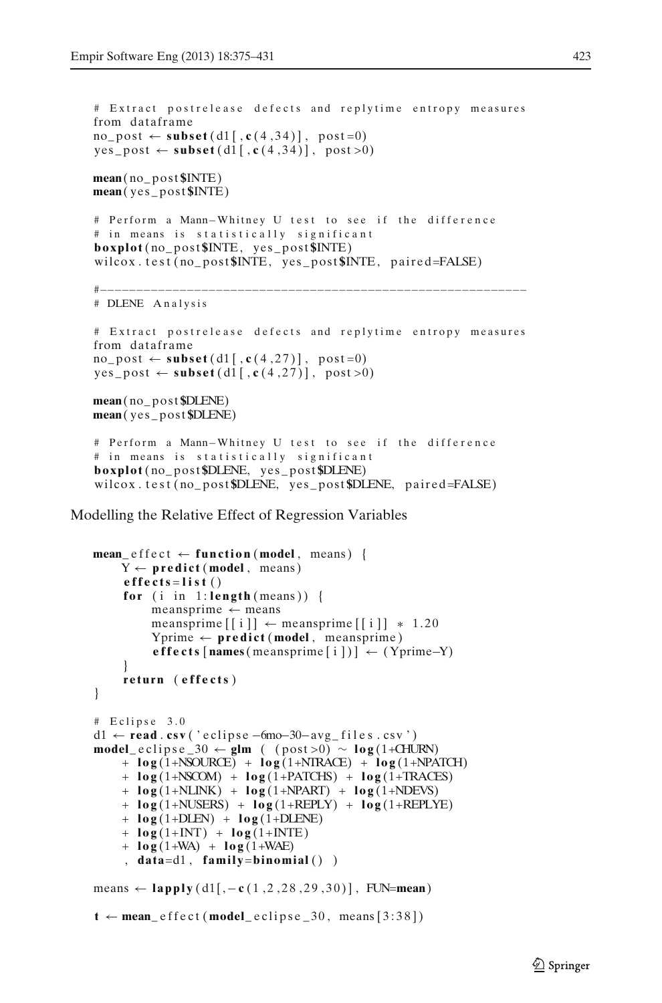```
# Extract postrelease defects and replytime entropy measures
from dataframe
no post \leftarrow subset(d1[, c(4, 34)], post=0)yes\_post \leftarrow subset(d1[, c(4,34)], post>0)mean(no_ post $INTE)
mean(yes _ post $INTE)
# Perform a Mann−Whitney U test to see if the difference
# in means is statistically significant
boxplot (no_ post $INTE, yes _ post $INTE)
wilcox . t e s t (no_ post $INTE, yes _ post $INTE, paired=FALSE)
#−−−−−−−−−−−−−−−−−−−−−−−−−−−−−−−−−−−−−−−−−−−−−−−−−−−−−−−−−−−
# DLENE Analysis
# Extract postrelease defects and replytime entropy measures
from dataframe
no\_post \leftarrow subset(d1[, c(4,27)], post=0)yes\_post \leftarrow subset(d1[, c(4,27)], post>0)mean(no_ post $DLENE)
mean(yes _ post $DLENE)
# Perform a Mann−Whitney U test to see if the difference
# in means is statistically significant
boxplot (no_ post $DLENE, yes _ post $DLENE)
wilcox . t e s t (no_ post $DLENE, yes _ post $DLENE, paired=FALSE)
```
Modelling the Relative Effect of Regression Variables

```
mean\_effect \leftarrow function (model, means)Y \leftarrow predict (model, means)
     effects = list ( )
    for (i in 1: length (means)) {
         meansprime \leftarrow means
         meansprime [[i]] \leftarrow meansprime [[i]] * 1.20Yprime \leftarrow \text{predict}(\text{model}, \text{ meanspring})effects [names (meansprime [i])] ← (Yprime–Y)
     }
    return ( effects )
}
# Eclipse 3.0
d1 ← read . csv ( 'eclipse −6mo−30−avg _ files . csv ')
model_eclipse_30 ← <b>glm ( (post >0) ~ log(1+CHURN)+ log (1+NSOURCE) + log (1+NTRACE) + log (1+NPATCH)
    + log (1+NSCOM) + log (1+PATCHS) + log (1+TRACES)
    + log (1+NLINK) + log (1+NPART) + log (1+NDEVS)
    + log (1+NUSERS) + log (1+REPLY) + log (1+REPLYE)
    + log (1+DLEN) + log (1+DLENE)
    + log (1+INT) + log (1+INTE)
    + log (1+WA) + log (1+WAE)
     , data=d1 , family=binomial () )
means ← lapply (d1[,-c(1,2,28,29,30)], FUN=mean)
```

```
t \leftarrow \text{mean\_effect} (\text{model\_eclipse\_30}, \text{ means } [3:38])
```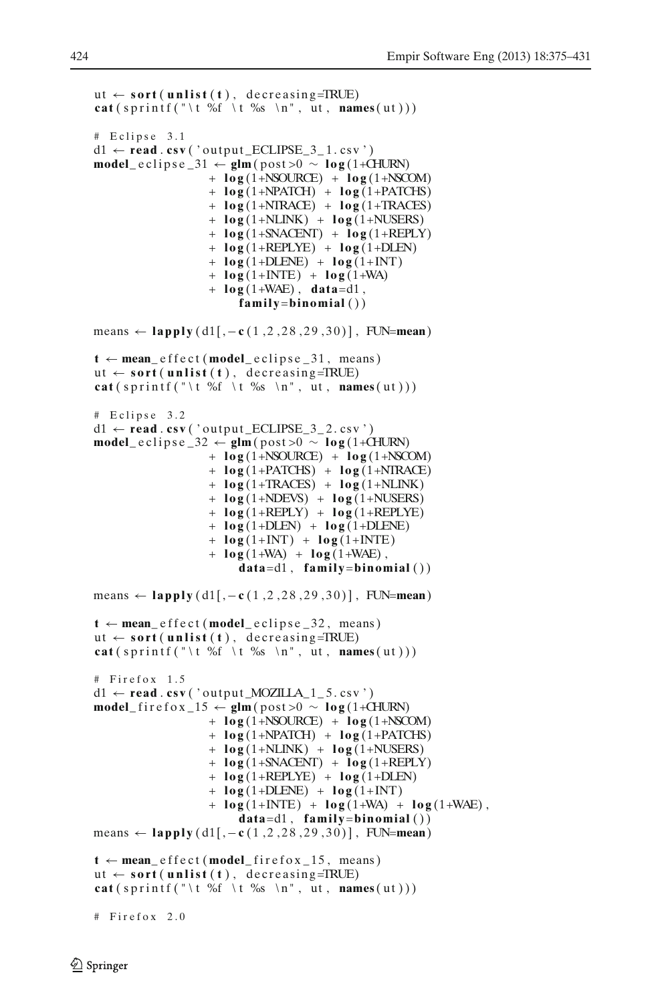```
ut \leftarrow sort(unlist(t)), decreasing=TRUE)cat ( sprintf ("\t %f \t %s \n", ut, names(ut)))
# Eclipse 3.1
d1 \leftarrow \text{read } \text{. } \text{csv}(\text{'output } \text{ECLIPSE}_3 \text{_,1. } \text{csv} \text{'})model_eclipse_31 ← <b>glm (post>0 ~ log (1+CHURN)
                      + log (1+NSOURCE) + log (1+NSCOM)
                      + log (1+NPATCH) + log (1+PATCHS)
                      + log (1+NTRACE) + log (1+TRACES)
                      +log(1+NLINK)+log(1+NUSERS)+ log (1+SNACENT) + log (1+REPLY)
                      + log (1+REPLYE) + log (1+DLEN)
                      + log (1+DLENE) + log (1+INT)
                      + log (1+INTE) + log (1+WA)
                      + log (1+WAE) , data=d1 ,
                            family=binomial ())
means ← lapply (d1[,-c(1,2,28,29,30)], FUN=mean)
t \leftarrow \text{mean\_effect} (\text{model\_eclipse\_31}, \text{ means})ut \leftarrow sort(unlist(t)), decreasing=TRUE)cat(sprint(f'' \t{b} \t{b} f' + \t{b} s f' + \t{b} s f' + \t{b} s f' + \t{b} s f' + \t{b} s f' + \t{b} s f' + \t{b} s f' + \t{b} s f' + \t{b} s f' + \t{b} s f' + \t{b} s f' + \t{b} s f' + \t{b} s f' + \t{b} s f' + \t{b} s f' + \t{b} s f' + \t{b} s f' + \t{b} s f' + \t{b} s f' + \t{b} s f' + \t{b} s f' + \t{b} s f' + \t{b# Eclipse 3.2
d1 \leftarrow \text{read } \text{. } \text{csv}(\text{'output\_ECLIPSE\_3\_2.} \text{csv'})model_eclipse_32 ← <b>glm (post>0 ~ log (1+CHURN)
                      + log (1+NSOURCE) + log (1+NSCOM)
                      + log (1+PATCHS) + log (1+NTRACE)
                      + log (1+TRACES) + log (1+NLINK)
                      + log (1+NDEVS) + log (1+NUSERS)
                      + log (1+REPLY) + log (1+REPLYE)
                      + log (1+DLEN) + log (1+DLENE)
                      + log (1+INT) + log (1+INTE)
                      + log (1+WA) + log (1+WAE) ,
                            data=d1 , family=binomial ())
means ← lapply (d1[,−c ( 1 , 2 , 2 8 , 2 9 , 3 0 ) ] , FUN=mean)
t \leftarrow mean effect (model eclipse 32, means)
ut \leftarrow sort(unlist(t)), decreasing=TRUE)cat ( sprintf ("\setminus t %f \setminus t %s \setminus n", ut, names(ut)))
# Firefox 1.5
d1 \leftarrow \text{read } \text{. } \text{csv}(\text{'output\_MOZILLA\_1\_5.} \text{csv'})model_ firefox _15 ← glm ( post >0 ∼ log (1+CHURN)
                      + log (1+NSOURCE) + log (1+NSCOM)
                      + log (1+NPATCH) + log (1+PATCHS)
                      + log (1+NLINK) + log (1+NUSERS)
                      + log (1+SNACENT) + log (1+REPLY)
                      + log (1+REPLYE) + log (1+DLEN)
                      + log (1+DLENE) + log (1+INT)
                      + log (1+INTE) + log (1+WA) + log (1+WAE) ,
                            data=d1 , family=binomial ())
means ← lapply (d1[,-c(1, 2, 28, 29, 30)], FUN=mean)
t ← mean_ effect( model_ firefox _ 15 , means)
ut \leftarrow sort(unlist(t)), decreasing=TRUE)cat(sprint(f' \t\%f \t\%s \ln", ut, names(ut)))# Firefox 2.0
```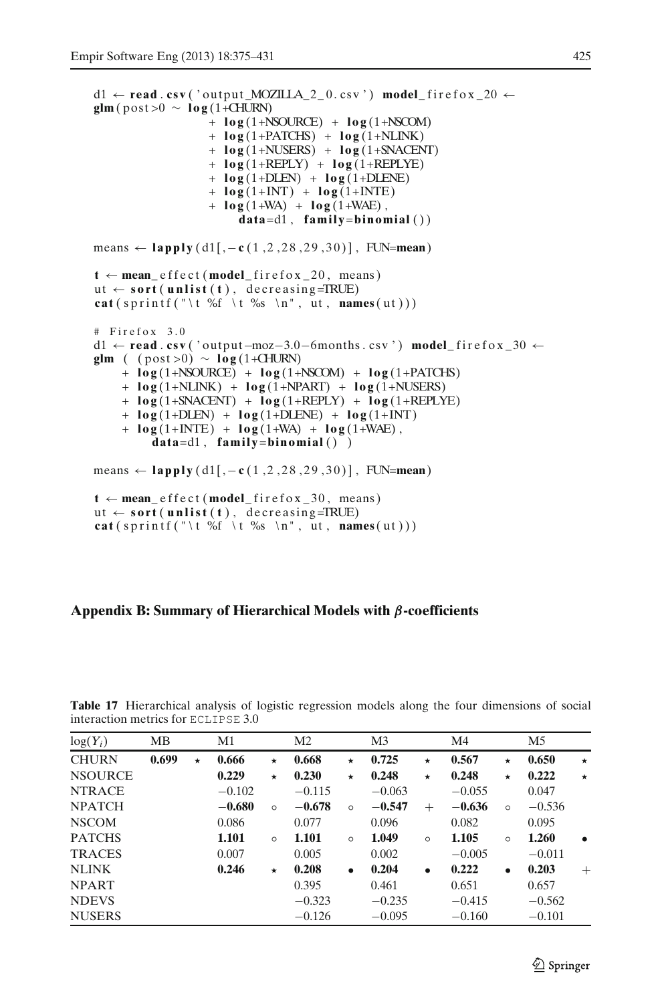```
d1 ← read . csv ( 'output _MOZILLA_2_ 0. csv ') model_ firefox _20 ←
glm (post > 0 ∼ log (1+CHURN)
                  + log (1+NSOURCE) + log (1+NSCOM)
                  + log (1+PATCHS) + log (1+NLINK)
                  + log (1+NUSERS) + log (1+SNACENT)
                  + log (1+REPLY) + log (1+REPLYE)
                  +log(1+DLEN) +log(1+DLEN)+ log (1+INT) + log (1+INTE)
                  + log (1+WA) + log (1+WAE) ,
                       data=d1 , family=binomial ())
means ← lapply (d1[,-c(1,2,28,29,30)], FUN=mean)
t ← mean_ effect( model_ firefox _ 20 , means)
ut \leftarrow sort(unlist(t)), decreasing=TRUE)cat ( sprintf ("\setminus t %f \setminus t %s \setminus n", ut, names(ut)))
# Firefox 3.0
d1 ← read . csv ( 'output−moz−3.0−6months . csv ' ) model_ firefox _30 ←
glm ( (\text{post} > 0) \sim \log(1 + \text{CHURN})+ log (1+NSOURCE) + log (1+NSCOM) + log (1+PATCHS)
    + log (1+NLINK) + log (1+NPART) + log (1+NUSERS)
    + log (1+SNACENT) + log (1+REPLY) + log (1+REPLYE)
    + log (1+DLEN) + log (1+DLENE) + log (1+INT)
    + \log(1+INTE) + \log(1+WA) + \log(1+WAE),
         data=d1 , family=binomial () )
means ← lapply (d1[,−c ( 1 , 2 , 2 8 , 2 9 , 3 0 ) ] , FUN=mean)
t \leftarrow mean effect (model firefox 30, means)
ut \leftarrow sort(unlist(t)), decreasing=TRUE)cat(sprint(f' \t\%f \t\%s \ln", ut, names(ut)))
```
#### **Appendix B: Summary of Hierarchical Models with** *β***-coefficients**

| $log(Y_i)$     | MB    |         | M1       |         | M <sub>2</sub> |           | M <sub>3</sub> |           | M4       |           | M <sub>5</sub> |           |
|----------------|-------|---------|----------|---------|----------------|-----------|----------------|-----------|----------|-----------|----------------|-----------|
| <b>CHURN</b>   | 0.699 | $\star$ | 0.666    | $\star$ | 0.668          | $\star$   | 0.725          | $\star$   | 0.567    | $\star$   | 0.650          | $\star$   |
| <b>NSOURCE</b> |       |         | 0.229    | $\star$ | 0.230          | $\star$   | 0.248          | $\star$   | 0.248    | $\star$   | 0.222          | $\star$   |
| <b>NTRACE</b>  |       |         | $-0.102$ |         | $-0.115$       |           | $-0.063$       |           | $-0.055$ |           | 0.047          |           |
| <b>NPATCH</b>  |       |         | $-0.680$ | $\circ$ | $-0.678$       | $\circ$   | $-0.547$       | $^{+}$    | $-0.636$ | $\circ$   | $-0.536$       |           |
| <b>NSCOM</b>   |       |         | 0.086    |         | 0.077          |           | 0.096          |           | 0.082    |           | 0.095          |           |
| <b>PATCHS</b>  |       |         | 1.101    | $\circ$ | 1.101          | $\circ$   | 1.049          | $\circ$   | 1.105    | $\circ$   | 1.260          | $\bullet$ |
| <b>TRACES</b>  |       |         | 0.007    |         | 0.005          |           | 0.002          |           | $-0.005$ |           | $-0.011$       |           |
| <b>NLINK</b>   |       |         | 0.246    | $\star$ | 0.208          | $\bullet$ | 0.204          | $\bullet$ | 0.222    | $\bullet$ | 0.203          | $^{+}$    |
| <b>NPART</b>   |       |         |          |         | 0.395          |           | 0.461          |           | 0.651    |           | 0.657          |           |
| <b>NDEVS</b>   |       |         |          |         | $-0.323$       |           | $-0.235$       |           | $-0.415$ |           | $-0.562$       |           |
| <b>NUSERS</b>  |       |         |          |         | $-0.126$       |           | $-0.095$       |           | $-0.160$ |           | $-0.101$       |           |

**Table 17** Hierarchical analysis of logistic regression models along the four dimensions of social interaction metrics for ECLIPSE 3.0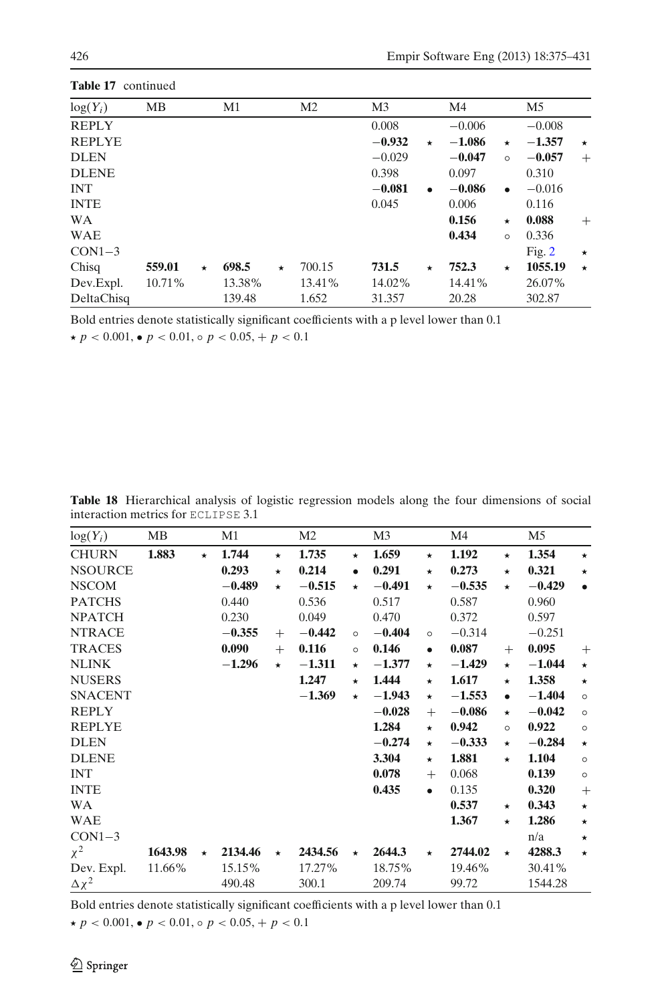| $log(Y_i)$    | MB     |         | M1     |         | M <sub>2</sub> | M <sub>3</sub> |           | M4       |           | M5       |         |
|---------------|--------|---------|--------|---------|----------------|----------------|-----------|----------|-----------|----------|---------|
| <b>REPLY</b>  |        |         |        |         |                | 0.008          |           | $-0.006$ |           | $-0.008$ |         |
| <b>REPLYE</b> |        |         |        |         |                | $-0.932$       | $\star$   | $-1.086$ | $\star$   | $-1.357$ | $\star$ |
| <b>DLEN</b>   |        |         |        |         |                | $-0.029$       |           | $-0.047$ | $\circ$   | $-0.057$ | $^{+}$  |
| <b>DLENE</b>  |        |         |        |         |                | 0.398          |           | 0.097    |           | 0.310    |         |
| <b>INT</b>    |        |         |        |         |                | $-0.081$       | $\bullet$ | $-0.086$ | $\bullet$ | $-0.016$ |         |
| <b>INTE</b>   |        |         |        |         |                | 0.045          |           | 0.006    |           | 0.116    |         |
| <b>WA</b>     |        |         |        |         |                |                |           | 0.156    | $\star$   | 0.088    | $^{+}$  |
| <b>WAE</b>    |        |         |        |         |                |                |           | 0.434    | $\circ$   | 0.336    |         |
| $CON1-3$      |        |         |        |         |                |                |           |          |           | Fig. $2$ | $\star$ |
| Chisq         | 559.01 | $\star$ | 698.5  | $\star$ | 700.15         | 731.5          | $\star$   | 752.3    | $\star$   | 1055.19  | $\star$ |
| Dev.Expl.     | 10.71% |         | 13.38% |         | 13.41%         | 14.02%         |           | 14.41%   |           | 26.07%   |         |
| DeltaChisq    |        |         | 139.48 |         | 1.652          | 31.357         |           | 20.28    |           | 302.87   |         |

**Table 17** continued

Bold entries denote statistically significant coefficients with a p level lower than 0.1 *★*  $p$  < 0.001, ●  $p$  < 0.01, ○  $p$  < 0.05, +  $p$  < 0.1

| $log(Y_i)$      | MB      |         | M1       |         | M <sub>2</sub> |           | M3       |           | M4       |           | M <sub>5</sub> |           |
|-----------------|---------|---------|----------|---------|----------------|-----------|----------|-----------|----------|-----------|----------------|-----------|
| <b>CHURN</b>    | 1.883   | $\star$ | 1.744    | $\star$ | 1.735          | $\star$   | 1.659    | $\star$   | 1.192    | $\star$   | 1.354          | $\star$   |
| <b>NSOURCE</b>  |         |         | 0.293    | $\star$ | 0.214          | $\bullet$ | 0.291    | $\star$   | 0.273    | $\star$   | 0.321          | $\star$   |
| <b>NSCOM</b>    |         |         | $-0.489$ | $\star$ | $-0.515$       | $\star$   | $-0.491$ | $\star$   | $-0.535$ | $\star$   | $-0.429$       | $\bullet$ |
| <b>PATCHS</b>   |         |         | 0.440    |         | 0.536          |           | 0.517    |           | 0.587    |           | 0.960          |           |
| <b>NPATCH</b>   |         |         | 0.230    |         | 0.049          |           | 0.470    |           | 0.372    |           | 0.597          |           |
| <b>NTRACE</b>   |         |         | $-0.355$ | $^{+}$  | $-0.442$       | $\circ$   | $-0.404$ | $\circ$   | $-0.314$ |           | $-0.251$       |           |
| <b>TRACES</b>   |         |         | 0.090    | $^{+}$  | 0.116          | $\circ$   | 0.146    | $\bullet$ | 0.087    | $+$       | 0.095          | $^{+}$    |
| <b>NLINK</b>    |         |         | $-1.296$ | $\star$ | $-1.311$       | $\star$   | $-1.377$ | $\star$   | $-1.429$ | $\star$   | $-1.044$       | $\star$   |
| <b>NUSERS</b>   |         |         |          |         | 1.247          | $\star$   | 1.444    | $\star$   | 1.617    | $\star$   | 1.358          | $\star$   |
| <b>SNACENT</b>  |         |         |          |         | $-1.369$       | $\star$   | $-1.943$ | $\star$   | $-1.553$ | $\bullet$ | $-1.404$       | $\circ$   |
| <b>REPLY</b>    |         |         |          |         |                |           | $-0.028$ | $+$       | $-0.086$ | $\star$   | $-0.042$       | $\circ$   |
| <b>REPLYE</b>   |         |         |          |         |                |           | 1.284    | $\star$   | 0.942    | $\circ$   | 0.922          | $\circ$   |
| <b>DLEN</b>     |         |         |          |         |                |           | $-0.274$ | $\star$   | $-0.333$ | $\star$   | $-0.284$       | $\star$   |
| <b>DLENE</b>    |         |         |          |         |                |           | 3.304    | $\star$   | 1.881    | $\star$   | 1.104          | $\circ$   |
| <b>INT</b>      |         |         |          |         |                |           | 0.078    | $^{+}$    | 0.068    |           | 0.139          | $\circ$   |
| <b>INTE</b>     |         |         |          |         |                |           | 0.435    | $\bullet$ | 0.135    |           | 0.320          | $^{+}$    |
| <b>WA</b>       |         |         |          |         |                |           |          |           | 0.537    | $\star$   | 0.343          | $\star$   |
| <b>WAE</b>      |         |         |          |         |                |           |          |           | 1.367    | $\star$   | 1.286          | $\star$   |
| $CON1-3$        |         |         |          |         |                |           |          |           |          |           | n/a            | $\star$   |
| $x^2$           | 1643.98 | $\star$ | 2134.46  | $\star$ | 2434.56        | $\star$   | 2644.3   | $\star$   | 2744.02  | $\star$   | 4288.3         | $\star$   |
| Dev. Expl.      | 11.66%  |         | 15.15%   |         | 17.27%         |           | 18.75%   |           | 19.46%   |           | 30.41%         |           |
| $\Delta \chi^2$ |         |         | 490.48   |         | 300.1          |           | 209.74   |           | 99.72    |           | 1544.28        |           |

**Table 18** Hierarchical analysis of logistic regression models along the four dimensions of social interaction metrics for ECLIPSE 3.1

Bold entries denote statistically significant coefficients with a p level lower than 0.1 *★*  $p$  < 0.001, ●  $p$  < 0.01, ○  $p$  < 0.05, +  $p$  < 0.1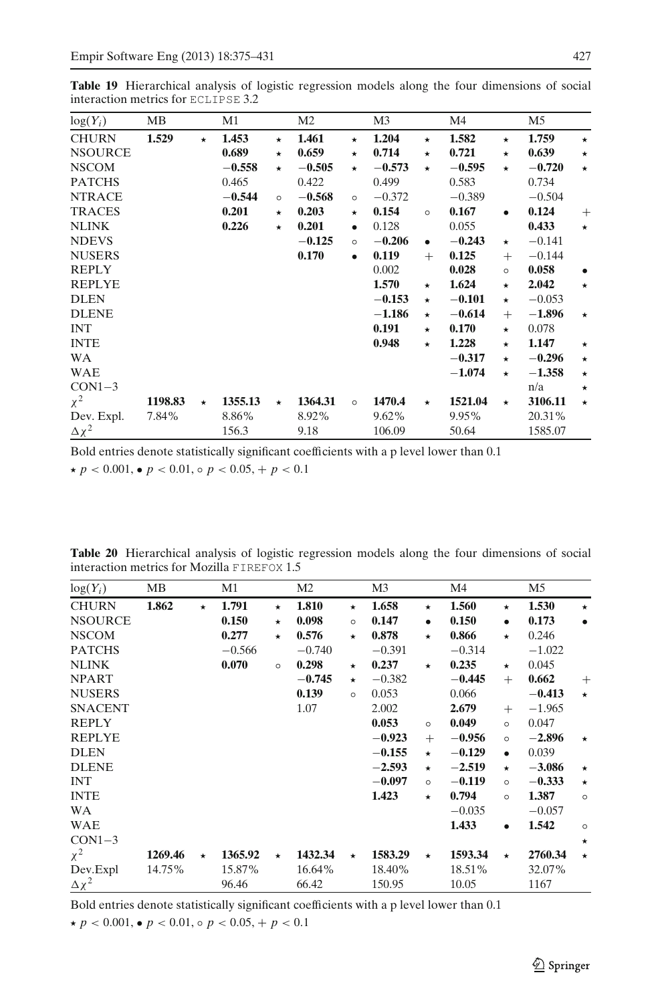| $log(Y_i)$      | MВ      |         | M1       |         | M2       |           | M <sub>3</sub> |           | M4       |           | M5       |         |
|-----------------|---------|---------|----------|---------|----------|-----------|----------------|-----------|----------|-----------|----------|---------|
| <b>CHURN</b>    | 1.529   | $\star$ | 1.453    | $\star$ | 1.461    | $\star$   | 1.204          | $\star$   | 1.582    | $\star$   | 1.759    | $\star$ |
| <b>NSOURCE</b>  |         |         | 0.689    | $\star$ | 0.659    | $\star$   | 0.714          | $\star$   | 0.721    | $\star$   | 0.639    | $\star$ |
| <b>NSCOM</b>    |         |         | $-0.558$ | $\star$ | $-0.505$ | $\star$   | $-0.573$       | $\star$   | $-0.595$ | $\star$   | $-0.720$ | $\star$ |
| <b>PATCHS</b>   |         |         | 0.465    |         | 0.422    |           | 0.499          |           | 0.583    |           | 0.734    |         |
| <b>NTRACE</b>   |         |         | $-0.544$ | $\circ$ | $-0.568$ | $\circ$   | $-0.372$       |           | $-0.389$ |           | $-0.504$ |         |
| <b>TRACES</b>   |         |         | 0.201    | $\star$ | 0.203    | $\star$   | 0.154          | $\circ$   | 0.167    | $\bullet$ | 0.124    | $^{+}$  |
| <b>NLINK</b>    |         |         | 0.226    | $\star$ | 0.201    | $\bullet$ | 0.128          |           | 0.055    |           | 0.433    | $\star$ |
| <b>NDEVS</b>    |         |         |          |         | $-0.125$ | $\circ$   | $-0.206$       | $\bullet$ | $-0.243$ | $\star$   | $-0.141$ |         |
| <b>NUSERS</b>   |         |         |          |         | 0.170    | $\bullet$ | 0.119          | $^{+}$    | 0.125    | $^{+}$    | $-0.144$ |         |
| <b>REPLY</b>    |         |         |          |         |          |           | 0.002          |           | 0.028    | $\circ$   | 0.058    |         |
| <b>REPLYE</b>   |         |         |          |         |          |           | 1.570          | $\star$   | 1.624    | $\star$   | 2.042    | $\star$ |
| <b>DLEN</b>     |         |         |          |         |          |           | $-0.153$       | $\star$   | $-0.101$ | $\star$   | $-0.053$ |         |
| <b>DLENE</b>    |         |         |          |         |          |           | $-1.186$       | $\star$   | $-0.614$ | $^{+}$    | $-1.896$ | $\star$ |
| <b>INT</b>      |         |         |          |         |          |           | 0.191          | $\star$   | 0.170    | $\star$   | 0.078    |         |
| <b>INTE</b>     |         |         |          |         |          |           | 0.948          | $\star$   | 1.228    | $\star$   | 1.147    | $\star$ |
| <b>WA</b>       |         |         |          |         |          |           |                |           | $-0.317$ | $\star$   | $-0.296$ | $\star$ |
| <b>WAE</b>      |         |         |          |         |          |           |                |           | $-1.074$ | $\star$   | $-1.358$ | $\star$ |
| $CON1-3$        |         |         |          |         |          |           |                |           |          |           | n/a      | $\star$ |
| $\chi^2$        | 1198.83 | $\star$ | 1355.13  | $\star$ | 1364.31  | $\circ$   | 1470.4         | $\star$   | 1521.04  | $\star$   | 3106.11  | $\star$ |
| Dev. Expl.      | 7.84%   |         | 8.86%    |         | 8.92%    |           | 9.62%          |           | 9.95%    |           | 20.31%   |         |
| $\Delta \chi^2$ |         |         | 156.3    |         | 9.18     |           | 106.09         |           | 50.64    |           | 1585.07  |         |

**Table 19** Hierarchical analysis of logistic regression models along the four dimensions of social interaction metrics for ECLIPSE 3.2

Bold entries denote statistically significant coefficients with a p level lower than 0.1

*★*  $p$  < 0.001, ●  $p$  < 0.01, ○  $p$  < 0.05, +  $p$  < 0.1

| <b>Table 20</b> Hierarchical analysis of logistic regression models along the four dimensions of social |  |  |  |  |  |  |
|---------------------------------------------------------------------------------------------------------|--|--|--|--|--|--|
| interaction metrics for Mozilla FIREFOX 1.5                                                             |  |  |  |  |  |  |

| $log(Y_i)$      | MB      |         | M1       |         | M <sub>2</sub> |         | M3       |           | M4       |           | M5       |           |
|-----------------|---------|---------|----------|---------|----------------|---------|----------|-----------|----------|-----------|----------|-----------|
| <b>CHURN</b>    | 1.862   | $\star$ | 1.791    | $\star$ | 1.810          | $\star$ | 1.658    | $\star$   | 1.560    | $\star$   | 1.530    | $\star$   |
| <b>NSOURCE</b>  |         |         | 0.150    | $\star$ | 0.098          | $\circ$ | 0.147    | $\bullet$ | 0.150    | $\bullet$ | 0.173    | $\bullet$ |
| <b>NSCOM</b>    |         |         | 0.277    | $\star$ | 0.576          | $\star$ | 0.878    | $\star$   | 0.866    | $\star$   | 0.246    |           |
| <b>PATCHS</b>   |         |         | $-0.566$ |         | $-0.740$       |         | $-0.391$ |           | $-0.314$ |           | $-1.022$ |           |
| <b>NLINK</b>    |         |         | 0.070    | $\circ$ | 0.298          | $\star$ | 0.237    | $\star$   | 0.235    | $\star$   | 0.045    |           |
| <b>NPART</b>    |         |         |          |         | $-0.745$       | $\star$ | $-0.382$ |           | $-0.445$ | $^{+}$    | 0.662    | $^{+}$    |
| <b>NUSERS</b>   |         |         |          |         | 0.139          | $\circ$ | 0.053    |           | 0.066    |           | $-0.413$ | $\star$   |
| <b>SNACENT</b>  |         |         |          |         | 1.07           |         | 2.002    |           | 2.679    | $^{+}$    | $-1.965$ |           |
| <b>REPLY</b>    |         |         |          |         |                |         | 0.053    | $\circ$   | 0.049    | $\circ$   | 0.047    |           |
| <b>REPLYE</b>   |         |         |          |         |                |         | $-0.923$ | $^{+}$    | $-0.956$ | $\circ$   | $-2.896$ | $\star$   |
| <b>DLEN</b>     |         |         |          |         |                |         | $-0.155$ | $\star$   | $-0.129$ | $\bullet$ | 0.039    |           |
| <b>DLENE</b>    |         |         |          |         |                |         | $-2.593$ | $\star$   | $-2.519$ | $\star$   | $-3.086$ | $\star$   |
| <b>INT</b>      |         |         |          |         |                |         | $-0.097$ | $\circ$   | $-0.119$ | $\circ$   | $-0.333$ | $\star$   |
| <b>INTE</b>     |         |         |          |         |                |         | 1.423    | $\star$   | 0.794    | $\circ$   | 1.387    | $\circ$   |
| <b>WA</b>       |         |         |          |         |                |         |          |           | $-0.035$ |           | $-0.057$ |           |
| <b>WAE</b>      |         |         |          |         |                |         |          |           | 1.433    | $\bullet$ | 1.542    | $\circ$   |
| $CON1-3$        |         |         |          |         |                |         |          |           |          |           |          | $\star$   |
| $\chi^2$        | 1269.46 | $\star$ | 1365.92  | $\star$ | 1432.34        | $\star$ | 1583.29  | $\star$   | 1593.34  | $\star$   | 2760.34  | $\star$   |
| Dev.Expl        | 14.75%  |         | 15.87%   |         | 16.64%         |         | 18.40%   |           | 18.51%   |           | 32.07%   |           |
| $\Delta \chi^2$ |         |         | 96.46    |         | 66.42          |         | 150.95   |           | 10.05    |           | 1167     |           |

Bold entries denote statistically significant coefficients with a p level lower than 0.1

 *p* < 0.001, • *p* < 0.01, ◦ *p* < 0.05, + *p* < 0.1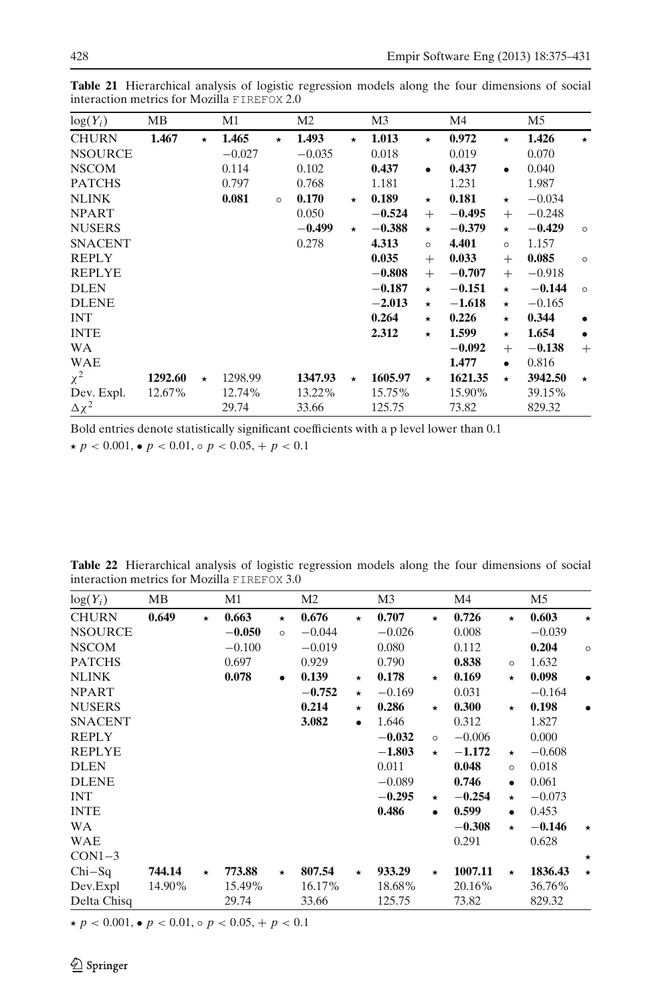| $log(Y_i)$      | MB      |         | M1       |         | M <sub>2</sub> |         | M3       |           | M4       |           | M5       |           |
|-----------------|---------|---------|----------|---------|----------------|---------|----------|-----------|----------|-----------|----------|-----------|
| <b>CHURN</b>    | 1.467   | $\star$ | 1.465    | $\star$ | 1.493          | $\star$ | 1.013    | $\star$   | 0.972    | $\star$   | 1.426    | $\star$   |
| <b>NSOURCE</b>  |         |         | $-0.027$ |         | $-0.035$       |         | 0.018    |           | 0.019    |           | 0.070    |           |
| <b>NSCOM</b>    |         |         | 0.114    |         | 0.102          |         | 0.437    | $\bullet$ | 0.437    | $\bullet$ | 0.040    |           |
| <b>PATCHS</b>   |         |         | 0.797    |         | 0.768          |         | 1.181    |           | 1.231    |           | 1.987    |           |
| <b>NLINK</b>    |         |         | 0.081    | $\circ$ | 0.170          | $\star$ | 0.189    | $\star$   | 0.181    | $\star$   | $-0.034$ |           |
| <b>NPART</b>    |         |         |          |         | 0.050          |         | $-0.524$ | $+$       | $-0.495$ | $^{+}$    | $-0.248$ |           |
| <b>NUSERS</b>   |         |         |          |         | $-0.499$       | $\star$ | $-0.388$ | $\star$   | $-0.379$ | $\star$   | $-0.429$ | $\circ$   |
| <b>SNACENT</b>  |         |         |          |         | 0.278          |         | 4.313    | $\circ$   | 4.401    | $\circ$   | 1.157    |           |
| <b>REPLY</b>    |         |         |          |         |                |         | 0.035    | $^{+}$    | 0.033    | $^{+}$    | 0.085    | $\circ$   |
| <b>REPLYE</b>   |         |         |          |         |                |         | $-0.808$ | $^{+}$    | $-0.707$ | $^{+}$    | $-0.918$ |           |
| <b>DLEN</b>     |         |         |          |         |                |         | $-0.187$ | $\star$   | $-0.151$ | $\star$   | $-0.144$ | $\circ$   |
| <b>DLENE</b>    |         |         |          |         |                |         | $-2.013$ | $\star$   | $-1.618$ | $\star$   | $-0.165$ |           |
| <b>INT</b>      |         |         |          |         |                |         | 0.264    | $\star$   | 0.226    | $\star$   | 0.344    | $\bullet$ |
| <b>INTE</b>     |         |         |          |         |                |         | 2.312    | $\star$   | 1.599    | $\star$   | 1.654    | $\bullet$ |
| <b>WA</b>       |         |         |          |         |                |         |          |           | $-0.092$ | $^{+}$    | $-0.138$ | $^{+}$    |
| <b>WAE</b>      |         |         |          |         |                |         |          |           | 1.477    | $\bullet$ | 0.816    |           |
| $\chi^2$        | 1292.60 | $\star$ | 1298.99  |         | 1347.93        | $\star$ | 1605.97  | $\star$   | 1621.35  | $\star$   | 3942.50  | $\star$   |
| Dev. Expl.      | 12.67%  |         | 12.74%   |         | 13.22%         |         | 15.75%   |           | 15.90%   |           | 39.15%   |           |
| $\Delta \chi^2$ |         |         | 29.74    |         | 33.66          |         | 125.75   |           | 73.82    |           | 829.32   |           |
|                 |         |         |          |         |                |         |          |           |          |           |          |           |

**Table 21** Hierarchical analysis of logistic regression models along the four dimensions of social interaction metrics for Mozilla FIREFOX 2.0

Bold entries denote statistically significant coefficients with a p level lower than 0.1

 $p < 0.001$ ,  $p < 0.01$ ,  $p < 0.05$ ,  $p < 0.1$ 

**Table 22** Hierarchical analysis of logistic regression models along the four dimensions of social interaction metrics for Mozilla FIREFOX 3.0

| $log(Y_i)$     | MB     |         | M1       |           | M <sub>2</sub> |           | M <sub>3</sub> |           | M <sub>4</sub> |           | M <sub>5</sub> |         |
|----------------|--------|---------|----------|-----------|----------------|-----------|----------------|-----------|----------------|-----------|----------------|---------|
| <b>CHURN</b>   | 0.649  | $\star$ | 0.663    | $\star$   | 0.676          | $\star$   | 0.707          | $\star$   | 0.726          | $\star$   | 0.603          | $\star$ |
| <b>NSOURCE</b> |        |         | $-0.050$ | $\circ$   | $-0.044$       |           | $-0.026$       |           | 0.008          |           | $-0.039$       |         |
| <b>NSCOM</b>   |        |         | $-0.100$ |           | $-0.019$       |           | 0.080          |           | 0.112          |           | 0.204          | $\circ$ |
| <b>PATCHS</b>  |        |         | 0.697    |           | 0.929          |           | 0.790          |           | 0.838          | $\circ$   | 1.632          |         |
| <b>NLINK</b>   |        |         | 0.078    | $\bullet$ | 0.139          | $\star$   | 0.178          | $\star$   | 0.169          | $\star$   | 0.098          |         |
| <b>NPART</b>   |        |         |          |           | $-0.752$       | $\star$   | $-0.169$       |           | 0.031          |           | $-0.164$       |         |
| <b>NUSERS</b>  |        |         |          |           | 0.214          | $\star$   | 0.286          | $\star$   | 0.300          | $\star$   | 0.198          |         |
| <b>SNACENT</b> |        |         |          |           | 3.082          | $\bullet$ | 1.646          |           | 0.312          |           | 1.827          |         |
| <b>REPLY</b>   |        |         |          |           |                |           | $-0.032$       | $\circ$   | $-0.006$       |           | 0.000          |         |
| <b>REPLYE</b>  |        |         |          |           |                |           | $-1.803$       | $\star$   | $-1.172$       | $\star$   | $-0.608$       |         |
| <b>DLEN</b>    |        |         |          |           |                |           | 0.011          |           | 0.048          | $\circ$   | 0.018          |         |
| <b>DLENE</b>   |        |         |          |           |                |           | $-0.089$       |           | 0.746          | $\bullet$ | 0.061          |         |
| <b>INT</b>     |        |         |          |           |                |           | $-0.295$       | $\star$   | $-0.254$       | $\star$   | $-0.073$       |         |
| <b>INTE</b>    |        |         |          |           |                |           | 0.486          | $\bullet$ | 0.599          | $\bullet$ | 0.453          |         |
| <b>WA</b>      |        |         |          |           |                |           |                |           | $-0.308$       | $\star$   | $-0.146$       | $\star$ |
| <b>WAE</b>     |        |         |          |           |                |           |                |           | 0.291          |           | 0.628          |         |
| $CON1-3$       |        |         |          |           |                |           |                |           |                |           |                | $\star$ |
| $Chi-Sq$       | 744.14 | $\star$ | 773.88   | $\star$   | 807.54         | $\star$   | 933.29         | $\star$   | 1007.11        | $\star$   | 1836.43        | $\star$ |
| Dev.Expl       | 14.90% |         | 15.49%   |           | 16.17%         |           | 18.68%         |           | 20.16%         |           | 36.76%         |         |
| Delta Chisq    |        |         | 29.74    |           | 33.66          |           | 125.75         |           | 73.82          |           | 829.32         |         |

 *p* < 0.001, • *p* < 0.01, ◦ *p* < 0.05, + *p* < 0.1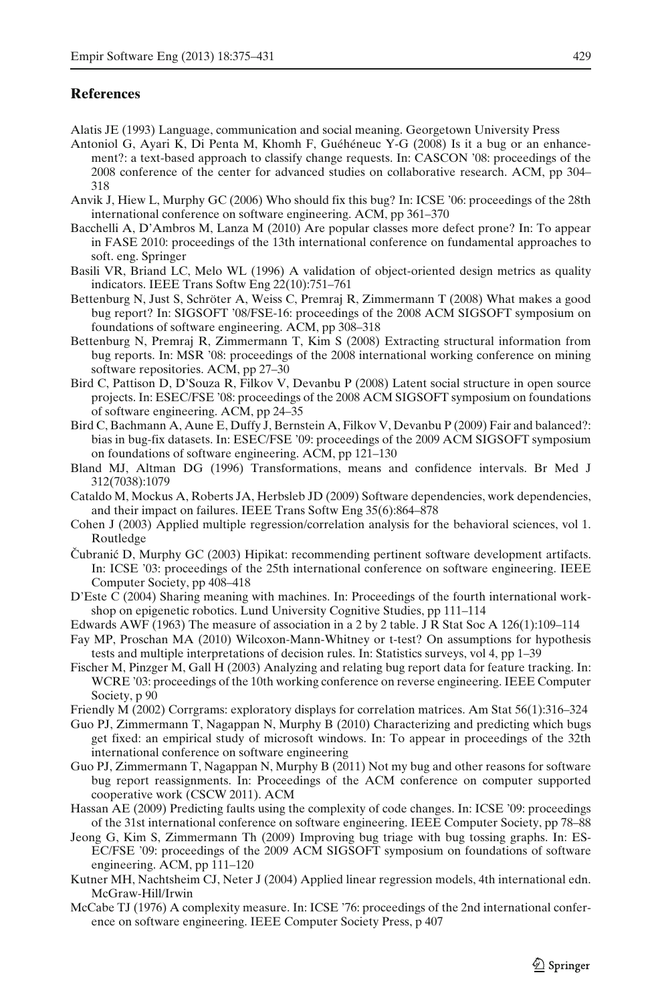#### <span id="page-54-0"></span>**References**

- Alatis JE (1993) Language, communication and social meaning. Georgetown University Press
- Antoniol G, Ayari K, Di Penta M, Khomh F, Guéhéneuc Y-G (2008) Is it a bug or an enhancement?: a text-based approach to classify change requests. In: CASCON '08: proceedings of the 2008 conference of the center for advanced studies on collaborative research. ACM, pp 304– 318
- Anvik J, Hiew L, Murphy GC (2006) Who should fix this bug? In: ICSE '06: proceedings of the 28th international conference on software engineering. ACM, pp 361–370
- Bacchelli A, D'Ambros M, Lanza M (2010) Are popular classes more defect prone? In: To appear in FASE 2010: proceedings of the 13th international conference on fundamental approaches to soft. eng. Springer
- Basili VR, Briand LC, Melo WL (1996) A validation of object-oriented design metrics as quality indicators. IEEE Trans Softw Eng 22(10):751–761
- Bettenburg N, Just S, Schröter A, Weiss C, Premraj R, Zimmermann T (2008) What makes a good bug report? In: SIGSOFT '08/FSE-16: proceedings of the 2008 ACM SIGSOFT symposium on foundations of software engineering. ACM, pp 308–318
- Bettenburg N, Premraj R, Zimmermann T, Kim S (2008) Extracting structural information from bug reports. In: MSR '08: proceedings of the 2008 international working conference on mining software repositories. ACM, pp 27–30
- Bird C, Pattison D, D'Souza R, Filkov V, Devanbu P (2008) Latent social structure in open source projects. In: ESEC/FSE '08: proceedings of the 2008 ACM SIGSOFT symposium on foundations of software engineering. ACM, pp 24–35
- Bird C, Bachmann A, Aune E, Duffy J, Bernstein A, Filkov V, Devanbu P (2009) Fair and balanced?: bias in bug-fix datasets. In: ESEC/FSE '09: proceedings of the 2009 ACM SIGSOFT symposium on foundations of software engineering. ACM, pp 121–130
- Bland MJ, Altman DG (1996) Transformations, means and confidence intervals. Br Med J 312(7038):1079
- Cataldo M, Mockus A, Roberts JA, Herbsleb JD (2009) Software dependencies, work dependencies, and their impact on failures. IEEE Trans Softw Eng 35(6):864–878
- Cohen J (2003) Applied multiple regression/correlation analysis for the behavioral sciences, vol 1. Routledge
- Čubranić D, Murphy GC (2003) Hipikat: recommending pertinent software development artifacts. In: ICSE '03: proceedings of the 25th international conference on software engineering. IEEE Computer Society, pp 408–418
- D'Este C (2004) Sharing meaning with machines. In: Proceedings of the fourth international workshop on epigenetic robotics. Lund University Cognitive Studies, pp 111–114
- Edwards AWF (1963) The measure of association in a 2 by 2 table. J R Stat Soc A 126(1):109–114
- Fay MP, Proschan MA (2010) Wilcoxon-Mann-Whitney or t-test? On assumptions for hypothesis tests and multiple interpretations of decision rules. In: Statistics surveys, vol 4, pp 1–39
- Fischer M, Pinzger M, Gall H (2003) Analyzing and relating bug report data for feature tracking. In: WCRE '03: proceedings of the 10th working conference on reverse engineering. IEEE Computer Society, p 90
- Friendly M (2002) Corrgrams: exploratory displays for correlation matrices. Am Stat 56(1):316–324
- Guo PJ, Zimmermann T, Nagappan N, Murphy B (2010) Characterizing and predicting which bugs get fixed: an empirical study of microsoft windows. In: To appear in proceedings of the 32th international conference on software engineering
- Guo PJ, Zimmermann T, Nagappan N, Murphy B (2011) Not my bug and other reasons for software bug report reassignments. In: Proceedings of the ACM conference on computer supported cooperative work (CSCW 2011). ACM
- Hassan AE (2009) Predicting faults using the complexity of code changes. In: ICSE '09: proceedings of the 31st international conference on software engineering. IEEE Computer Society, pp 78–88
- Jeong G, Kim S, Zimmermann Th (2009) Improving bug triage with bug tossing graphs. In: ES-EC/FSE '09: proceedings of the 2009 ACM SIGSOFT symposium on foundations of software engineering. ACM, pp 111–120
- Kutner MH, Nachtsheim CJ, Neter J (2004) Applied linear regression models, 4th international edn. McGraw-Hill/Irwin
- McCabe TJ (1976) A complexity measure. In: ICSE '76: proceedings of the 2nd international conference on software engineering. IEEE Computer Society Press, p 407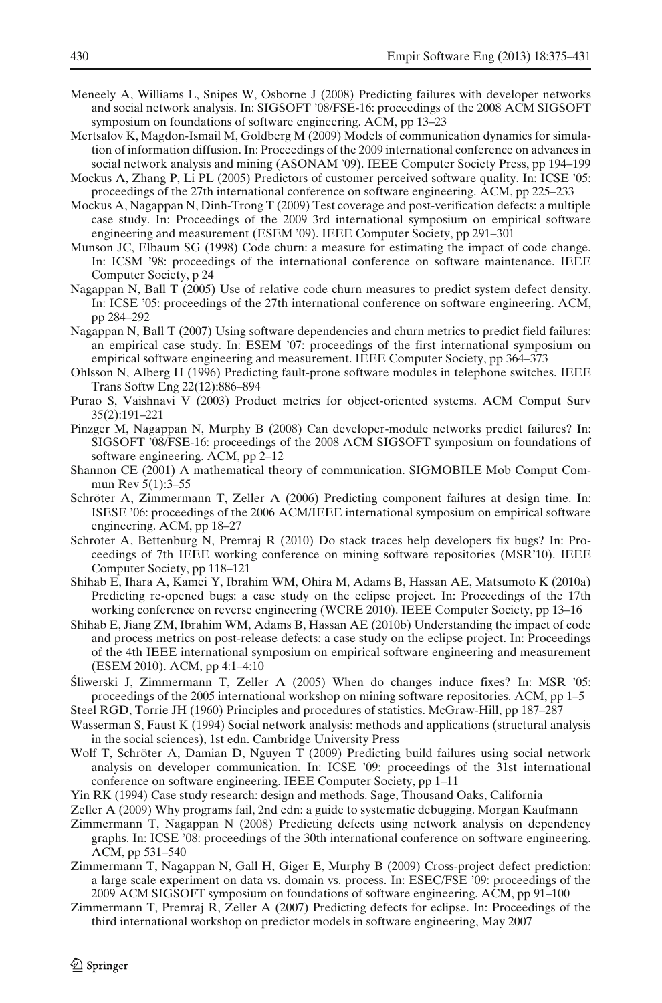- <span id="page-55-0"></span>Meneely A, Williams L, Snipes W, Osborne J (2008) Predicting failures with developer networks and social network analysis. In: SIGSOFT '08/FSE-16: proceedings of the 2008 ACM SIGSOFT symposium on foundations of software engineering. ACM, pp 13–23
- Mertsalov K, Magdon-Ismail M, Goldberg M (2009) Models of communication dynamics for simulation of information diffusion. In: Proceedings of the 2009 international conference on advances in social network analysis and mining (ASONAM '09). IEEE Computer Society Press, pp 194–199
- Mockus A, Zhang P, Li PL (2005) Predictors of customer perceived software quality. In: ICSE '05: proceedings of the 27th international conference on software engineering. ACM, pp 225–233
- Mockus A, Nagappan N, Dinh-Trong T (2009) Test coverage and post-verification defects: a multiple case study. In: Proceedings of the 2009 3rd international symposium on empirical software engineering and measurement (ESEM '09). IEEE Computer Society, pp 291–301
- Munson JC, Elbaum SG (1998) Code churn: a measure for estimating the impact of code change. In: ICSM '98: proceedings of the international conference on software maintenance. IEEE Computer Society, p 24
- Nagappan N, Ball T (2005) Use of relative code churn measures to predict system defect density. In: ICSE '05: proceedings of the 27th international conference on software engineering. ACM, pp 284–292
- Nagappan N, Ball T (2007) Using software dependencies and churn metrics to predict field failures: an empirical case study. In: ESEM '07: proceedings of the first international symposium on empirical software engineering and measurement. IEEE Computer Society, pp 364–373
- Ohlsson N, Alberg H (1996) Predicting fault-prone software modules in telephone switches. IEEE Trans Softw Eng 22(12):886–894
- Purao S, Vaishnavi V (2003) Product metrics for object-oriented systems. ACM Comput Surv 35(2):191–221
- Pinzger M, Nagappan N, Murphy B (2008) Can developer-module networks predict failures? In: SIGSOFT '08/FSE-16: proceedings of the 2008 ACM SIGSOFT symposium on foundations of software engineering. ACM, pp 2–12
- Shannon CE (2001) A mathematical theory of communication. SIGMOBILE Mob Comput Commun Rev 5(1):3-55
- Schröter A, Zimmermann T, Zeller A (2006) Predicting component failures at design time. In: ISESE '06: proceedings of the 2006 ACM/IEEE international symposium on empirical software engineering. ACM, pp 18–27
- Schroter A, Bettenburg N, Premraj R (2010) Do stack traces help developers fix bugs? In: Proceedings of 7th IEEE working conference on mining software repositories (MSR'10). IEEE Computer Society, pp 118–121
- Shihab E, Ihara A, Kamei Y, Ibrahim WM, Ohira M, Adams B, Hassan AE, Matsumoto K (2010a) Predicting re-opened bugs: a case study on the eclipse project. In: Proceedings of the 17th working conference on reverse engineering (WCRE 2010). IEEE Computer Society, pp 13–16
- Shihab E, Jiang ZM, Ibrahim WM, Adams B, Hassan AE (2010b) Understanding the impact of code and process metrics on post-release defects: a case study on the eclipse project. In: Proceedings of the 4th IEEE international symposium on empirical software engineering and measurement (ESEM 2010). ACM, pp 4:1–4:10
- Sliwerski J, Zimmermann T, Zeller A (2005) When do changes induce fixes? In: MSR '05: ´ proceedings of the 2005 international workshop on mining software repositories. ACM, pp 1–5
- Steel RGD, Torrie JH (1960) Principles and procedures of statistics. McGraw-Hill, pp 187–287
- Wasserman S, Faust K (1994) Social network analysis: methods and applications (structural analysis in the social sciences), 1st edn. Cambridge University Press
- Wolf T, Schröter A, Damian D, Nguyen T (2009) Predicting build failures using social network analysis on developer communication. In: ICSE '09: proceedings of the 31st international conference on software engineering. IEEE Computer Society, pp 1–11
- Yin RK (1994) Case study research: design and methods. Sage, Thousand Oaks, California
- Zeller A (2009) Why programs fail, 2nd edn: a guide to systematic debugging. Morgan Kaufmann
- Zimmermann T, Nagappan N (2008) Predicting defects using network analysis on dependency graphs. In: ICSE '08: proceedings of the 30th international conference on software engineering. ACM, pp 531–540
- Zimmermann T, Nagappan N, Gall H, Giger E, Murphy B (2009) Cross-project defect prediction: a large scale experiment on data vs. domain vs. process. In: ESEC/FSE '09: proceedings of the 2009 ACM SIGSOFT symposium on foundations of software engineering. ACM, pp 91–100
- Zimmermann T, Premraj R, Zeller A (2007) Predicting defects for eclipse. In: Proceedings of the third international workshop on predictor models in software engineering, May 2007